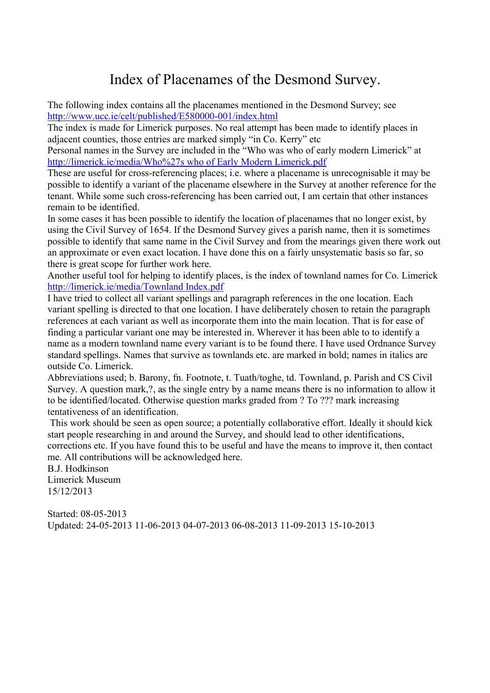#### Index of Placenames of the Desmond Survey.

The following index contains all the placenames mentioned in the Desmond Survey; see http://www.ucc.ie/celt/published/E580000-001/index.html

The index is made for Limerick purposes. No real attempt has been made to identify places in adjacent counties, those entries are marked simply "in Co. Kerry" etc

Personal names in the Survey are included in the "Who was who of early modern Limerick" at http://limerick.ie/media/Who%27s who of Early Modern Limerick.pdf

These are useful for cross-referencing places; i.e. where a placename is unrecognisable it may be possible to identify a variant of the placename elsewhere in the Survey at another reference for the tenant. While some such cross-referencing has been carried out, I am certain that other instances remain to be identified.

In some cases it has been possible to identify the location of placenames that no longer exist, by using the Civil Survey of 1654. If the Desmond Survey gives a parish name, then it is sometimes possible to identify that same name in the Civil Survey and from the mearings given there work out an approximate or even exact location. I have done this on a fairly unsystematic basis so far, so there is great scope for further work here.

Another useful tool for helping to identify places, is the index of townland names for Co. Limerick http://limerick.ie/media/Townland Index.pdf

I have tried to collect all variant spellings and paragraph references in the one location. Each variant spelling is directed to that one location. I have deliberately chosen to retain the paragraph references at each variant as well as incorporate them into the main location. That is for ease of finding a particular variant one may be interested in. Wherever it has been able to to identify a name as a modern townland name every variant is to be found there. I have used Ordnance Survey standard spellings. Names that survive as townlands etc. are marked in bold; names in italics are outside Co. Limerick.

Abbreviations used; b. Barony, fn. Footnote, t. Tuath/toghe, td. Townland, p. Parish and CS Civil Survey. A question mark,?, as the single entry by a name means there is no information to allow it to be identified/located. Otherwise question marks graded from ? To ??? mark increasing tentativeness of an identification.

This work should be seen as open source; a potentially collaborative effort. Ideally it should kick start people researching in and around the Survey, and should lead to other identifications, corrections etc. If you have found this to be useful and have the means to improve it, then contact me. All contributions will be acknowledged here.

B.J. Hodkinson Limerick Museum 15/12/2013

Started: 08-05-2013 Updated: 24-05-2013 11-06-2013 04-07-2013 06-08-2013 11-09-2013 15-10-2013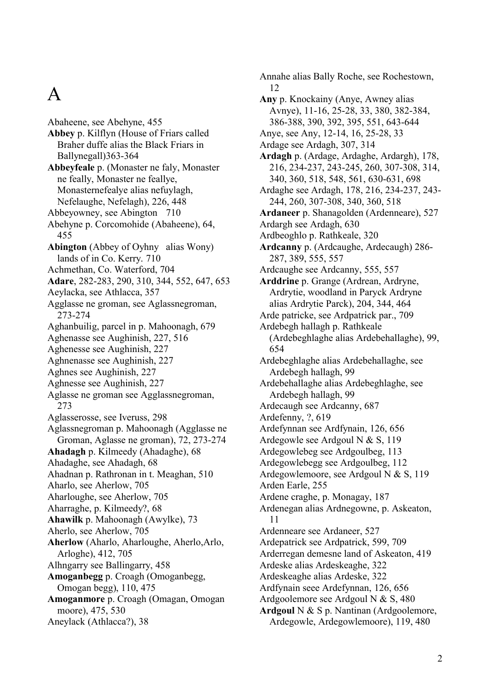### A

Abaheene, see Abehyne, 455 **Abbey** p. Kilflyn (House of Friars called Braher duffe alias the Black Friars in Ballynegall)363-364 **Abbeyfeale** p. (Monaster ne faly, Monaster ne feally, Monaster ne feallye, Monasternefealye alias nefuylagh, Nefelaughe, Nefelagh), 226, 448 Abbeyowney, see Abington 710 Abehyne p. Corcomohide (Abaheene), 64, 455 **Abington** (Abbey of Oyhny alias Wony) lands of in Co. Kerry. 710 Achmethan, Co. Waterford, 704 **Adare**, 282-283, 290, 310, 344, 552, 647, 653 Aeylacka, see Athlacca, 357 Agglasse ne groman, see Aglassnegroman, 273-274 Aghanbuilig, parcel in p. Mahoonagh, 679 Aghenasse see Aughinish, 227, 516 Aghenesse see Aughinish, 227 Aghnenasse see Aughinish, 227 Aghnes see Aughinish, 227 Aghnesse see Aughinish, 227 Aglasse ne groman see Agglassnegroman, 273 Aglasserosse, see Iveruss, 298 Aglassnegroman p. Mahoonagh (Agglasse ne Groman, Aglasse ne groman), 72, 273-274 **Ahadagh** p. Kilmeedy (Ahadaghe), 68 Ahadaghe, see Ahadagh, 68 Ahadnan p. Rathronan in t. Meaghan, 510 Aharlo, see Aherlow, 705 Aharloughe, see Aherlow, 705 Aharraghe, p. Kilmeedy?, 68 **Ahawilk** p. Mahoonagh (Awylke), 73 Aherlo, see Aherlow, 705 **Aherlow** (Aharlo, Aharloughe, Aherlo,Arlo, Arloghe), 412, 705 Alhngarry see Ballingarry, 458 **Amoganbegg** p. Croagh (Omoganbegg, Omogan begg), 110, 475 **Amoganmore** p. Croagh (Omagan, Omogan moore), 475, 530 Aneylack (Athlacca?), 38

Annahe alias Bally Roche, see Rochestown, 12 **Any** p. Knockainy (Anye, Awney alias Avnye), 11-16, 25-28, 33, 380, 382-384, 386-388, 390, 392, 395, 551, 643-644 Anye, see Any, 12-14, 16, 25-28, 33 Ardage see Ardagh, 307, 314 **Ardagh** p. (Ardage, Ardaghe, Ardargh), 178, 216, 234-237, 243-245, 260, 307-308, 314, 340, 360, 518, 548, 561, 630-631, 698 Ardaghe see Ardagh, 178, 216, 234-237, 243- 244, 260, 307-308, 340, 360, 518 **Ardaneer** p. Shanagolden (Ardenneare), 527 Ardargh see Ardagh, 630 Ardbeoghlo p. Rathkeale, 320 **Ardcanny** p. (Ardcaughe, Ardecaugh) 286- 287, 389, 555, 557 Ardcaughe see Ardcanny, 555, 557 **Arddrine** p. Grange (Ardrean, Ardryne, Ardrytie, woodland in Paryck Ardryne alias Ardrytie Parck), 204, 344, 464 Arde patricke, see Ardpatrick par., 709 Ardebegh hallagh p. Rathkeale (Ardebeghlaghe alias Ardebehallaghe), 99, 654 Ardebeghlaghe alias Ardebehallaghe, see Ardebegh hallagh, 99 Ardebehallaghe alias Ardebeghlaghe, see Ardebegh hallagh, 99 Ardecaugh see Ardcanny, 687 Ardefenny, ?, 619 Ardefynnan see Ardfynain, 126, 656 Ardegowle see Ardgoul N & S, 119 Ardegowlebeg see Ardgoulbeg, 113 Ardegowlebegg see Ardgoulbeg, 112 Ardegowlemoore, see Ardgoul N & S, 119 Arden Earle, 255 Ardene craghe, p. Monagay, 187 Ardenegan alias Ardnegowne, p. Askeaton, 11 Ardenneare see Ardaneer, 527 Ardepatrick see Ardpatrick, 599, 709 Arderregan demesne land of Askeaton, 419 Ardeske alias Ardeskeaghe, 322 Ardeskeaghe alias Ardeske, 322 Ardfynain seee Ardefynnan, 126, 656 Ardgoolemore see Ardgoul N & S, 480 **Ardgoul** N & S p. Nantinan (Ardgoolemore, Ardegowle, Ardegowlemoore), 119, 480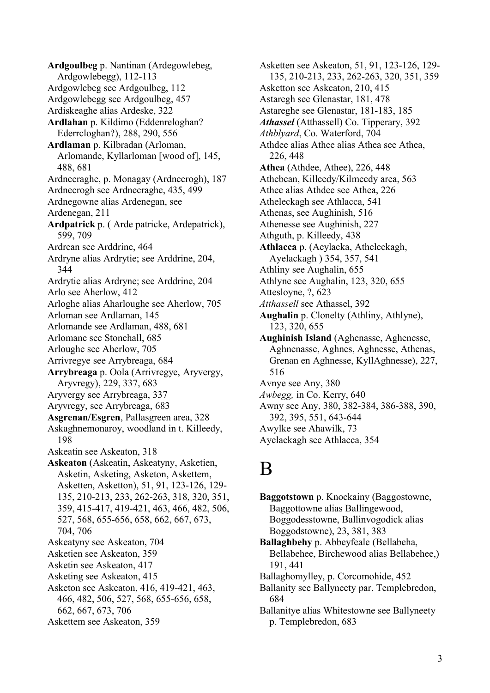**Ardgoulbeg** p. Nantinan (Ardegowlebeg, Ardgowlebegg), 112-113 Ardgowlebeg see Ardgoulbeg, 112 Ardgowlebegg see Ardgoulbeg, 457 Ardiskeaghe alias Ardeske, 322 **Ardlahan** p. Kildimo (Eddenreloghan? Ederrcloghan?), 288, 290, 556 **Ardlaman** p. Kilbradan (Arloman, Arlomande, Kyllarloman [wood of], 145, 488, 681 Ardnecraghe, p. Monagay (Ardnecrogh), 187 Ardnecrogh see Ardnecraghe, 435, 499 Ardnegowne alias Ardenegan, see Ardenegan, 211 **Ardpatrick** p. ( Arde patricke, Ardepatrick), 599, 709 Ardrean see Arddrine, 464 Ardryne alias Ardrytie; see Arddrine, 204, 344 Ardrytie alias Ardryne; see Arddrine, 204 Arlo see Aherlow, 412 Arloghe alias Aharloughe see Aherlow, 705 Arloman see Ardlaman, 145 Arlomande see Ardlaman, 488, 681 Arlomane see Stonehall, 685 Arloughe see Aherlow, 705 Arrivregye see Arrybreaga, 684 **Arrybreaga** p. Oola (Arrivregye, Aryvergy, Aryvregy), 229, 337, 683 Aryvergy see Arrybreaga, 337 Aryvregy, see Arrybreaga, 683 **Asgrenan/Esgren**, Pallasgreen area, 328 Askaghnemonaroy, woodland in t. Killeedy, 198 Askeatin see Askeaton, 318 **Askeaton** (Askeatin, Askeatyny, Asketien, Asketin, Asketing, Asketon, Askettem, Asketten, Asketton), 51, 91, 123-126, 129- 135, 210-213, 233, 262-263, 318, 320, 351, 359, 415-417, 419-421, 463, 466, 482, 506, 527, 568, 655-656, 658, 662, 667, 673, 704, 706 Askeatyny see Askeaton, 704 Asketien see Askeaton, 359 Asketin see Askeaton, 417 Asketing see Askeaton, 415 Asketon see Askeaton, 416, 419-421, 463, 466, 482, 506, 527, 568, 655-656, 658, 662, 667, 673, 706 Askettem see Askeaton, 359

Asketten see Askeaton, 51, 91, 123-126, 129- 135, 210-213, 233, 262-263, 320, 351, 359 Asketton see Askeaton, 210, 415 Astaregh see Glenastar, 181, 478 Astareghe see Glenastar, 181-183, 185 *Athassel* (Atthassell) Co. Tipperary, 392 *Athblyard*, Co. Waterford, 704 Athdee alias Athee alias Athea see Athea, 226, 448 **Athea** (Athdee, Athee), 226, 448 Athebean, Killeedy/Kilmeedy area, 563 Athee alias Athdee see Athea, 226 Atheleckagh see Athlacca, 541 Athenas, see Aughinish, 516 Athenesse see Aughinish, 227 Athguth, p. Killeedy, 438 **Athlacca** p. (Aeylacka, Atheleckagh, Ayelackagh ) 354, 357, 541 Athliny see Aughalin, 655 Athlyne see Aughalin, 123, 320, 655 Attesloyne, ?, 623 *Atthassell* see Athassel, 392 **Aughalin** p. Clonelty (Athliny, Athlyne), 123, 320, 655 **Aughinish Island** (Aghenasse, Aghenesse, Aghnenasse, Aghnes, Aghnesse, Athenas, Grenan en Aghnesse, KyllAghnesse), 227, 516 Avnye see Any, 380 *Awbegg,* in Co. Kerry, 640 Awny see Any, 380, 382-384, 386-388, 390, 392, 395, 551, 643-644 Awylke see Ahawilk, 73 Ayelackagh see Athlacca, 354

#### B

**Baggotstown** p. Knockainy (Baggostowne, Baggottowne alias Ballingewood, Boggodesstowne, Ballinvogodick alias Boggodstowne), 23, 381, 383 **Ballaghbehy** p. Abbeyfeale (Bellabeha, Bellabehee, Birchewood alias Bellabehee,) 191, 441 Ballaghomylley, p. Corcomohide, 452 Ballanity see Ballyneety par. Templebredon, 684 Ballanitye alias Whitestowne see Ballyneety p. Templebredon, 683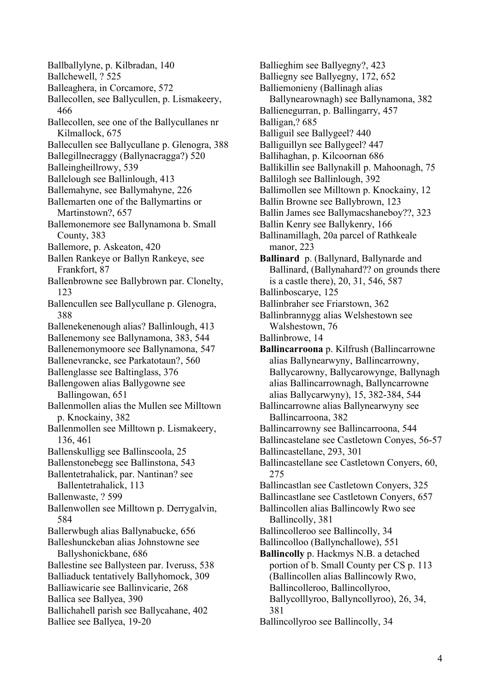Ballballylyne, p. Kilbradan, 140 Ballchewell, ? 525 Balleaghera, in Corcamore, 572 Ballecollen, see Ballycullen, p. Lismakeery, 466 Ballecollen, see one of the Ballycullanes nr Kilmallock, 675 Ballecullen see Ballycullane p. Glenogra, 388 Ballegillnecraggy (Ballynacragga?) 520 Balleingheillrowy, 539 Ballelough see Ballinlough, 413 Ballemahyne, see Ballymahyne, 226 Ballemarten one of the Ballymartins or Martinstown?, 657 Ballemonemore see Ballynamona b. Small County, 383 Ballemore, p. Askeaton, 420 Ballen Rankeye or Ballyn Rankeye, see Frankfort, 87 Ballenbrowne see Ballybrown par. Clonelty, 123 Ballencullen see Ballycullane p. Glenogra, 388 Ballenekenenough alias? Ballinlough, 413 Ballenemony see Ballynamona, 383, 544 Ballenemonymoore see Ballynamona, 547 Ballenevrancke, see Parkatotaun?, 560 Ballenglasse see Baltinglass, 376 Ballengowen alias Ballygowne see Ballingowan, 651 Ballenmollen alias the Mullen see Milltown p. Knockainy, 382 Ballenmollen see Milltown p. Lismakeery, 136, 461 Ballenskulligg see Ballinscoola, 25 Ballenstonebegg see Ballinstona, 543 Ballentetrahalick, par. Nantinan? see Ballentetrahalick, 113 Ballenwaste, ? 599 Ballenwollen see Milltown p. Derrygalvin, 584 Ballerwbugh alias Ballynabucke, 656 Balleshunckeban alias Johnstowne see Ballyshonickbane, 686 Ballestine see Ballysteen par. Iveruss, 538 Balliaduck tentatively Ballyhomock, 309 Balliawicarie see Ballinvicarie, 268 Ballica see Ballyea, 390 Ballichahell parish see Ballycahane, 402 Balliee see Ballyea, 19-20

Ballieghim see Ballyegny?, 423 Balliegny see Ballyegny, 172, 652 Balliemonieny (Ballinagh alias Ballynearownagh) see Ballynamona, 382 Ballienegurran, p. Ballingarry, 457 Balligan,? 685 Balliguil see Ballygeel? 440 Balliguillyn see Ballygeel? 447 Ballihaghan, p. Kilcoornan 686 Ballikillin see Ballynakill p. Mahoonagh, 75 Ballilogh see Ballinlough, 392 Ballimollen see Milltown p. Knockainy, 12 Ballin Browne see Ballybrown, 123 Ballin James see Ballymacshaneboy??, 323 Ballin Kenry see Ballykenry, 166 Ballinamillagh, 20a parcel of Rathkeale manor, 223 **Ballinard** p. (Ballynard, Ballynarde and Ballinard, (Ballynahard?? on grounds there is a castle there), 20, 31, 546, 587 Ballinboscarye, 125 Ballinbraher see Friarstown, 362 Ballinbrannygg alias Welshestown see Walshestown, 76 Ballinbrowe, 14 **Ballincarroona** p. Kilfrush (Ballincarrowne alias Ballynearwyny, Ballincarrowny, Ballycarowny, Ballycarowynge, Ballynagh alias Ballincarrownagh, Ballyncarrowne alias Ballycarwyny), 15, 382-384, 544 Ballincarrowne alias Ballynearwyny see Ballincarroona, 382 Ballincarrowny see Ballincarroona, 544 Ballincastelane see Castletown Conyes, 56-57 Ballincastellane, 293, 301 Ballincastellane see Castletown Conyers, 60, 275 Ballincastlan see Castletown Conyers, 325 Ballincastlane see Castletown Conyers, 657 Ballincollen alias Ballincowly Rwo see Ballincolly, 381 Ballincolleroo see Ballincolly, 34 Ballincolloo (Ballynchallowe), 551 **Ballincolly** p. Hackmys N.B. a detached portion of b. Small County per CS p. 113 (Ballincollen alias Ballincowly Rwo, Ballincolleroo, Ballincollyroo, Ballycolllyroo, Ballyncollyroo), 26, 34, 381 Ballincollyroo see Ballincolly, 34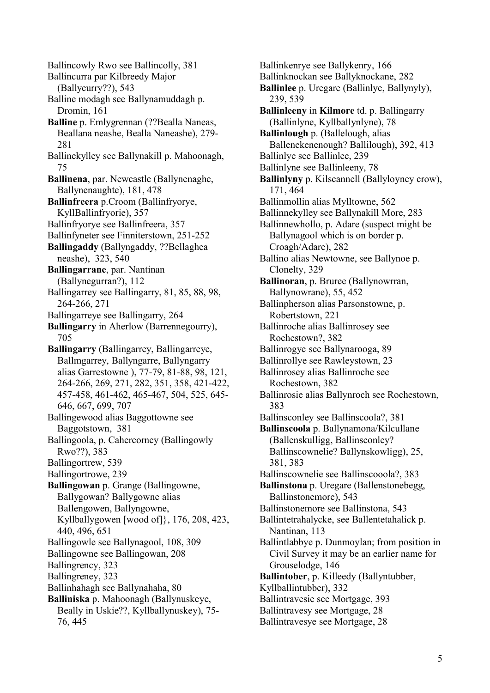Ballincowly Rwo see Ballincolly, 381 Ballincurra par Kilbreedy Major (Ballycurry??), 543 Balline modagh see Ballynamuddagh p. Dromin, 161 **Balline** p. Emlygrennan (??Bealla Naneas, Beallana neashe, Bealla Naneashe), 279- 281 Ballinekylley see Ballynakill p. Mahoonagh, 75 **Ballinena**, par. Newcastle (Ballynenaghe, Ballynenaughte), 181, 478 **Ballinfreera** p.Croom (Ballinfryorye, KyllBallinfryorie), 357 Ballinfryorye see Ballinfreera, 357 Ballinfyneter see Finniterstown, 251-252 **Ballingaddy** (Ballyngaddy, ??Bellaghea neashe), 323, 540 **Ballingarrane**, par. Nantinan (Ballynegurran?), 112 Ballingarrey see Ballingarry, 81, 85, 88, 98, 264-266, 271 Ballingarreye see Ballingarry, 264 **Ballingarry** in Aherlow (Barrennegourry), 705 **Ballingarry** (Ballingarrey, Ballingarreye, Ballmgarrey, Ballyngarre, Ballyngarry alias Garrestowne ), 77-79, 81-88, 98, 121, 264-266, 269, 271, 282, 351, 358, 421-422, 457-458, 461-462, 465-467, 504, 525, 645- 646, 667, 699, 707 Ballingewood alias Baggottowne see Baggotstown, 381 Ballingoola, p. Cahercorney (Ballingowly Rwo??), 383 Ballingortrew, 539 Ballingortrowe, 239 **Ballingowan** p. Grange (Ballingowne, Ballygowan? Ballygowne alias Ballengowen, Ballyngowne, Kyllballygowen [wood of]}, 176, 208, 423, 440, 496, 651 Ballingowle see Ballynagool, 108, 309 Ballingowne see Ballingowan, 208 Ballingrency, 323 Ballingreney, 323 Ballinhahagh see Ballynahaha, 80 **Balliniska** p. Mahoonagh (Ballynuskeye, Beally in Uskie??, Kyllballynuskey), 75- 76, 445

Ballinkenrye see Ballykenry, 166 Ballinknockan see Ballyknockane, 282 **Ballinlee** p. Uregare (Ballinlye, Ballynyly), 239, 539 **Ballinleeny** in **Kilmore** td. p. Ballingarry (Ballinlyne, Kyllballynlyne), 78 **Ballinlough** p. (Ballelough, alias Ballenekenenough? Ballilough), 392, 413 Ballinlye see Ballinlee, 239 Ballinlyne see Ballinleeny, 78 **Ballinlyny** p. Kilscannell (Ballyloyney crow), 171, 464 Ballinmollin alias Mylltowne, 562 Ballinnekylley see Ballynakill More, 283 Ballinnewhollo, p. Adare (suspect might be Ballynagool which is on border p. Croagh/Adare), 282 Ballino alias Newtowne, see Ballynoe p. Clonelty, 329 **Ballinoran**, p. Bruree (Ballynowrran, Ballynowrane), 55, 452 Ballinpherson alias Parsonstowne, p. Robertstown, 221 Ballinroche alias Ballinrosey see Rochestown?, 382 Ballinrogye see Ballynarooga, 89 Ballinrollye see Rawleystown, 23 Ballinrosey alias Ballinroche see Rochestown, 382 Ballinrosie alias Ballynroch see Rochestown, 383 Ballinsconley see Ballinscoola?, 381 **Ballinscoola** p. Ballynamona/Kilcullane (Ballenskulligg, Ballinsconley? Ballinscownelie? Ballynskowligg), 25, 381, 383 Ballinscownelie see Ballinscooola?, 383 **Ballinstona** p. Uregare (Ballenstonebegg, Ballinstonemore), 543 Ballinstonemore see Ballinstona, 543 Ballintetrahalycke, see Ballentetahalick p. Nantinan, 113 Ballintlabbye p. Dunmoylan; from position in Civil Survey it may be an earlier name for Grouselodge, 146 **Ballintober**, p. Killeedy (Ballyntubber, Kyllballintubber), 332 Ballintravesie see Mortgage, 393 Ballintravesy see Mortgage, 28 Ballintravesye see Mortgage, 28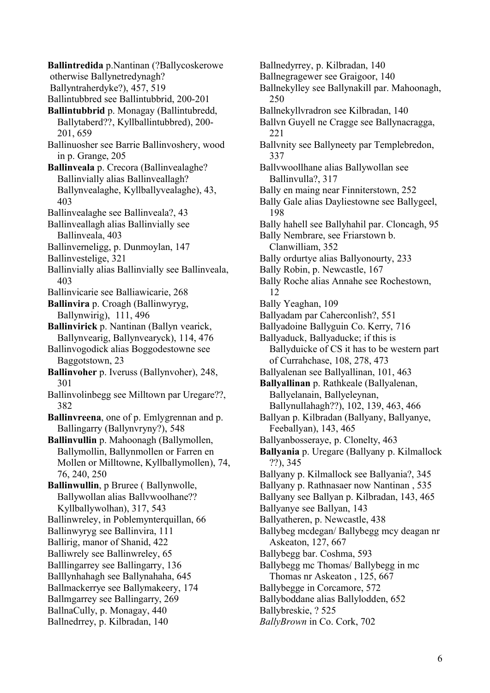**Ballintredida** p.Nantinan (?Ballycoskerowe otherwise Ballynetredynagh? Ballyntraherdyke?), 457, 519 Ballintubbred see Ballintubbrid, 200-201 **Ballintubbrid** p. Monagay (Ballintubredd, Ballytaberd??, Kyllballintubbred), 200- 201, 659 Ballinuosher see Barrie Ballinvoshery, wood in p. Grange, 205 **Ballinveala** p. Crecora (Ballinvealaghe? Ballinvially alias Ballinveallagh? Ballynvealaghe, Kyllballyvealaghe), 43, 403 Ballinvealaghe see Ballinveala?, 43 Ballinveallagh alias Ballinvially see Ballinveala, 403 Ballinverneligg, p. Dunmoylan, 147 Ballinvestelige, 321 Ballinvially alias Ballinvially see Ballinveala, 403 Ballinvicarie see Balliawicarie, 268 **Ballinvira** p. Croagh (Ballinwyryg, Ballynwirig), 111, 496 **Ballinvirick** p. Nantinan (Ballyn vearick, Ballynvearig, Ballynvearyck), 114, 476 Ballinvogodick alias Boggodestowne see Baggotstown, 23 **Ballinvoher** p. Iveruss (Ballynvoher), 248, 301 Ballinvolinbegg see Milltown par Uregare??, 382 **Ballinvreena**, one of p. Emlygrennan and p. Ballingarry (Ballynvryny?), 548 **Ballinvullin** p. Mahoonagh (Ballymollen, Ballymollin, Ballynmollen or Farren en Mollen or Milltowne, Kyllballymollen), 74, 76, 240, 250 **Ballinwullin**, p Bruree ( Ballynwolle, Ballywollan alias Ballvwoolhane?? Kyllballywolhan), 317, 543 Ballinwreley, in Poblemynterquillan, 66 Ballinwyryg see Ballinvira, 111 Ballirig, manor of Shanid, 422 Balliwrely see Ballinwreley, 65 Balllingarrey see Ballingarry, 136 Balllynhahagh see Ballynahaha, 645 Ballmackerrye see Ballymakeery, 174 Ballmgarrey see Ballingarry, 269 BallnaCully, p. Monagay, 440 Ballnedrrey, p. Kilbradan, 140

Ballnedyrrey, p. Kilbradan, 140 Ballnegragewer see Graigoor, 140 Ballnekylley see Ballynakill par. Mahoonagh, 250 Ballnekyllvradron see Kilbradan, 140 Ballvn Guyell ne Cragge see Ballynacragga, 221 Ballvnity see Ballyneety par Templebredon, 337 Ballvwoollhane alias Ballywollan see Ballinvulla?, 317 Bally en maing near Finniterstown, 252 Bally Gale alias Dayliestowne see Ballygeel, 198 Bally hahell see Ballyhahil par. Cloncagh, 95 Bally Nembrare, see Friarstown b. Clanwilliam, 352 Bally ordurtye alias Ballyonourty, 233 Bally Robin, p. Newcastle, 167 Bally Roche alias Annahe see Rochestown, 12 Bally Yeaghan, 109 Ballyadam par Caherconlish?, 551 Ballyadoine Ballyguin Co. Kerry, 716 Ballyaduck, Ballyaducke; if this is Ballyduicke of CS it has to be western part of Currahchase, 108, 278, 473 Ballyalenan see Ballyallinan, 101, 463 **Ballyallinan** p. Rathkeale (Ballyalenan, Ballyelanain, Ballyeleynan, Ballynullahagh??), 102, 139, 463, 466 Ballyan p. Kilbradan (Ballyany, Ballyanye, Feeballyan), 143, 465 Ballyanbosseraye, p. Clonelty, 463 **Ballyania** p. Uregare (Ballyany p. Kilmallock ??), 345 Ballyany p. Kilmallock see Ballyania?, 345 Ballyany p. Rathnasaer now Nantinan , 535 Ballyany see Ballyan p. Kilbradan, 143, 465 Ballyanye see Ballyan, 143 Ballyatheren, p. Newcastle, 438 Ballybeg mcdegan/ Ballybegg mcy deagan nr Askeaton, 127, 667 Ballybegg bar. Coshma, 593 Ballybegg mc Thomas/ Ballybegg in mc Thomas nr Askeaton , 125, 667 Ballybegge in Corcamore, 572 Ballyboddane alias Ballylodden, 652 Ballybreskie, ? 525 *BallyBrown* in Co. Cork, 702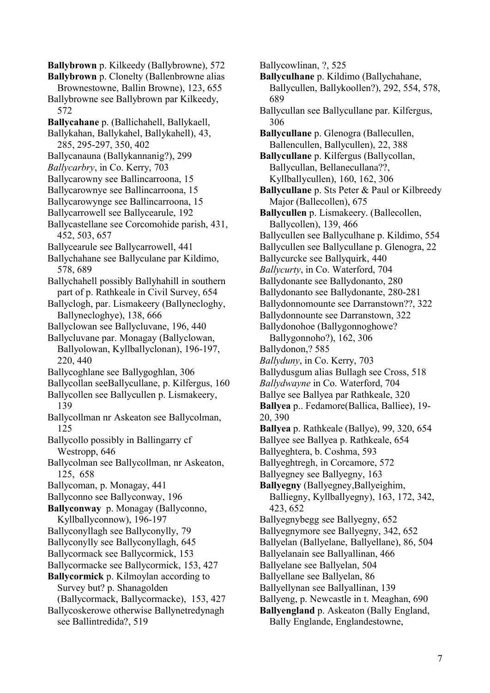**Ballybrown** p. Kilkeedy (Ballybrowne), 572

**Ballybrown** p. Clonelty (Ballenbrowne alias

Brownestowne, Ballin Browne), 123, 655 Ballybrowne see Ballybrown par Kilkeedy, 572

- **Ballycahane** p. (Ballichahell, Ballykaell,
- Ballykahan, Ballykahel, Ballykahell), 43, 285, 295-297, 350, 402
- Ballycanauna (Ballykannanig?), 299
- *Ballycarbry*, in Co. Kerry, 703
- Ballycarowny see Ballincarroona, 15
- Ballycarownye see Ballincarroona, 15
- Ballycarowynge see Ballincarroona, 15
- Ballycarrowell see Ballycearule, 192
- Ballycastellane see Corcomohide parish, 431, 452, 503, 657
- Ballycearule see Ballycarrowell, 441
- Ballychahane see Ballyculane par Kildimo, 578, 689
- Ballychahell possibly Ballyhahill in southern part of p. Rathkeale in Civil Survey, 654
- Ballyclogh, par. Lismakeery (Ballynecloghy, Ballynecloghye), 138, 666
- Ballyclowan see Ballycluvane, 196, 440
- Ballycluvane par. Monagay (Ballyclowan, Ballyolowan, Kyllballyclonan), 196-197, 220, 440
- Ballycoghlane see Ballygoghlan, 306
- Ballycollan seeBallycullane, p. Kilfergus, 160
- Ballycollen see Ballycullen p. Lismakeery, 139
- Ballycollman nr Askeaton see Ballycolman, 125
- Ballycollo possibly in Ballingarry cf Westropp, 646
- Ballycolman see Ballycollman, nr Askeaton, 125, 658
- Ballycoman, p. Monagay, 441
- Ballyconno see Ballyconway, 196

**Ballyconway** p. Monagay (Ballyconno, Kyllballyconnow), 196-197

- Ballyconyllagh see Ballyconylly, 79
- Ballyconylly see Ballyconyllagh, 645
- Ballycormack see Ballycormick, 153
- Ballycormacke see Ballycormick, 153, 427
- **Ballycormick** p. Kilmoylan according to Survey but? p. Shanagolden
	- (Ballycormack, Ballycormacke), 153, 427
- Ballycoskerowe otherwise Ballynetredynagh see Ballintredida?, 519

Ballycowlinan, ?, 525

- **Ballyculhane** p. Kildimo (Ballychahane, Ballycullen, Ballykoollen?), 292, 554, 578, 689
- Ballycullan see Ballycullane par. Kilfergus, 306

**Ballycullane** p. Glenogra (Ballecullen, Ballencullen, Ballycullen), 22, 388

**Ballycullane** p. Kilfergus (Ballycollan, Ballycullan, Bellanecullana??, Kyllballycullen), 160, 162, 306

- **Ballycullane** p. Sts Peter & Paul or Kilbreedy Major (Ballecollen), 675
- **Ballycullen** p. Lismakeery. (Ballecollen, Ballycollen), 139, 466
- Ballycullen see Ballyculhane p. Kildimo, 554
- Ballycullen see Ballycullane p. Glenogra, 22
- Ballycurcke see Ballyquirk, 440
- *Ballycurty*, in Co. Waterford, 704
- Ballydonante see Ballydonanto, 280
- Ballydonanto see Ballydonante, 280-281
- Ballydonnomounte see Darranstown??, 322
- Ballydonnounte see Darranstown, 322
- Ballydonohoe (Ballygonnoghowe? Ballygonnoho?), 162, 306
- Ballydonon,? 585
- *Ballyduny*, in Co. Kerry, 703
- Ballydusgum alias Bullagh see Cross, 518
- *Ballydwayne* in Co. Waterford, 704
- Ballye see Ballyea par Rathkeale, 320
- **Ballyea** p.. Fedamore(Ballica, Balliee), 19- 20, 390
- **Ballyea** p. Rathkeale (Ballye), 99, 320, 654
- Ballyee see Ballyea p. Rathkeale, 654
- Ballyeghtera, b. Coshma, 593
- Ballyeghtregh, in Corcamore, 572
- Ballyegney see Ballyegny, 163
- **Ballyegny** (Ballyegney,Ballyeighim, Balliegny, Kyllballyegny), 163, 172, 342, 423, 652
- Ballyegnybegg see Ballyegny, 652
- Ballyegnymore see Ballyegny, 342, 652
- Ballyelan (Ballyelane, Ballyellane), 86, 504
- Ballyelanain see Ballyallinan, 466
- Ballyelane see Ballyelan, 504
- Ballyellane see Ballyelan, 86
- Ballyellynan see Ballyallinan, 139
- Ballyeng, p. Newcastle in t. Meaghan, 690
- **Ballyengland** p. Askeaton (Bally England, Bally Englande, Englandestowne,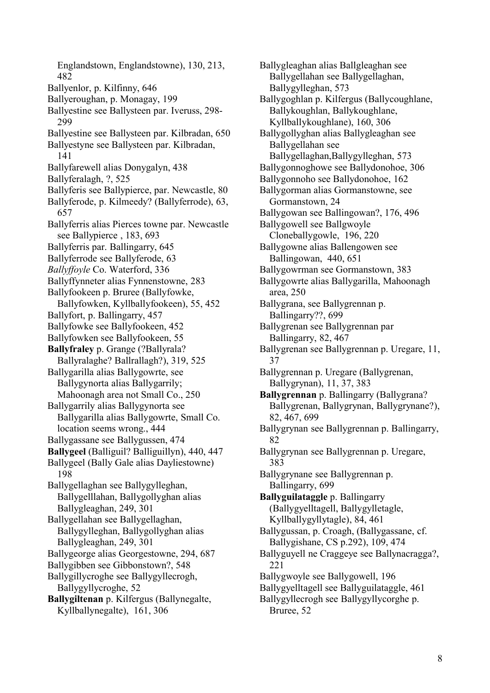Englandstown, Englandstowne), 130, 213, 482 Ballyenlor, p. Kilfinny, 646 Ballyeroughan, p. Monagay, 199 Ballyestine see Ballysteen par. Iveruss, 298- 299 Ballyestine see Ballysteen par. Kilbradan, 650 Ballyestyne see Ballysteen par. Kilbradan, 141 Ballyfarewell alias Donygalyn, 438 Ballyferalagh, ?, 525 Ballyferis see Ballypierce, par. Newcastle, 80 Ballyferode, p. Kilmeedy? (Ballyferrode), 63, 657 Ballyferris alias Pierces towne par. Newcastle see Ballypierce , 183, 693 Ballyferris par. Ballingarry, 645 Ballyferrode see Ballyferode, 63 *Ballyffoyle* Co. Waterford, 336 Ballyffynneter alias Fynnenstowne, 283 Ballyfookeen p. Bruree (Ballyfowke, Ballyfowken, Kyllballyfookeen), 55, 452 Ballyfort, p. Ballingarry, 457 Ballyfowke see Ballyfookeen, 452 Ballyfowken see Ballyfookeen, 55 **Ballyfraley** p. Grange (?Ballyrala? Ballyralaghe? Ballrallagh?), 319, 525 Ballygarilla alias Ballygowrte, see Ballygynorta alias Ballygarrily; Mahoonagh area not Small Co., 250 Ballygarrily alias Ballygynorta see Ballygarilla alias Ballygowrte, Small Co. location seems wrong., 444 Ballygassane see Ballygussen, 474 **Ballygeel** (Balliguil? Balliguillyn), 440, 447 Ballygeel (Bally Gale alias Dayliestowne) 198 Ballygellaghan see Ballygylleghan, Ballygelllahan, Ballygollyghan alias Ballygleaghan, 249, 301 Ballygellahan see Ballygellaghan, Ballygylleghan, Ballygollyghan alias Ballygleaghan, 249, 301 Ballygeorge alias Georgestowne, 294, 687 Ballygibben see Gibbonstown?, 548 Ballygillycroghe see Ballygyllecrogh, Ballygyllycroghe, 52 **Ballygiltenan** p. Kilfergus (Ballynegalte, Kyllballynegalte), 161, 306

Ballygleaghan alias Ballgleaghan see Ballygellahan see Ballygellaghan, Ballygylleghan, 573 Ballygoghlan p. Kilfergus (Ballycoughlane, Ballykoughlan, Ballykoughlane, Kyllballykoughlane), 160, 306 Ballygollyghan alias Ballygleaghan see Ballygellahan see Ballygellaghan,Ballygylleghan, 573 Ballygonnoghowe see Ballydonohoe, 306 Ballygonnoho see Ballydonohoe, 162 Ballygorman alias Gormanstowne, see Gormanstown, 24 Ballygowan see Ballingowan?, 176, 496 Ballygowell see Ballgwoyle Cloneballygowle, 196, 220 Ballygowne alias Ballengowen see Ballingowan, 440, 651 Ballygowrman see Gormanstown, 383 Ballygowrte alias Ballygarilla, Mahoonagh area, 250 Ballygrana, see Ballygrennan p. Ballingarry??, 699 Ballygrenan see Ballygrennan par Ballingarry, 82, 467 Ballygrenan see Ballygrennan p. Uregare, 11, 37 Ballygrennan p. Uregare (Ballygrenan, Ballygrynan), 11, 37, 383 **Ballygrennan** p. Ballingarry (Ballygrana? Ballygrenan, Ballygrynan, Ballygrynane?), 82, 467, 699 Ballygrynan see Ballygrennan p. Ballingarry, 82 Ballygrynan see Ballygrennan p. Uregare, 383 Ballygrynane see Ballygrennan p. Ballingarry, 699 **Ballyguilataggle** p. Ballingarry (Ballygyelltagell, Ballygylletagle, Kyllballygyllytagle), 84, 461 Ballygussan, p. Croagh, (Ballygassane, cf. Ballygishane, CS p.292), 109, 474 Ballyguyell ne Craggeye see Ballynacragga?, 221 Ballygwoyle see Ballygowell, 196 Ballygyelltagell see Ballyguilataggle, 461 Ballygyllecrogh see Ballygyllycorghe p. Bruree, 52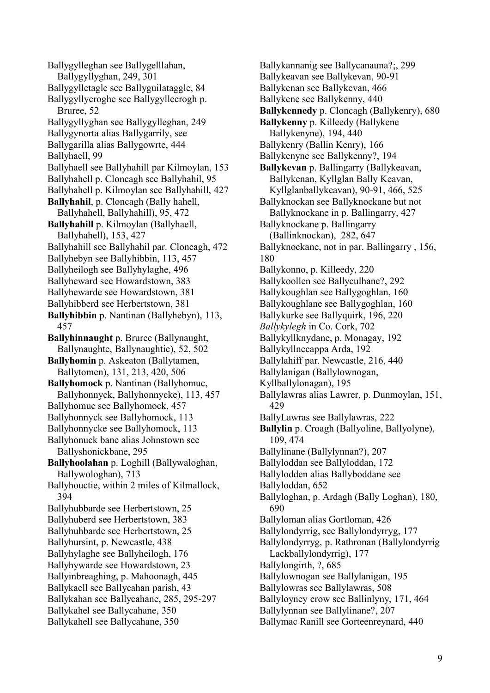Ballygylleghan see Ballygelllahan, Ballygyllyghan, 249, 301 Ballygylletagle see Ballyguilataggle, 84 Ballygyllycroghe see Ballygyllecrogh p. Bruree, 52 Ballygyllyghan see Ballygylleghan, 249 Ballygynorta alias Ballygarrily, see Ballygarilla alias Ballygowrte, 444 Ballyhaell, 99 Ballyhaell see Ballyhahill par Kilmoylan, 153 Ballyhahell p. Cloncagh see Ballyhahil, 95 Ballyhahell p. Kilmoylan see Ballyhahill, 427 **Ballyhahil**, p. Cloncagh (Bally hahell, Ballyhahell, Ballyhahill), 95, 472 **Ballyhahill** p. Kilmoylan (Ballyhaell, Ballyhahell), 153, 427 Ballyhahill see Ballyhahil par. Cloncagh, 472 Ballyhebyn see Ballyhibbin, 113, 457 Ballyheilogh see Ballyhylaghe, 496 Ballyheward see Howardstown, 383 Ballyhewarde see Howardstown, 381 Ballyhibberd see Herbertstown, 381 **Ballyhibbin** p. Nantinan (Ballyhebyn), 113, 457 **Ballyhinnaught** p. Bruree (Ballynaught, Ballynaughte, Ballynaughtie), 52, 502 **Ballyhomin** p. Askeaton (Ballytamen, Ballytomen), 131, 213, 420, 506 **Ballyhomock** p. Nantinan (Ballyhomuc, Ballyhonnyck, Ballyhonnycke), 113, 457 Ballyhomuc see Ballyhomock, 457 Ballyhonnyck see Ballyhomock, 113 Ballyhonnycke see Ballyhomock, 113 Ballyhonuck bane alias Johnstown see Ballyshonickbane, 295 **Ballyhoolahan** p. Loghill (Ballywaloghan, Ballywologhan), 713 Ballyhouctie, within 2 miles of Kilmallock, 394 Ballyhubbarde see Herbertstown, 25 Ballyhuberd see Herbertstown, 383 Ballyhuhbarde see Herbertstown, 25 Ballyhursint, p. Newcastle, 438 Ballyhylaghe see Ballyheilogh, 176 Ballyhywarde see Howardstown, 23 Ballyinbreaghing, p. Mahoonagh, 445 Ballykaell see Ballycahan parish, 43 Ballykahan see Ballycahane, 285, 295-297 Ballykahel see Ballycahane, 350 Ballykahell see Ballycahane, 350

Ballykannanig see Ballycanauna?;, 299 Ballykeavan see Ballykevan, 90-91 Ballykenan see Ballykevan, 466 Ballykene see Ballykenny, 440 **Ballykennedy** p. Cloncagh (Ballykenry), 680 **Ballykenny** p. Killeedy (Ballykene Ballykenyne), 194, 440 Ballykenry (Ballin Kenry), 166 Ballykenyne see Ballykenny?, 194 **Ballykevan** p. Ballingarry (Ballykeavan, Ballykenan, Kyllglan Bally Keavan, Kyllglanballykeavan), 90-91, 466, 525 Ballyknockan see Ballyknockane but not Ballyknockane in p. Ballingarry, 427 Ballyknockane p. Ballingarry (Ballinknockan), 282, 647 Ballyknockane, not in par. Ballingarry , 156, 180 Ballykonno, p. Killeedy, 220 Ballykoollen see Ballyculhane?, 292 Ballykoughlan see Ballygoghlan, 160 Ballykoughlane see Ballygoghlan, 160 Ballykurke see Ballyquirk, 196, 220 *Ballykylegh* in Co. Cork, 702 Ballykyllknydane, p. Monagay, 192 Ballykyllnecappa Arda, 192 Ballylahiff par. Newcastle, 216, 440 Ballylanigan (Ballylownogan, Kyllballylonagan), 195 Ballylawras alias Lawrer, p. Dunmoylan, 151, 429 BallyLawras see Ballylawras, 222 **Ballylin** p. Croagh (Ballyoline, Ballyolyne), 109, 474 Ballylinane (Ballylynnan?), 207 Ballyloddan see Ballyloddan, 172 Ballylodden alias Ballyboddane see Ballyloddan, 652 Ballyloghan, p. Ardagh (Bally Loghan), 180, 690 Ballyloman alias Gortloman, 426 Ballylondyrrig, see Ballylondyrryg, 177 Ballylondyrryg, p. Rathronan (Ballylondyrrig Lackballylondyrrig), 177 Ballylongirth, ?, 685 Ballylownogan see Ballylanigan, 195 Ballylowras see Ballylawras, 508 Ballyloyney crow see Ballinlyny, 171, 464 Ballylynnan see Ballylinane?, 207 Ballymac Ranill see Gorteenreynard, 440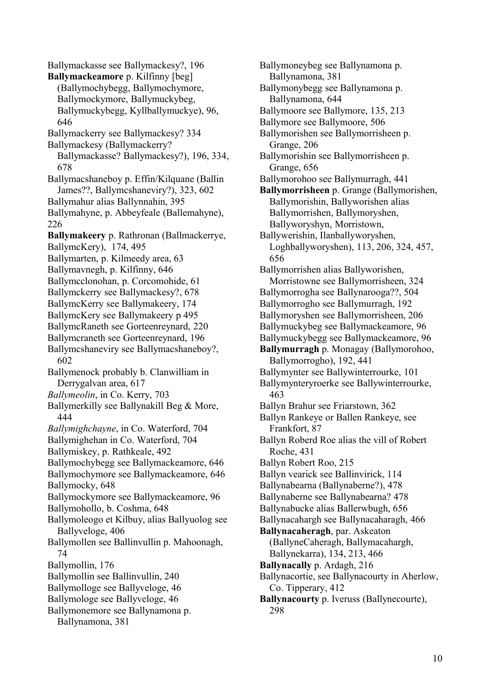Ballymackasse see Ballymackesy?, 196 **Ballymackeamore** p. Kilfinny [beg] (Ballymochybegg, Ballymochymore, Ballymockymore, Ballymuckybeg, Ballymuckybegg, Kyllballymuckye), 96, 646 Ballymackerry see Ballymackesy? 334 Ballymackesy (Ballymackerry? Ballymackasse? Ballymackesy?), 196, 334, 678 Ballymacshaneboy p. Effin/Kilquane (Ballin James??, Ballymcshaneviry?), 323, 602 Ballymahur alias Ballynnahin, 395 Ballymahyne, p. Abbeyfeale (Ballemahyne), 226 **Ballymakeery** p. Rathronan (Ballmackerrye, BallymcKery), 174, 495 Ballymarten, p. Kilmeedy area, 63 Ballymavnegh, p. Kilfinny, 646 Ballymcclonohan, p. Corcomohide, 61 Ballymckerry see Ballymackesy?, 678 BallymcKerry see Ballymakeery, 174 BallymcKery see Ballymakeery p 495 BallymcRaneth see Gorteenreynard, 220 Ballymcraneth see Gorteenreynard, 196 Ballymcshaneviry see Ballymacshaneboy?, 602 Ballymenock probably b. Clanwilliam in Derrygalvan area, 617 *Ballymeolin*, in Co. Kerry, 703 Ballymerkilly see Ballynakill Beg & More, 444 *Ballymighchayne*, in Co. Waterford, 704 Ballymighehan in Co. Waterford, 704 Ballymiskey, p. Rathkeale, 492 Ballymochybegg see Ballymackeamore, 646 Ballymochymore see Ballymackeamore, 646 Ballymocky, 648 Ballymockymore see Ballymackeamore, 96 Ballymohollo, b. Coshma, 648 Ballymoleogo et Kilbuy, alias Ballyuolog see Ballyveloge, 406 Ballymollen see Ballinvullin p. Mahoonagh, 74 Ballymollin, 176 Ballymollin see Ballinvullin, 240 Ballymolloge see Ballyveloge, 46 Ballymologe see Ballyveloge, 46 Ballymonemore see Ballynamona p. Ballynamona, 381

Ballymoneybeg see Ballynamona p. Ballynamona, 381 Ballymonybegg see Ballynamona p. Ballynamona, 644 Ballymoore see Ballymore, 135, 213 Ballymore see Ballymoore, 506 Ballymorishen see Ballymorrisheen p. Grange, 206 Ballymorishin see Ballymorrisheen p. Grange, 656 Ballymorohoo see Ballymurragh, 441 **Ballymorrisheen** p. Grange (Ballymorishen, Ballymorishin, Ballyworishen alias Ballymorrishen, Ballymoryshen, Ballyworyshyn, Morristown, Ballywerishin, Ilanballyworyshen, Loghballyworyshen), 113, 206, 324, 457, 656 Ballymorrishen alias Ballyworishen, Morristowne see Ballymorrisheen, 324 Ballymorrogha see Ballynarooga??, 504 Ballymorrogho see Ballymurragh, 192 Ballymoryshen see Ballymorrisheen, 206 Ballymuckybeg see Ballymackeamore, 96 Ballymuckybegg see Ballymackeamore, 96 **Ballymurragh** p. Monagay (Ballymorohoo, Ballymorrogho), 192, 441 Ballymynter see Ballywinterrourke, 101 Ballymynteryroerke see Ballywinterrourke, 463 Ballyn Brahur see Friarstown, 362 Ballyn Rankeye or Ballen Rankeye, see Frankfort, 87 Ballyn Roberd Roe alias the vill of Robert Roche, 431 Ballyn Robert Roo, 215 Ballyn vearick see Ballinvirick, 114 Ballynabearna (Ballynaberne?), 478 Ballynaberne see Ballynabearna? 478 Ballynabucke alias Ballerwbugh, 656 Ballynacahargh see Ballynacaharagh, 466 **Ballynacaheragh**, par. Askeaton (BallyneCaheragh, Ballymacahargh, Ballynekarra), 134, 213, 466 **Ballynacally** p. Ardagh, 216 Ballynacortie, see Ballynacourty in Aherlow, Co. Tipperary, 412 **Ballynacourty** p. Iveruss (Ballynecourte), 298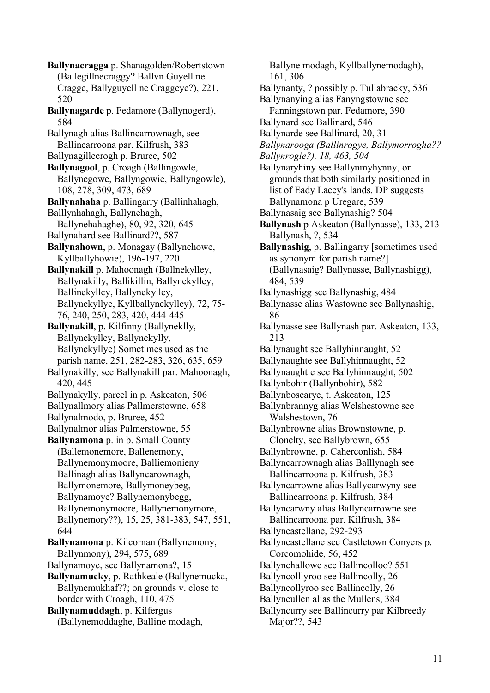**Ballynacragga** p. Shanagolden/Robertstown (Ballegillnecraggy? Ballvn Guyell ne Cragge, Ballyguyell ne Craggeye?), 221, 520 **Ballynagarde** p. Fedamore (Ballynogerd), 584 Ballynagh alias Ballincarrownagh, see Ballincarroona par. Kilfrush, 383 Ballynagillecrogh p. Bruree, 502 **Ballynagool**, p. Croagh (Ballingowle, Ballynegowe, Ballyngowie, Ballyngowle), 108, 278, 309, 473, 689 **Ballynahaha** p. Ballingarry (Ballinhahagh, Balllynhahagh, Ballynehagh, Ballynehahaghe), 80, 92, 320, 645 Ballynahard see Ballinard??, 587 **Ballynahown**, p. Monagay (Ballynehowe, Kyllballyhowie), 196-197, 220 **Ballynakill** p. Mahoonagh (Ballnekylley, Ballynakilly, Ballikillin, Ballynekylley, Ballinekylley, Ballynekylley, Ballynekyllye, Kyllballynekylley), 72, 75- 76, 240, 250, 283, 420, 444-445 **Ballynakill**, p. Kilfinny (Ballyneklly, Ballynekylley, Ballynekylly, Ballynekyllye) Sometimes used as the parish name, 251, 282-283, 326, 635, 659 Ballynakilly, see Ballynakill par. Mahoonagh, 420, 445 Ballynakylly, parcel in p. Askeaton, 506 Ballynallmory alias Pallmerstowne, 658 Ballynalmodo, p. Bruree, 452 Ballynalmor alias Palmerstowne, 55 **Ballynamona** p. in b. Small County (Ballemonemore, Ballenemony, Ballynemonymoore, Balliemonieny Ballinagh alias Ballynearownagh, Ballymonemore, Ballymoneybeg, Ballynamoye? Ballynemonybegg, Ballynemonymoore, Ballynemonymore, Ballynemory??), 15, 25, 381-383, 547, 551, 644 **Ballynamona** p. Kilcornan (Ballynemony, Ballynmony), 294, 575, 689 Ballynamoye, see Ballynamona?, 15 **Ballynamucky**, p. Rathkeale (Ballynemucka, Ballynemukhaf??; on grounds v. close to border with Croagh, 110, 475 **Ballynamuddagh**, p. Kilfergus (Ballynemoddaghe, Balline modagh,

Ballyne modagh, Kyllballynemodagh), 161, 306 Ballynanty, ? possibly p. Tullabracky, 536 Ballynanying alias Fanyngstowne see Fanningstown par. Fedamore, 390 Ballynard see Ballinard, 546 Ballynarde see Ballinard, 20, 31 *Ballynarooga (Ballinrogye, Ballymorrogha?? Ballynrogie?), 18, 463, 504* Ballynaryhiny see Ballynmyhynny, on grounds that both similarly positioned in list of Eady Lacey's lands. DP suggests Ballynamona p Uregare, 539 Ballynasaig see Ballynashig? 504 **Ballynash** p Askeaton (Ballynasse), 133, 213 Ballynash, ?, 534 **Ballynashig**, p. Ballingarry [sometimes used as synonym for parish name?] (Ballynasaig? Ballynasse, Ballynashigg), 484, 539 Ballynashigg see Ballynashig, 484 Ballynasse alias Wastowne see Ballynashig, 86 Ballynasse see Ballynash par. Askeaton, 133, 213 Ballynaught see Ballyhinnaught, 52 Ballynaughte see Ballyhinnaught, 52 Ballynaughtie see Ballyhinnaught, 502 Ballynbohir (Ballynbohir), 582 Ballynboscarye, t. Askeaton, 125 Ballynbrannyg alias Welshestowne see Walshestown, 76 Ballynbrowne alias Brownstowne, p. Clonelty, see Ballybrown, 655 Ballynbrowne, p. Caherconlish, 584 Ballyncarrownagh alias Balllynagh see Ballincarroona p. Kilfrush, 383 Ballyncarrowne alias Ballycarwyny see Ballincarroona p. Kilfrush, 384 Ballyncarwny alias Ballyncarrowne see Ballincarroona par. Kilfrush, 384 Ballyncastellane, 292-293 Ballyncastellane see Castletown Conyers p. Corcomohide, 56, 452 Ballynchallowe see Ballincolloo? 551 Ballyncolllyroo see Ballincolly, 26 Ballyncollyroo see Ballincolly, 26 Ballyncullen alias the Mullens, 384 Ballyncurry see Ballincurry par Kilbreedy Major??, 543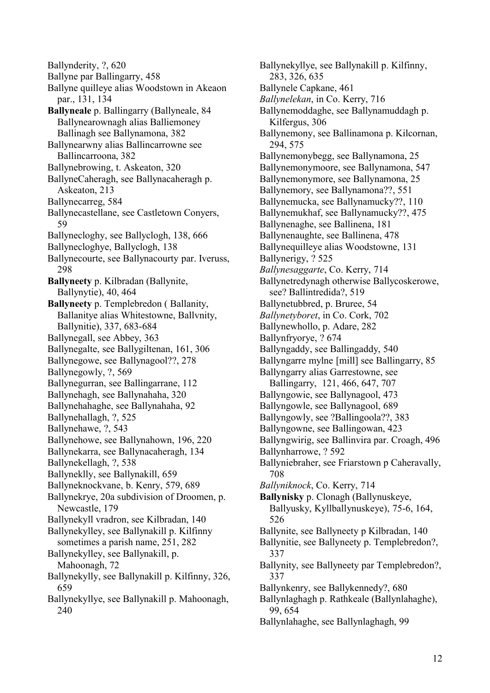Ballynderity, ?, 620 Ballyne par Ballingarry, 458 Ballyne quilleye alias Woodstown in Akeaon par., 131, 134 **Ballyneale** p. Ballingarry (Ballyneale, 84 Ballynearownagh alias Balliemoney Ballinagh see Ballynamona, 382 Ballynearwny alias Ballincarrowne see Ballincarroona, 382 Ballynebrowing, t. Askeaton, 320 BallyneCaheragh, see Ballynacaheragh p. Askeaton, 213 Ballynecarreg, 584 Ballynecastellane, see Castletown Conyers, 59 Ballynecloghy, see Ballyclogh, 138, 666 Ballynecloghye, Ballyclogh, 138 Ballynecourte, see Ballynacourty par. Iveruss, 298 **Ballyneety** p. Kilbradan (Ballynite, Ballynytie), 40, 464 **Ballyneety** p. Templebredon ( Ballanity, Ballanitye alias Whitestowne, Ballvnity, Ballynitie), 337, 683-684 Ballynegall, see Abbey, 363 Ballynegalte, see Ballygiltenan, 161, 306 Ballynegowe, see Ballynagool??, 278 Ballynegowly, ?, 569 Ballynegurran, see Ballingarrane, 112 Ballynehagh, see Ballynahaha, 320 Ballynehahaghe, see Ballynahaha, 92 Ballynehallagh, ?, 525 Ballynehawe, ?, 543 Ballynehowe, see Ballynahown, 196, 220 Ballynekarra, see Ballynacaheragh, 134 Ballynekellagh, ?, 538 Ballyneklly, see Ballynakill, 659 Ballyneknockvane, b. Kenry, 579, 689 Ballynekrye, 20a subdivision of Droomen, p. Newcastle, 179 Ballynekyll vradron, see Kilbradan, 140 Ballynekylley, see Ballynakill p. Kilfinny sometimes a parish name, 251, 282 Ballynekylley, see Ballynakill, p. Mahoonagh, 72 Ballynekylly, see Ballynakill p. Kilfinny, 326, 659 Ballynekyllye, see Ballynakill p. Mahoonagh, 240

Ballynekyllye, see Ballynakill p. Kilfinny, 283, 326, 635 Ballynele Capkane, 461 *Ballynelekan*, in Co. Kerry, 716 Ballynemoddaghe, see Ballynamuddagh p. Kilfergus, 306 Ballynemony, see Ballinamona p. Kilcornan, 294, 575 Ballynemonybegg, see Ballynamona, 25 Ballynemonymoore, see Ballynamona, 547 Ballynemonymore, see Ballynamona, 25 Ballynemory, see Ballynamona??, 551 Ballynemucka, see Ballynamucky??, 110 Ballynemukhaf, see Ballynamucky??, 475 Ballynenaghe, see Ballinena, 181 Ballynenaughte, see Ballinena, 478 Ballynequilleye alias Woodstowne, 131 Ballynerigy, ? 525 *Ballynesaggarte*, Co. Kerry, 714 Ballynetredynagh otherwise Ballycoskerowe, see? Ballintredida?, 519 Ballynetubbred, p. Bruree, 54 *Ballynetyboret*, in Co. Cork, 702 Ballynewhollo, p. Adare, 282 Ballynfryorye, ? 674 Ballyngaddy, see Ballingaddy, 540 Ballyngarre mylne [mill] see Ballingarry, 85 Ballyngarry alias Garrestowne, see Ballingarry, 121, 466, 647, 707 Ballyngowie, see Ballynagool, 473 Ballyngowle, see Ballynagool, 689 Ballyngowly, see ?Ballingoola??, 383 Ballyngowne, see Ballingowan, 423 Ballyngwirig, see Ballinvira par. Croagh, 496 Ballynharrowe, ? 592 Ballyniebraher, see Friarstown p Caheravally, 708 *Ballyniknock*, Co. Kerry, 714 **Ballynisky** p. Clonagh (Ballynuskeye, Ballyusky, Kyllballynuskeye), 75-6, 164, 526 Ballynite, see Ballyneety p Kilbradan, 140 Ballynitie, see Ballyneety p. Templebredon?, 337 Ballynity, see Ballyneety par Templebredon?, 337 Ballynkenry, see Ballykennedy?, 680 Ballynlaghagh p. Rathkeale (Ballynlahaghe), 99, 654 Ballynlahaghe, see Ballynlaghagh, 99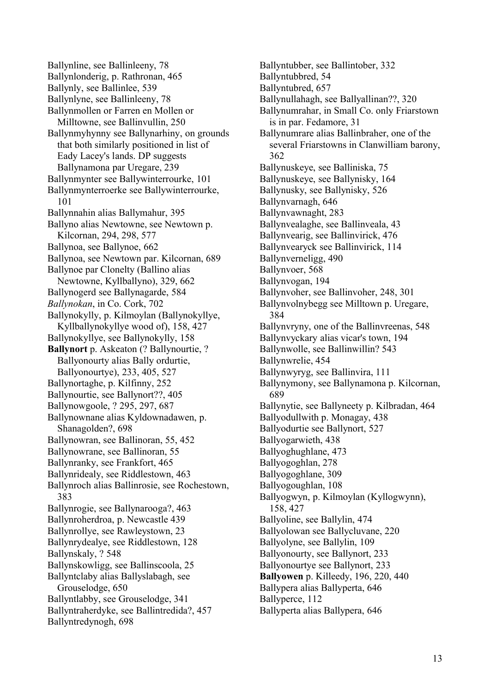Ballynline, see Ballinleeny, 78 Ballynlonderig, p. Rathronan, 465 Ballynly, see Ballinlee, 539 Ballynlyne, see Ballinleeny, 78 Ballynmollen or Farren en Mollen or Milltowne, see Ballinvullin, 250 Ballynmyhynny see Ballynarhiny, on grounds that both similarly positioned in list of Eady Lacey's lands. DP suggests Ballynamona par Uregare, 239 Ballynmynter see Ballywinterrourke, 101 Ballynmynterroerke see Ballywinterrourke, 101 Ballynnahin alias Ballymahur, 395 Ballyno alias Newtowne, see Newtown p. Kilcornan, 294, 298, 577 Ballynoa, see Ballynoe, 662 Ballynoa, see Newtown par. Kilcornan, 689 Ballynoe par Clonelty (Ballino alias Newtowne, Kyllballyno), 329, 662 Ballynogerd see Ballynagarde, 584 *Ballynokan*, in Co. Cork, 702 Ballynokylly, p. Kilmoylan (Ballynokyllye, Kyllballynokyllye wood of), 158, 427 Ballynokyllye, see Ballynokylly, 158 **Ballynort** p. Askeaton (? Ballynourtie, ? Ballyonourty alias Bally ordurtie, Ballyonourtye), 233, 405, 527 Ballynortaghe, p. Kilfinny, 252 Ballynourtie, see Ballynort??, 405 Ballynowgoole, ? 295, 297, 687 Ballynownane alias Kyldownadawen, p. Shanagolden?, 698 Ballynowran, see Ballinoran, 55, 452 Ballynowrane, see Ballinoran, 55 Ballynranky, see Frankfort, 465 Ballynridealy, see Riddlestown, 463 Ballynroch alias Ballinrosie, see Rochestown, 383 Ballynrogie, see Ballynarooga?, 463 Ballynroherdroa, p. Newcastle 439 Ballynrollye, see Rawleystown, 23 Ballynrydealye, see Riddlestown, 128 Ballynskaly, ? 548 Ballynskowligg, see Ballinscoola, 25 Ballyntclaby alias Ballyslabagh, see Grouselodge, 650 Ballyntlabby, see Grouselodge, 341 Ballyntraherdyke, see Ballintredida?, 457 Ballyntredynogh, 698

Ballyntubber, see Ballintober, 332 Ballyntubbred, 54 Ballyntubred, 657 Ballynullahagh, see Ballyallinan??, 320 Ballynumrahar, in Small Co. only Friarstown is in par. Fedamore, 31 Ballynumrare alias Ballinbraher, one of the several Friarstowns in Clanwilliam barony, 362 Ballynuskeye, see Balliniska, 75 Ballynuskeye, see Ballynisky, 164 Ballynusky, see Ballynisky, 526 Ballynvarnagh, 646 Ballynvawnaght, 283 Ballynvealaghe, see Ballinveala, 43 Ballynvearig, see Ballinvirick, 476 Ballynvearyck see Ballinvirick, 114 Ballynverneligg, 490 Ballynvoer, 568 Ballynvogan, 194 Ballynvoher, see Ballinvoher, 248, 301 Ballynvolnybegg see Milltown p. Uregare, 384 Ballynvryny, one of the Ballinvreenas, 548 Ballynvyckary alias vicar's town, 194 Ballynwolle, see Ballinwillin? 543 Ballynwrelie, 454 Ballynwyryg, see Ballinvira, 111 Ballynymony, see Ballynamona p. Kilcornan, 689 Ballynytie, see Ballyneety p. Kilbradan, 464 Ballyodullwith p. Monagay, 438 Ballyodurtie see Ballynort, 527 Ballyogarwieth, 438 Ballyoghughlane, 473 Ballyogoghlan, 278 Ballyogoghlane, 309 Ballyogoughlan, 108 Ballyogwyn, p. Kilmoylan (Kyllogwynn), 158, 427 Ballyoline, see Ballylin, 474 Ballyolowan see Ballycluvane, 220 Ballyolyne, see Ballylin, 109 Ballyonourty, see Ballynort, 233 Ballyonourtye see Ballynort, 233 **Ballyowen** p. Killeedy, 196, 220, 440 Ballypera alias Ballyperta, 646 Ballyperce, 112 Ballyperta alias Ballypera, 646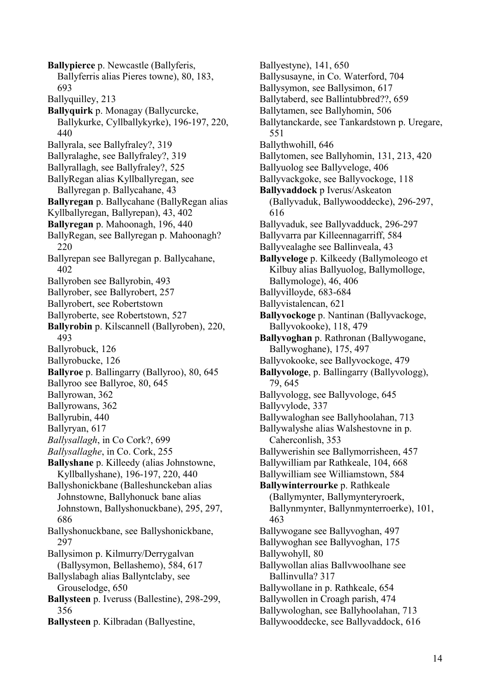**Ballypierce** p. Newcastle (Ballyferis, Ballyferris alias Pieres towne), 80, 183, 693 Ballyquilley, 213 **Ballyquirk** p. Monagay (Ballycurcke, Ballykurke, Cyllballykyrke), 196-197, 220, 440 Ballyrala, see Ballyfraley?, 319 Ballyralaghe, see Ballyfraley?, 319 Ballyrallagh, see Ballyfraley?, 525 BallyRegan alias Kyllballyregan, see Ballyregan p. Ballycahane, 43 **Ballyregan** p. Ballycahane (BallyRegan alias Kyllballyregan, Ballyrepan), 43, 402 **Ballyregan** p. Mahoonagh, 196, 440 BallyRegan, see Ballyregan p. Mahoonagh? 220 Ballyrepan see Ballyregan p. Ballycahane, 402 Ballyroben see Ballyrobin, 493 Ballyrober, see Ballyrobert, 257 Ballyrobert, see Robertstown Ballyroberte, see Robertstown, 527 **Ballyrobin** p. Kilscannell (Ballyroben), 220, 493 Ballyrobuck, 126 Ballyrobucke, 126 **Ballyroe** p. Ballingarry (Ballyroo), 80, 645 Ballyroo see Ballyroe, 80, 645 Ballyrowan, 362 Ballyrowans, 362 Ballyrubin, 440 Ballyryan, 617 *Ballysallagh*, in Co Cork?, 699 *Ballysallaghe*, in Co. Cork, 255 **Ballyshane** p. Killeedy (alias Johnstowne, Kyllballyshane), 196-197, 220, 440 Ballyshonickbane (Balleshunckeban alias Johnstowne, Ballyhonuck bane alias Johnstown, Ballyshonuckbane), 295, 297, 686 Ballyshonuckbane, see Ballyshonickbane, 297 Ballysimon p. Kilmurry/Derrygalvan (Ballysymon, Bellashemo), 584, 617 Ballyslabagh alias Ballyntclaby, see Grouselodge, 650 **Ballysteen** p. Iveruss (Ballestine), 298-299, 356 **Ballysteen** p. Kilbradan (Ballyestine,

Ballyestyne), 141, 650 Ballysusayne, in Co. Waterford, 704 Ballysymon, see Ballysimon, 617 Ballytaberd, see Ballintubbred??, 659 Ballytamen, see Ballyhomin, 506 Ballytanckarde, see Tankardstown p. Uregare, 551 Ballythwohill, 646 Ballytomen, see Ballyhomin, 131, 213, 420 Ballyuolog see Ballyveloge, 406 Ballyvackgoke, see Ballyvockoge, 118 **Ballyvaddock** p Iverus/Askeaton (Ballyvaduk, Ballywooddecke), 296-297, 616 Ballyvaduk, see Ballyvadduck, 296-297 Ballyvarra par Killeennagarriff, 584 Ballyvealaghe see Ballinveala, 43 **Ballyveloge** p. Kilkeedy (Ballymoleogo et Kilbuy alias Ballyuolog, Ballymolloge, Ballymologe), 46, 406 Ballyvilloyde, 683-684 Ballyvistalencan, 621 **Ballyvockoge** p. Nantinan (Ballyvackoge, Ballyvokooke), 118, 479 **Ballyvoghan** p. Rathronan (Ballywogane, Ballywoghane), 175, 497 Ballyvokooke, see Ballyvockoge, 479 **Ballyvologe**, p. Ballingarry (Ballyvologg), 79, 645 Ballyvologg, see Ballyvologe, 645 Ballyvylode, 337 Ballywaloghan see Ballyhoolahan, 713 Ballywalyshe alias Walshestovne in p. Caherconlish, 353 Ballywerishin see Ballymorrisheen, 457 Ballywilliam par Rathkeale, 104, 668 Ballywilliam see Williamstown, 584 **Ballywinterrourke** p. Rathkeale (Ballymynter, Ballymynteryroerk, Ballynmynter, Ballynmynterroerke), 101, 463 Ballywogane see Ballyvoghan, 497 Ballywoghan see Ballyvoghan, 175 Ballywohyll, 80 Ballywollan alias Ballvwoolhane see Ballinvulla? 317 Ballywollane in p. Rathkeale, 654 Ballywollen in Croagh parish, 474 Ballywologhan, see Ballyhoolahan, 713 Ballywooddecke, see Ballyvaddock, 616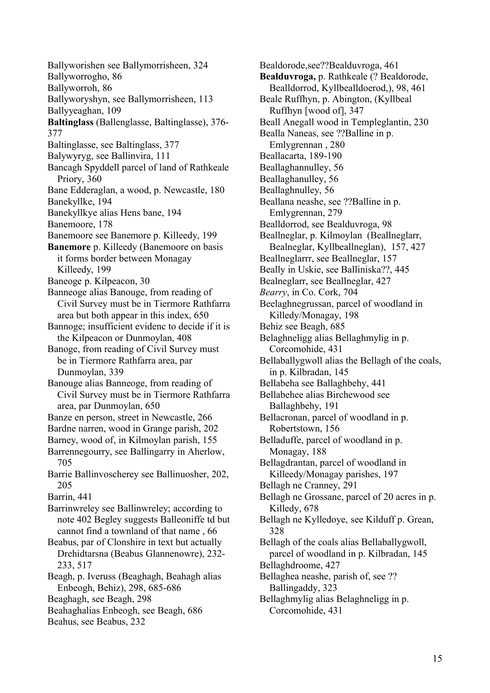Ballyworishen see Ballymorrisheen, 324 Ballyworrogho, 86 Ballyworroh, 86 Ballyworyshyn, see Ballymorrisheen, 113 Ballyyeaghan, 109 **Baltinglass** (Ballenglasse, Baltinglasse), 376- 377 Baltinglasse, see Baltinglass, 377 Balywyryg, see Ballinvira, 111 Bancagh Spyddell parcel of land of Rathkeale Priory, 360 Bane Edderaglan, a wood, p. Newcastle, 180 Banekyllke, 194 Banekyllkye alias Hens bane, 194 Banemoore, 178 Banemoore see Banemore p. Killeedy, 199 **Banemore** p. Killeedy (Banemoore on basis it forms border between Monagay Killeedy, 199 Baneoge p. Kilpeacon, 30 Banneoge alias Banouge, from reading of Civil Survey must be in Tiermore Rathfarra area but both appear in this index, 650 Bannoge; insufficient evidenc to decide if it is the Kilpeacon or Dunmoylan, 408 Banoge, from reading of Civil Survey must be in Tiermore Rathfarra area, par Dunmoylan, 339 Banouge alias Banneoge, from reading of Civil Survey must be in Tiermore Rathfarra area, par Dunmoylan, 650 Banze en person, street in Newcastle, 266 Bardne narren, wood in Grange parish, 202 Barney, wood of, in Kilmoylan parish, 155 Barrennegourry, see Ballingarry in Aherlow, 705 Barrie Ballinvoscherey see Ballinuosher, 202, 205 Barrin, 441 Barrinwreley see Ballinwreley; according to note 402 Begley suggests Balleoniffe td but cannot find a townland of that name , 66 Beabus, par of Clonshire in text but actually Drehidtarsna (Beabus Glannenowre), 232- 233, 517 Beagh, p. Iveruss (Beaghagh, Beahagh alias Enbeogh, Behiz), 298, 685-686 Beaghagh, see Beagh, 298 Beahaghalias Enbeogh, see Beagh, 686 Beahus, see Beabus, 232

Bealdorode,see??Bealduvroga, 461 **Bealduvroga,** p. Rathkeale (? Bealdorode, Bealldorrod, Kyllbealldoerod,), 98, 461 Beale Ruffhyn, p. Abington, (Kyllbeal Ruffhyn [wood of], 347 Beall Anegall wood in Templeglantin, 230 Bealla Naneas, see ??Balline in p. Emlygrennan , 280 Beallacarta, 189-190 Beallaghannulley, 56 Beallaghanulley, 56 Beallaghnulley, 56 Beallana neashe, see ??Balline in p. Emlygrennan, 279 Bealldorrod, see Bealduvroga, 98 Beallneglar, p. Kilmoylan (Beallneglarr, Bealneglar, Kyllbeallneglan), 157, 427 Beallneglarrr, see Beallneglar, 157 Beally in Uskie, see Balliniska??, 445 Bealneglarr, see Beallneglar, 427 *Bearry*, in Co. Cork, 704 Beelaghnegrussan, parcel of woodland in Killedy/Monagay, 198 Behiz see Beagh, 685 Belaghneligg alias Bellaghmylig in p. Corcomohide, 431 Bellaballygwoll alias the Bellagh of the coals, in p. Kilbradan, 145 Bellabeha see Ballaghbehy, 441 Bellabehee alias Birchewood see Ballaghbehy, 191 Bellacronan, parcel of woodland in p. Robertstown, 156 Belladuffe, parcel of woodland in p. Monagay, 188 Bellagdrantan, parcel of woodland in Killeedy/Monagay parishes, 197 Bellagh ne Cranney, 291 Bellagh ne Grossane, parcel of 20 acres in p. Killedy, 678 Bellagh ne Kylledoye, see Kilduff p. Grean, 328 Bellagh of the coals alias Bellaballygwoll, parcel of woodland in p. Kilbradan, 145 Bellaghdroome, 427 Bellaghea neashe, parish of, see ?? Ballingaddy, 323 Bellaghmylig alias Belaghneligg in p. Corcomohide, 431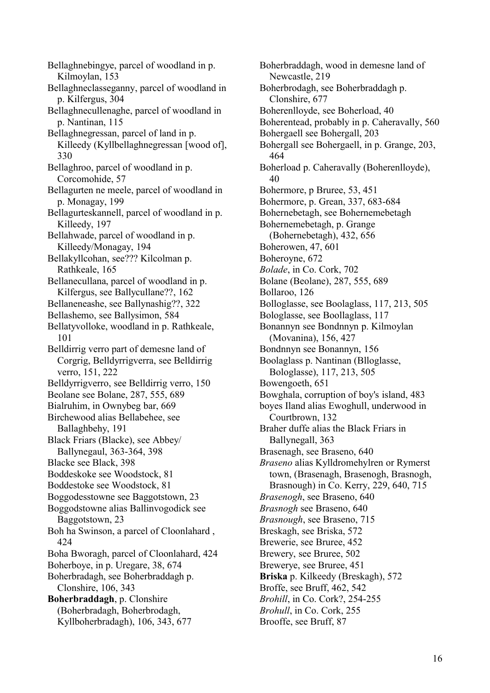Bellaghnebingye, parcel of woodland in p. Kilmoylan, 153 Bellaghneclasseganny, parcel of woodland in p. Kilfergus, 304 Bellaghnecullenaghe, parcel of woodland in p. Nantinan, 115 Bellaghnegressan, parcel of land in p. Killeedy (Kyllbellaghnegressan [wood of], 330 Bellaghroo, parcel of woodland in p. Corcomohide, 57 Bellagurten ne meele, parcel of woodland in p. Monagay, 199 Bellagurteskannell, parcel of woodland in p. Killeedy, 197 Bellahwade, parcel of woodland in p. Killeedy/Monagay, 194 Bellakyllcohan, see??? Kilcolman p. Rathkeale, 165 Bellanecullana, parcel of woodland in p. Kilfergus, see Ballycullane??, 162 Bellaneneashe, see Ballynashig??, 322 Bellashemo, see Ballysimon, 584 Bellatyvolloke, woodland in p. Rathkeale, 101 Belldirrig verro part of demesne land of Corgrig, Belldyrrigverra, see Belldirrig verro, 151, 222 Belldyrrigverro, see Belldirrig verro, 150 Beolane see Bolane, 287, 555, 689 Bialruhim, in Ownybeg bar, 669 Birchewood alias Bellabehee, see Ballaghbehy, 191 Black Friars (Blacke), see Abbey/ Ballynegaul, 363-364, 398 Blacke see Black, 398 Boddeskoke see Woodstock, 81 Boddestoke see Woodstock, 81 Boggodesstowne see Baggotstown, 23 Boggodstowne alias Ballinvogodick see Baggotstown, 23 Boh ha Swinson, a parcel of Cloonlahard , 424 Boha Bworagh, parcel of Cloonlahard, 424 Boherboye, in p. Uregare, 38, 674 Boherbradagh, see Boherbraddagh p. Clonshire, 106, 343 **Boherbraddagh**, p. Clonshire (Boherbradagh, Boherbrodagh, Kyllboherbradagh), 106, 343, 677

Boherbraddagh, wood in demesne land of Newcastle, 219 Boherbrodagh, see Boherbraddagh p. Clonshire, 677 Boherenlloyde, see Boherload, 40 Boherentead, probably in p. Caheravally, 560 Bohergaell see Bohergall, 203 Bohergall see Bohergaell, in p. Grange, 203, 464 Boherload p. Caheravally (Boherenlloyde), 40 Bohermore, p Bruree, 53, 451 Bohermore, p. Grean, 337, 683-684 Bohernebetagh, see Bohernemebetagh Bohernemebetagh, p. Grange (Bohernebetagh), 432, 656 Boherowen, 47, 601 Boheroyne, 672 *Bolade*, in Co. Cork, 702 Bolane (Beolane), 287, 555, 689 Bollaroo, 126 Bolloglasse, see Boolaglass, 117, 213, 505 Bologlasse, see Boollaglass, 117 Bonannyn see Bondnnyn p. Kilmoylan (Movanina), 156, 427 Bondnnyn see Bonannyn, 156 Boolaglass p. Nantinan (Blloglasse, Bologlasse), 117, 213, 505 Bowengoeth, 651 Bowghala, corruption of boy's island, 483 boyes Iland alias Ewoghull, underwood in Courtbrown, 132 Braher duffe alias the Black Friars in Ballynegall, 363 Brasenagh, see Braseno, 640 *Braseno* alias Kylldromehylren or Rymerst town, (Brasenagh, Brasenogh, Brasnogh, Brasnough) in Co. Kerry, 229, 640, 715 *Brasenogh*, see Braseno, 640 *Brasnogh* see Braseno, 640 *Brasnough*, see Braseno, 715 Breskagh, see Briska, 572 Brewerie, see Bruree, 452 Brewery, see Bruree, 502 Brewerye, see Bruree, 451 **Briska** p. Kilkeedy (Breskagh), 572 Broffe, see Bruff, 462, 542 *Brohill*, in Co. Cork?, 254-255 *Brohull*, in Co. Cork, 255 Brooffe, see Bruff, 87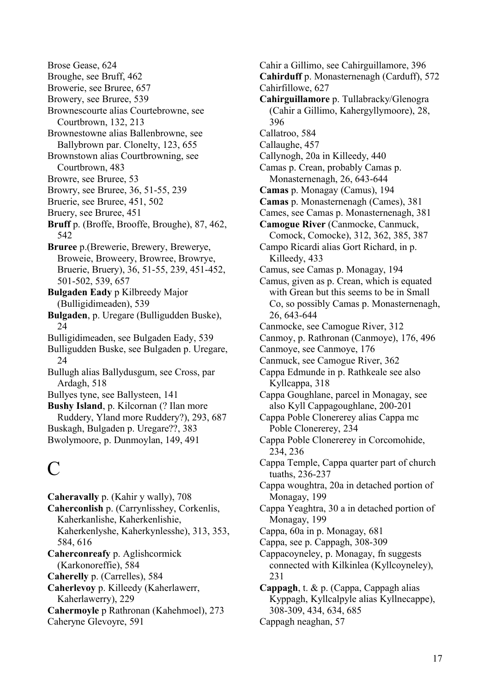Brose Gease, 624 Broughe, see Bruff, 462 Browerie, see Bruree, 657 Browery, see Bruree, 539 Brownescourte alias Courtebrowne, see Courtbrown, 132, 213 Brownestowne alias Ballenbrowne, see Ballybrown par. Clonelty, 123, 655 Brownstown alias Courtbrowning, see Courtbrown, 483 Browre, see Bruree, 53 Browry, see Bruree, 36, 51-55, 239 Bruerie, see Bruree, 451, 502 Bruery, see Bruree, 451 **Bruff** p. (Broffe, Brooffe, Broughe), 87, 462, 542 **Bruree** p.(Brewerie, Brewery, Brewerye, Broweie, Broweery, Browree, Browrye, Bruerie, Bruery), 36, 51-55, 239, 451-452, 501-502, 539, 657 **Bulgaden Eady** p Kilbreedy Major (Bulligidimeaden), 539 **Bulgaden**, p. Uregare (Bulligudden Buske),  $24$ Bulligidimeaden, see Bulgaden Eady, 539 Bulligudden Buske, see Bulgaden p. Uregare, 24 Bullugh alias Ballydusgum, see Cross, par Ardagh, 518 Bullyes tyne, see Ballysteen, 141 **Bushy Island**, p. Kilcornan (? Ilan more Ruddery, Yland more Ruddery?), 293, 687 Buskagh, Bulgaden p. Uregare??, 383 Bwolymoore, p. Dunmoylan, 149, 491

# $\mathcal{C}$

**Caheravally** p. (Kahir y wally), 708 **Caherconlish** p. (Carrynlisshey, Corkenlis, Kaherkanlishe, Kaherkenlishie, Kaherkenlyshe, Kaherkynlesshe), 313, 353, 584, 616 **Caherconreafy** p. Aglishcormick (Karkonoreffie), 584 **Caherelly** p. (Carrelles), 584 **Caherlevoy** p. Killeedy (Kaherlawerr, Kaherlawerry), 229 **Cahermoyle** p Rathronan (Kahehmoel), 273 Caheryne Glevoyre, 591

Cahir a Gillimo, see Cahirguillamore, 396 **Cahirduff** p. Monasternenagh (Carduff), 572 Cahirfillowe, 627 **Cahirguillamore** p. Tullabracky/Glenogra (Cahir a Gillimo, Kahergyllymoore), 28, 396 Callatroo, 584 Callaughe, 457 Callynogh, 20a in Killeedy, 440 Camas p. Crean, probably Camas p. Monasternenagh, 26, 643-644 **Camas** p. Monagay (Camus), 194 **Camas** p. Monasternenagh (Cames), 381 Cames, see Camas p. Monasternenagh, 381 **Camogue River** (Canmocke, Canmuck, Comock, Comocke), 312, 362, 385, 387 Campo Ricardi alias Gort Richard, in p. Killeedy, 433 Camus, see Camas p. Monagay, 194 Camus, given as p. Crean, which is equated with Grean but this seems to be in Small Co, so possibly Camas p. Monasternenagh, 26, 643-644 Canmocke, see Camogue River, 312 Canmoy, p. Rathronan (Canmoye), 176, 496 Canmoye, see Canmoye, 176 Canmuck, see Camogue River, 362 Cappa Edmunde in p. Rathkeale see also Kyllcappa, 318 Cappa Goughlane, parcel in Monagay, see also Kyll Cappagoughlane, 200-201 Cappa Poble Clonererey alias Cappa mc Poble Clonererey, 234 Cappa Poble Clonererey in Corcomohide, 234, 236 Cappa Temple, Cappa quarter part of church tuaths, 236-237 Cappa woughtra, 20a in detached portion of Monagay, 199 Cappa Yeaghtra, 30 a in detached portion of Monagay, 199 Cappa, 60a in p. Monagay, 681 Cappa, see p. Cappagh, 308-309 Cappacoyneley, p. Monagay, fn suggests connected with Kilkinlea (Kyllcoyneley), 231 **Cappagh**, t. & p. (Cappa, Cappagh alias Kyppagh, Kyllcalpyle alias Kyllnecappe), 308-309, 434, 634, 685 Cappagh neaghan, 57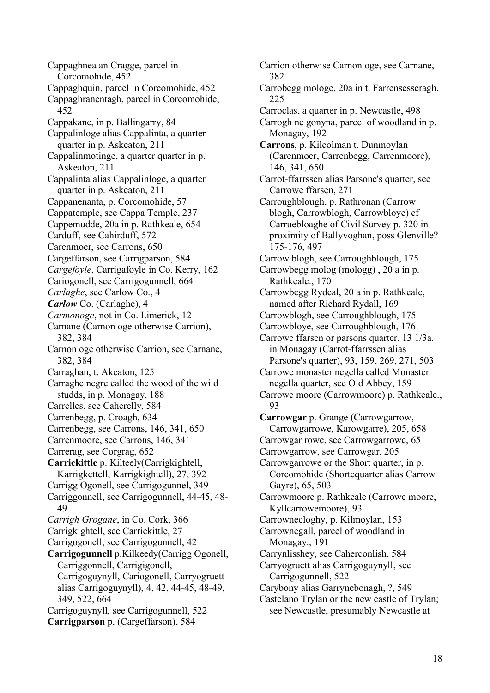Cappaghnea an Cragge, parcel in Corcomohide, 452 Cappaghquin, parcel in Corcomohide, 452 Cappaghranentagh, parcel in Corcomohide, 452 Cappakane, in p. Ballingarry, 84 Cappalinloge alias Cappalinta, a quarter quarter in p. Askeaton, 211 Cappalinmotinge, a quarter quarter in p. Askeaton, 211 Cappalinta alias Cappalinloge, a quarter quarter in p. Askeaton, 211 Cappanenanta, p. Corcomohide, 57 Cappatemple, see Cappa Temple, 237 Cappemudde, 20a in p. Rathkeale, 654 Carduff, see Cahirduff, 572 Carenmoer, see Carrons, 650 Cargeffarson, see Carrigparson, 584 *Cargefoyle*, Carrigafoyle in Co. Kerry, 162 Cariogonell, see Carrigogunnell, 664 *Carlaghe*, see Carlow Co., 4 *Carlow* Co. (Carlaghe), 4 *Carmonoge*, not in Co. Limerick, 12 Carnane (Carnon oge otherwise Carrion), 382, 384 Carnon oge otherwise Carrion, see Carnane, 382, 384 Carraghan, t. Akeaton, 125 Carraghe negre called the wood of the wild studds, in p. Monagay, 188 Carrelles, see Caherelly, 584 Carrenbegg, p. Croagh, 634 Carrenbegg, see Carrons, 146, 341, 650 Carrenmoore, see Carrons, 146, 341 Carrerag, see Corgrag, 652 **Carrickittle** p. Kilteely(Carrigkightell, Karrigkettell, Karrigkightell), 27, 392 Carrigg Ogonell, see Carrigogunnel, 349 Carriggonnell, see Carrigogunnell, 44-45, 48- 49 *Carrigh Grogane*, in Co. Cork, 366 Carrigkightell, see Carrickittle, 27 Carrigogonell, see Carrigogunnell, 42 **Carrigogunnell** p.Kilkeedy(Carrigg Ogonell, Carriggonnell, Carrigigonell, Carrigoguynyll, Cariogonell, Carryogruett alias Carrigoguynyll), 4, 42, 44-45, 48-49, 349, 522, 664 Carrigoguynyll, see Carrigogunnell, 522 **Carrigparson** p. (Cargeffarson), 584

Carrion otherwise Carnon oge, see Carnane, 382 Carrobegg mologe, 20a in t. Farrensesseragh, 225 Carroclas, a quarter in p. Newcastle, 498 Carrogh ne gonyna, parcel of woodland in p. Monagay, 192 **Carrons**, p. Kilcolman t. Dunmoylan (Carenmoer, Carrenbegg, Carrenmoore), 146, 341, 650 Carrot-ffarrssen alias Parsone's quarter, see Carrowe ffarsen, 271 Carroughblough, p. Rathronan (Carrow blogh, Carrowblogh, Carrowbloye) cf Carruebloaghe of Civil Survey p. 320 in proximity of Ballyvoghan, poss Glenville? 175-176, 497 Carrow blogh, see Carroughblough, 175 Carrowbegg molog (mologg) , 20 a in p. Rathkeale., 170 Carrowbegg Rydeal, 20 a in p. Rathkeale, named after Richard Rydall, 169 Carrowblogh, see Carroughblough, 175 Carrowbloye, see Carroughblough, 176 Carrowe ffarsen or parsons quarter, 13 1/3a. in Monagay (Carrot-ffarrssen alias Parsone's quarter), 93, 159, 269, 271, 503 Carrowe monaster negella called Monaster negella quarter, see Old Abbey, 159 Carrowe moore (Carrowmoore) p. Rathkeale., 93 **Carrowgar** p. Grange (Carrowgarrow, Carrowgarrowe, Karowgarre), 205, 658 Carrowgar rowe, see Carrowgarrowe, 65 Carrowgarrow, see Carrowgar, 205 Carrowgarrowe or the Short quarter, in p. Corcomohide (Shortequarter alias Carrow Gayre), 65, 503 Carrowmoore p. Rathkeale (Carrowe moore, Kyllcarrowemoore), 93 Carrownecloghy, p. Kilmoylan, 153 Carrownegall, parcel of woodland in Monagay., 191 Carrynlisshey, see Caherconlish, 584 Carryogruett alias Carrigoguynyll, see Carrigogunnell, 522 Carybony alias Garrynebonagh, ?, 549 Castelano Trylan or the new castle of Trylan; see Newcastle, presumably Newcastle at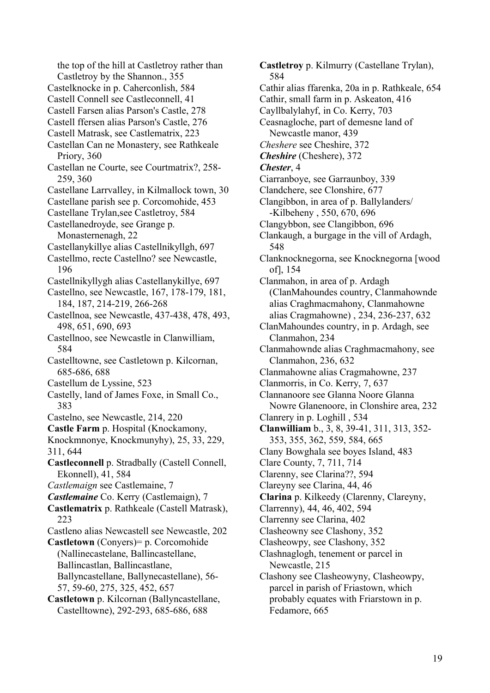the top of the hill at Castletroy rather than Castletroy by the Shannon., 355 Castelknocke in p. Caherconlish, 584 Castell Connell see Castleconnell, 41 Castell Farsen alias Parson's Castle, 278 Castell ffersen alias Parson's Castle, 276 Castell Matrask, see Castlematrix, 223 Castellan Can ne Monastery, see Rathkeale Priory, 360 Castellan ne Courte, see Courtmatrix?, 258- 259, 360 Castellane Larrvalley, in Kilmallock town, 30 Castellane parish see p. Corcomohide, 453 Castellane Trylan,see Castletroy, 584 Castellanedroyde, see Grange p. Monasternenagh, 22 Castellanykillye alias Castellnikyllgh, 697 Castellmo, recte Castellno? see Newcastle, 196 Castellnikyllygh alias Castellanykillye, 697 Castellno, see Newcastle, 167, 178-179, 181, 184, 187, 214-219, 266-268 Castellnoa, see Newcastle, 437-438, 478, 493, 498, 651, 690, 693 Castellnoo, see Newcastle in Clanwilliam, 584 Castelltowne, see Castletown p. Kilcornan, 685-686, 688 Castellum de Lyssine, 523 Castelly, land of James Foxe, in Small Co., 383 Castelno, see Newcastle, 214, 220 **Castle Farm** p. Hospital (Knockamony, Knockmnonye, Knockmunyhy), 25, 33, 229, 311, 644 **Castleconnell** p. Stradbally (Castell Connell, Ekonnell), 41, 584 *Castlemaign* see Castlemaine, 7 *Castlemaine* Co. Kerry (Castlemaign), 7 **Castlematrix** p. Rathkeale (Castell Matrask), 223 Castleno alias Newcastell see Newcastle, 202 **Castletown** (Conyers)= p. Corcomohide (Nallinecastelane, Ballincastellane, Ballincastlan, Ballincastlane, Ballyncastellane, Ballynecastellane), 56- 57, 59-60, 275, 325, 452, 657 **Castletown** p. Kilcornan (Ballyncastellane, Castelltowne), 292-293, 685-686, 688

**Castletroy** p. Kilmurry (Castellane Trylan), 584 Cathir alias ffarenka, 20a in p. Rathkeale, 654 Cathir, small farm in p. Askeaton, 416 Cayllbalylahyf, in Co. Kerry, 703 Ceasnagloche, part of demesne land of Newcastle manor, 439 *Cheshere* see Cheshire, 372 *Cheshire* (Cheshere), 372 *Chester*, 4 Ciarranboye, see Garraunboy, 339 Clandchere, see Clonshire, 677 Clangibbon, in area of p. Ballylanders/ -Kilbeheny , 550, 670, 696 Clangybbon, see Clangibbon, 696 Clankaugh, a burgage in the vill of Ardagh, 548 Clanknocknegorna, see Knocknegorna [wood of], 154 Clanmahon, in area of p. Ardagh (ClanMahoundes country, Clanmahownde alias Craghmacmahony, Clanmahowne alias Cragmahowne) , 234, 236-237, 632 ClanMahoundes country, in p. Ardagh, see Clanmahon, 234 Clanmahownde alias Craghmacmahony, see Clanmahon, 236, 632 Clanmahowne alias Cragmahowne, 237 Clanmorris, in Co. Kerry, 7, 637 Clannanoore see Glanna Noore Glanna Nowre Glanenoore, in Clonshire area, 232 Clanrery in p. Loghill , 534 **Clanwilliam** b., 3, 8, 39-41, 311, 313, 352- 353, 355, 362, 559, 584, 665 Clany Bowghala see boyes Island, 483 Clare County, 7, 711, 714 Clarenny, see Clarina??, 594 Clareyny see Clarina, 44, 46 **Clarina** p. Kilkeedy (Clarenny, Clareyny, Clarrenny), 44, 46, 402, 594 Clarrenny see Clarina, 402 Clasheowny see Clashony, 352 Clasheowpy, see Clashony, 352 Clashnaglogh, tenement or parcel in Newcastle, 215 Clashony see Clasheowyny, Clasheowpy, parcel in parish of Friastown, which probably equates with Friarstown in p. Fedamore, 665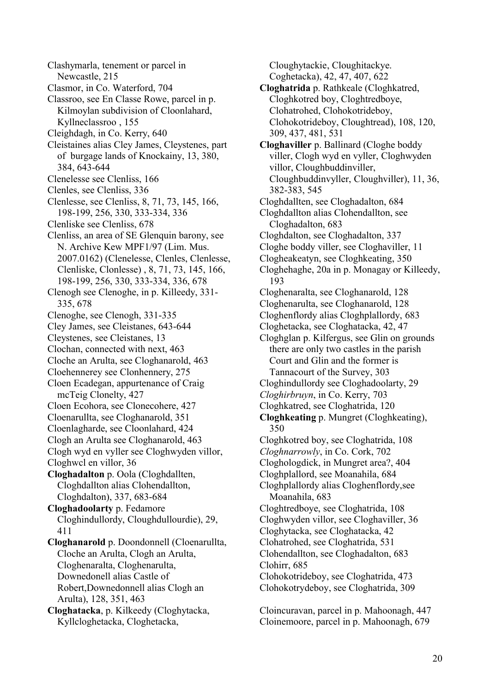Clashymarla, tenement or parcel in Newcastle, 215

- Clasmor, in Co. Waterford, 704
- Classroo, see En Classe Rowe, parcel in p. Kilmoylan subdivision of Cloonlahard, Kyllneclassroo , 155
- Cleighdagh, in Co. Kerry, 640
- Cleistaines alias Cley James, Cleystenes, part of burgage lands of Knockainy, 13, 380, 384, 643-644
- Clenelesse see Clenliss, 166
- Clenles, see Clenliss, 336
- Clenlesse, see Clenliss, 8, 71, 73, 145, 166, 198-199, 256, 330, 333-334, 336
- Clenliske see Clenliss, 678
- Clenliss, an area of SE Glenquin barony, see N. Archive Kew MPF1/97 (Lim. Mus. 2007.0162) (Clenelesse, Clenles, Clenlesse, Clenliske, Clonlesse) , 8, 71, 73, 145, 166, 198-199, 256, 330, 333-334, 336, 678
- Clenogh see Clenoghe, in p. Killeedy, 331- 335, 678
- Clenoghe, see Clenogh, 331-335
- Cley James, see Cleistanes, 643-644
- Cleystenes, see Cleistanes, 13
- Clochan, connected with next, 463
- Cloche an Arulta, see Cloghanarold, 463
- Cloehennerey see Clonhennery, 275
- Cloen Ecadegan, appurtenance of Craig mcTeig Clonelty, 427
- Cloen Ecohora, see Clonecohere, 427
- Cloenarullta, see Cloghanarold, 351
- Cloenlagharde, see Cloonlahard, 424
- Clogh an Arulta see Cloghanarold, 463
- Clogh wyd en vyller see Cloghwyden villor, Cloghwcl en villor, 36
- **Cloghadalton** p. Oola (Cloghdallten, Cloghdallton alias Clohendallton, Cloghdalton), 337, 683-684
- **Cloghadoolarty** p. Fedamore Cloghindullordy, Cloughdullourdie), 29, 411
- **Cloghanarold** p. Doondonnell (Cloenarullta, Cloche an Arulta, Clogh an Arulta, Cloghenaralta, Cloghenarulta, Downedonell alias Castle of Robert,Downedonnell alias Clogh an Arulta), 128, 351, 463
- **Cloghatacka**, p. Kilkeedy (Cloghytacka, Kyllcloghetacka, Cloghetacka,

Cloughytackie, Cloughitackye. Coghetacka), 42, 47, 407, 622

- **Cloghatrida** p. Rathkeale (Cloghkatred, Cloghkotred boy, Cloghtredboye, Clohatrohed, Clohokotrideboy, Clohokotrideboy, Cloughtread), 108, 120, 309, 437, 481, 531
- **Cloghaviller** p. Ballinard (Cloghe boddy viller, Clogh wyd en vyller, Cloghwyden villor, Cloughbuddinviller, Cloughbuddinvyller, Cloughviller), 11, 36, 382-383, 545
- Cloghdallten, see Cloghadalton, 684
- Cloghdallton alias Clohendallton, see Cloghadalton, 683
- Cloghdalton, see Cloghadalton, 337
- Cloghe boddy viller, see Cloghaviller, 11
- Clogheakeatyn, see Cloghkeating, 350
- Cloghehaghe, 20a in p. Monagay or Killeedy, 193
- Cloghenaralta, see Cloghanarold, 128
- Cloghenarulta, see Cloghanarold, 128
- Cloghenflordy alias Cloghplallordy, 683
- Cloghetacka, see Cloghatacka, 42, 47
- Cloghglan p. Kilfergus, see Glin on grounds there are only two castles in the parish Court and Glin and the former is Tannacourt of the Survey, 303
- Cloghindullordy see Cloghadoolarty, 29
- *Cloghirbruyn*, in Co. Kerry, 703
- Cloghkatred, see Cloghatrida, 120
- **Cloghkeating** p. Mungret (Cloghkeating), 350
- Cloghkotred boy, see Cloghatrida, 108
- *Cloghnarrowly*, in Co. Cork, 702
- Cloghologdick, in Mungret area?, 404
- Cloghplallord, see Moanahila, 684
- Cloghplallordy alias Cloghenflordy,see Moanahila, 683
- Cloghtredboye, see Cloghatrida, 108
- Cloghwyden villor, see Cloghaviller, 36
- Cloghytacka, see Cloghatacka, 42
- Clohatrohed, see Cloghatrida, 531
- Clohendallton, see Cloghadalton, 683 Clohirr, 685
- Clohokotrideboy, see Cloghatrida, 473 Clohokotrydeboy, see Cloghatrida, 309

Cloincuravan, parcel in p. Mahoonagh, 447 Cloinemoore, parcel in p. Mahoonagh, 679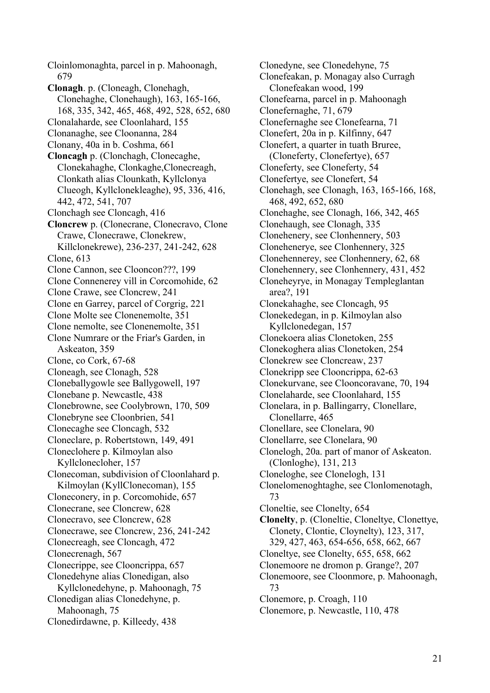Cloinlomonaghta, parcel in p. Mahoonagh, 679 **Clonagh**. p. (Cloneagh, Clonehagh, Clonehaghe, Clonehaugh), 163, 165-166, 168, 335, 342, 465, 468, 492, 528, 652, 680 Clonalaharde, see Cloonlahard, 155 Clonanaghe, see Cloonanna, 284 Clonany, 40a in b. Coshma, 661 **Cloncagh** p. (Clonchagh, Clonecaghe, Clonekahaghe, Clonkaghe,Clonecreagh, Clonkath alias Clounkath, Kyllclonya Clueogh, Kyllclonekleaghe), 95, 336, 416, 442, 472, 541, 707 Clonchagh see Cloncagh, 416 **Cloncrew** p. (Clonecrane, Clonecravo, Clone Crawe, Clonecrawe, Clonekrew, Killclonekrewe), 236-237, 241-242, 628 Clone, 613 Clone Cannon, see Clooncon???, 199 Clone Connenerey vill in Corcomohide, 62 Clone Crawe, see Cloncrew, 241 Clone en Garrey, parcel of Corgrig, 221 Clone Molte see Clonenemolte, 351 Clone nemolte, see Clonenemolte, 351 Clone Numrare or the Friar's Garden, in Askeaton, 359 Clone, co Cork, 67-68 Cloneagh, see Clonagh, 528 Cloneballygowle see Ballygowell, 197 Clonebane p. Newcastle, 438 Clonebrowne, see Coolybrown, 170, 509 Clonebryne see Cloonbrien, 541 Clonecaghe see Cloncagh, 532 Cloneclare, p. Robertstown, 149, 491 Cloneclohere p. Kilmoylan also Kyllclonecloher, 157 Clonecoman, subdivision of Cloonlahard p. Kilmoylan (KyllClonecoman), 155 Cloneconery, in p. Corcomohide, 657 Clonecrane, see Cloncrew, 628 Clonecravo, see Cloncrew, 628 Clonecrawe, see Cloncrew, 236, 241-242 Clonecreagh, see Cloncagh, 472 Clonecrenagh, 567 Clonecrippe, see Clooncrippa, 657 Clonedehyne alias Clonedigan, also Kyllclonedehyne, p. Mahoonagh, 75 Clonedigan alias Clonedehyne, p. Mahoonagh, 75 Clonedirdawne, p. Killeedy, 438

Clonedyne, see Clonedehyne, 75 Clonefeakan, p. Monagay also Curragh Clonefeakan wood, 199 Clonefearna, parcel in p. Mahoonagh Clonefernaghe, 71, 679 Clonefernaghe see Clonefearna, 71 Clonefert, 20a in p. Kilfinny, 647 Clonefert, a quarter in tuath Bruree, (Cloneferty, Clonefertye), 657 Cloneferty, see Cloneferty, 54 Clonefertye, see Clonefert, 54 Clonehagh, see Clonagh, 163, 165-166, 168, 468, 492, 652, 680 Clonehaghe, see Clonagh, 166, 342, 465 Clonehaugh, see Clonagh, 335 Clonehenery, see Clonhennery, 503 Clonehenerye, see Clonhennery, 325 Clonehennerey, see Clonhennery, 62, 68 Clonehennery, see Clonhennery, 431, 452 Cloneheyrye, in Monagay Templeglantan area?, 191 Clonekahaghe, see Cloncagh, 95 Clonekedegan, in p. Kilmoylan also Kyllclonedegan, 157 Clonekoera alias Clonetoken, 255 Clonekoghera alias Clonetoken, 254 Clonekrew see Cloncreaw, 237 Clonekripp see Clooncrippa, 62-63 Clonekurvane, see Clooncoravane, 70, 194 Clonelaharde, see Cloonlahard, 155 Clonelara, in p. Ballingarry, Clonellare, Clonellarre, 465 Clonellare, see Clonelara, 90 Clonellarre, see Clonelara, 90 Clonelogh, 20a. part of manor of Askeaton. (Clonloghe), 131, 213 Cloneloghe, see Clonelogh, 131 Clonelomenoghtaghe, see Clonlomenotagh, 73 Cloneltie, see Clonelty, 654 **Clonelty**, p. (Cloneltie, Cloneltye, Clonettye, Clonety, Clontie, Cloynelty), 123, 317, 329, 427, 463, 654-656, 658, 662, 667 Cloneltye, see Clonelty, 655, 658, 662 Clonemoore ne dromon p. Grange?, 207 Clonemoore, see Cloonmore, p. Mahoonagh, 73 Clonemore, p. Croagh, 110 Clonemore, p. Newcastle, 110, 478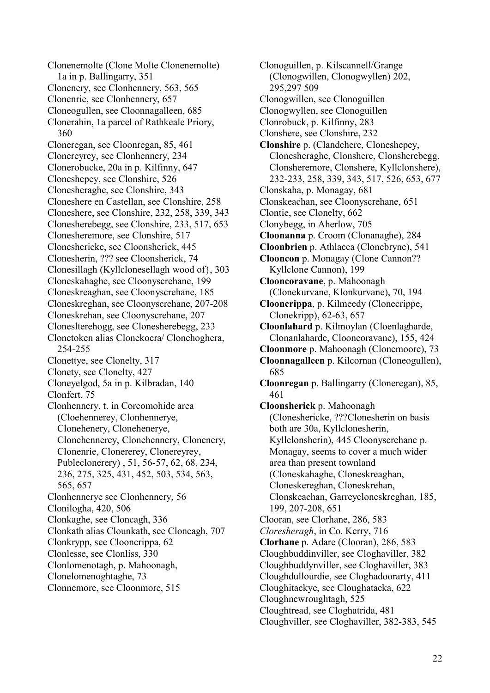Clonenemolte (Clone Molte Clonenemolte) 1a in p. Ballingarry, 351 Clonenery, see Clonhennery, 563, 565 Clonenrie, see Clonhennery, 657 Cloneogullen, see Cloonnagalleen, 685 Clonerahin, 1a parcel of Rathkeale Priory, 360 Cloneregan, see Cloonregan, 85, 461 Clonereyrey, see Clonhennery, 234 Clonerobucke, 20a in p. Kilfinny, 647 Cloneshepey, see Clonshire, 526 Clonesheraghe, see Clonshire, 343 Cloneshere en Castellan, see Clonshire, 258 Cloneshere, see Clonshire, 232, 258, 339, 343 Clonesherebegg, see Clonshire, 233, 517, 653 Clonesheremore, see Clonshire, 517 Cloneshericke, see Cloonsherick, 445 Clonesherin, ??? see Cloonsherick, 74 Clonesillagh (Kyllclonesellagh wood of}, 303 Cloneskahaghe, see Cloonyscrehane, 199 Cloneskreaghan, see Cloonyscrehane, 185 Cloneskreghan, see Cloonyscrehane, 207-208 Cloneskrehan, see Cloonyscrehane, 207 Cloneslterehogg, see Clonesherebegg, 233 Clonetoken alias Clonekoera/ Clonehoghera, 254-255 Clonettye, see Clonelty, 317 Clonety, see Clonelty, 427 Cloneyelgod, 5a in p. Kilbradan, 140 Clonfert, 75 Clonhennery, t. in Corcomohide area (Cloehennerey, Clonhennerye, Clonehenery, Clonehenerye, Clonehennerey, Clonehennery, Clonenery, Clonenrie, Clonererey, Clonereyrey, Publeclonerery) , 51, 56-57, 62, 68, 234, 236, 275, 325, 431, 452, 503, 534, 563, 565, 657 Clonhennerye see Clonhennery, 56 Clonilogha, 420, 506 Clonkaghe, see Cloncagh, 336 Clonkath alias Clounkath, see Cloncagh, 707 Clonkrypp, see Clooncrippa, 62 Clonlesse, see Clonliss, 330 Clonlomenotagh, p. Mahoonagh, Clonelomenoghtaghe, 73 Clonnemore, see Cloonmore, 515

Clonoguillen, p. Kilscannell/Grange (Clonogwillen, Clonogwyllen) 202, 295,297 509 Clonogwillen, see Clonoguillen Clonogwyllen, see Clonoguillen Clonrobuck, p. Kilfinny, 283 Clonshere, see Clonshire, 232 **Clonshire** p. (Clandchere, Cloneshepey, Clonesheraghe, Clonshere, Clonsherebegg, Clonsheremore, Clonshere, Kyllclonshere), 232-233, 258, 339, 343, 517, 526, 653, 677 Clonskaha, p. Monagay, 681 Clonskeachan, see Cloonyscrehane, 651 Clontie, see Clonelty, 662 Clonybegg, in Aherlow, 705 **Cloonanna** p. Croom (Clonanaghe), 284 **Cloonbrien** p. Athlacca (Clonebryne), 541 **Clooncon** p. Monagay (Clone Cannon?? Kyllclone Cannon), 199 **Clooncoravane**, p. Mahoonagh (Clonekurvane, Klonkurvane), 70, 194 **Clooncrippa**, p. Kilmeedy (Clonecrippe, Clonekripp), 62-63, 657 **Cloonlahard** p. Kilmoylan (Cloenlagharde, Clonanlaharde, Clooncoravane), 155, 424 **Cloonmore** p. Mahoonagh (Clonemoore), 73 **Cloonnagalleen** p. Kilcornan (Cloneogullen), 685 **Cloonregan** p. Ballingarry (Cloneregan), 85, 461 **Cloonsherick** p. Mahoonagh (Cloneshericke, ???Clonesherin on basis both are 30a, Kyllclonesherin, Kyllclonsherin), 445 Cloonyscrehane p. Monagay, seems to cover a much wider area than present townland (Cloneskahaghe, Cloneskreaghan, Cloneskereghan, Cloneskrehan, Clonskeachan, Garreycloneskreghan, 185, 199, 207-208, 651 Clooran, see Clorhane, 286, 583 *Cloresheragh*, in Co. Kerry, 716 **Clorhane** p. Adare (Clooran), 286, 583 Cloughbuddinviller, see Cloghaviller, 382 Cloughbuddynviller, see Cloghaviller, 383 Cloughdullourdie, see Cloghadoorarty, 411 Cloughitackye, see Cloughatacka, 622 Cloughnewroughtagh, 525 Cloughtread, see Cloghatrida, 481 Cloughviller, see Cloghaviller, 382-383, 545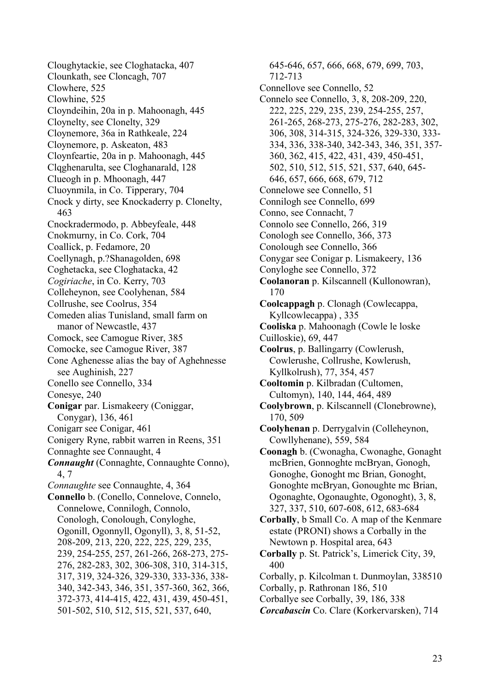Cloughytackie, see Cloghatacka, 407 Clounkath, see Cloncagh, 707 Clowhere, 525 Clowhine, 525 Cloyndeihin, 20a in p. Mahoonagh, 445 Cloynelty, see Clonelty, 329 Cloynemore, 36a in Rathkeale, 224 Cloynemore, p. Askeaton, 483 Cloynfeartie, 20a in p. Mahoonagh, 445 Clqghenarulta, see Cloghanarald, 128 Clueogh in p. Mhoonagh, 447 Cluoynmila, in Co. Tipperary, 704 Cnock y dirty, see Knockaderry p. Clonelty, 463 Cnockradermodo, p. Abbeyfeale, 448 Cnokmurny, in Co. Cork, 704 Coallick, p. Fedamore, 20 Coellynagh, p.?Shanagolden, 698 Coghetacka, see Cloghatacka, 42 *Cogiriache*, in Co. Kerry, 703 Colleheynon, see Coolyhenan, 584 Collrushe, see Coolrus, 354 Comeden alias Tunisland, small farm on manor of Newcastle, 437 Comock, see Camogue River, 385 Comocke, see Camogue River, 387 Cone Aghenesse alias the bay of Aghehnesse see Aughinish, 227 Conello see Connello, 334 Conesye, 240 **Conigar** par. Lismakeery (Coniggar, Conygar), 136, 461 Conigarr see Conigar, 461 Conigery Ryne, rabbit warren in Reens, 351 Connaghte see Connaught, 4 *Connaught* (Connaghte, Connaughte Conno), 4, 7 *Connaughte* see Connaughte, 4, 364 **Connello** b. (Conello, Connelove, Connelo, Connelowe, Connilogh, Connolo, Conologh, Conolough, Conyloghe, Ogonill, Ogonnyll, Ogonyll), 3, 8, 51-52, 208-209, 213, 220, 222, 225, 229, 235, 239, 254-255, 257, 261-266, 268-273, 275- 276, 282-283, 302, 306-308, 310, 314-315, 317, 319, 324-326, 329-330, 333-336, 338- 340, 342-343, 346, 351, 357-360, 362, 366, 372-373, 414-415, 422, 431, 439, 450-451, 501-502, 510, 512, 515, 521, 537, 640,

645-646, 657, 666, 668, 679, 699, 703, 712-713 Connellove see Connello, 52 Connelo see Connello, 3, 8, 208-209, 220, 222, 225, 229, 235, 239, 254-255, 257, 261-265, 268-273, 275-276, 282-283, 302, 306, 308, 314-315, 324-326, 329-330, 333- 334, 336, 338-340, 342-343, 346, 351, 357- 360, 362, 415, 422, 431, 439, 450-451, 502, 510, 512, 515, 521, 537, 640, 645- 646, 657, 666, 668, 679, 712 Connelowe see Connello, 51 Connilogh see Connello, 699 Conno, see Connacht, 7 Connolo see Connello, 266, 319 Conologh see Connello, 366, 373 Conolough see Connello, 366 Conygar see Conigar p. Lismakeery, 136 Conyloghe see Connello, 372 **Coolanoran** p. Kilscannell (Kullonowran), 170 **Coolcappagh** p. Clonagh (Cowlecappa, Kyllcowlecappa) , 335 **Cooliska** p. Mahoonagh (Cowle le loske Cuilloskie), 69, 447 **Coolrus**, p. Ballingarry (Cowlerush, Cowlerushe, Collrushe, Kowlerush, Kyllkolrush), 77, 354, 457 **Cooltomin** p. Kilbradan (Cultomen, Cultomyn), 140, 144, 464, 489 **Coolybrown**, p. Kilscannell (Clonebrowne), 170, 509 **Coolyhenan** p. Derrygalvin (Colleheynon, Cowllyhenane), 559, 584 **Coonagh** b. (Cwonagha, Cwonaghe, Gonaght mcBrien, Gonnoghte mcBryan, Gonogh, Gonoghe, Gonoght mc Brian, Gonoght, Gonoghte mcBryan, Gonoughte mc Brian, Ogonaghte, Ogonaughte, Ogonoght), 3, 8, 327, 337, 510, 607-608, 612, 683-684 **Corbally**, b Small Co. A map of the Kenmare estate (PRONI) shows a Corbally in the Newtown p. Hospital area, 643 **Corbally** p. St. Patrick's, Limerick City, 39, 400 Corbally, p. Kilcolman t. Dunmoylan, 338510 Corbally, p. Rathronan 186, 510 Corballye see Corbally, 39, 186, 338

*Corcabascin* Co. Clare (Korkervarsken), 714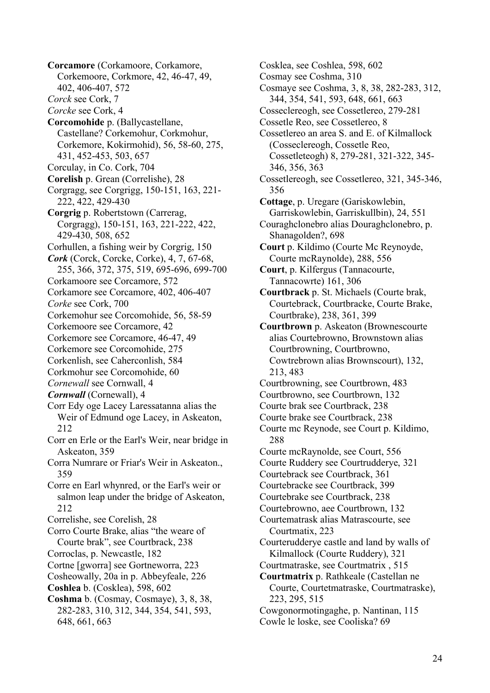**Corcamore** (Corkamoore, Corkamore, Corkemoore, Corkmore, 42, 46-47, 49, 402, 406-407, 572 *Corck* see Cork, 7 *Corcke* see Cork, 4 **Corcomohide** p. (Ballycastellane, Castellane? Corkemohur, Corkmohur, Corkemore, Kokirmohid), 56, 58-60, 275, 431, 452-453, 503, 657 Corculay, in Co. Cork, 704 **Corelish** p. Grean (Correlishe), 28 Corgragg, see Corgrigg, 150-151, 163, 221- 222, 422, 429-430 **Corgrig** p. Robertstown (Carrerag, Corgragg), 150-151, 163, 221-222, 422, 429-430, 508, 652 Corhullen, a fishing weir by Corgrig, 150 *Cork* (Corck, Corcke, Corke), 4, 7, 67-68, 255, 366, 372, 375, 519, 695-696, 699-700 Corkamoore see Corcamore, 572 Corkamore see Corcamore, 402, 406-407 *Corke* see Cork, 700 Corkemohur see Corcomohide, 56, 58-59 Corkemoore see Corcamore, 42 Corkemore see Corcamore, 46-47, 49 Corkemore see Corcomohide, 275 Corkenlish, see Caherconlish, 584 Corkmohur see Corcomohide, 60 *Cornewall* see Cornwall, 4 *Cornwall* (Cornewall), 4 Corr Edy oge Lacey Laressatanna alias the Weir of Edmund oge Lacey, in Askeaton, 212 Corr en Erle or the Earl's Weir, near bridge in Askeaton, 359 Corra Numrare or Friar's Weir in Askeaton., 359 Corre en Earl whynred, or the Earl's weir or salmon leap under the bridge of Askeaton, 212 Correlishe, see Corelish, 28 Corro Courte Brake, alias "the weare of Courte brak", see Courtbrack, 238 Corroclas, p. Newcastle, 182 Cortne [gworra] see Gortneworra, 223 Cosheowally, 20a in p. Abbeyfeale, 226 **Coshlea** b. (Cosklea), 598, 602 **Coshma** b. (Cosmay, Cosmaye), 3, 8, 38, 282-283, 310, 312, 344, 354, 541, 593, 648, 661, 663

Cosklea, see Coshlea, 598, 602 Cosmay see Coshma, 310 Cosmaye see Coshma, 3, 8, 38, 282-283, 312, 344, 354, 541, 593, 648, 661, 663 Cosseclereogh, see Cossetlereo, 279-281 Cossetle Reo, see Cossetlereo, 8 Cossetlereo an area S. and E. of Kilmallock (Cosseclereogh, Cossetle Reo, Cossetleteogh) 8, 279-281, 321-322, 345- 346, 356, 363 Cossetlereogh, see Cossetlereo, 321, 345-346, 356 **Cottage**, p. Uregare (Gariskowlebin, Garriskowlebin, Garriskullbin), 24, 551 Couraghclonebro alias Douraghclonebro, p. Shanagolden?, 698 **Court** p. Kildimo (Courte Mc Reynoyde, Courte mcRaynolde), 288, 556 **Court**, p. Kilfergus (Tannacourte, Tannacowrte) 161, 306 **Courtbrack** p. St. Michaels (Courte brak, Courtebrack, Courtbracke, Courte Brake, Courtbrake), 238, 361, 399 **Courtbrown** p. Askeaton (Brownescourte alias Courtebrowno, Brownstown alias Courtbrowning, Courtbrowno, Cowtrebrown alias Brownscourt), 132, 213, 483 Courtbrowning, see Courtbrown, 483 Courtbrowno, see Courtbrown, 132 Courte brak see Courtbrack, 238 Courte brake see Courtbrack, 238 Courte mc Reynode, see Court p. Kildimo, 288 Courte mcRaynolde, see Court, 556 Courte Ruddery see Courtrudderye, 321 Courtebrack see Courtbrack, 361 Courtebracke see Courtbrack, 399 Courtebrake see Courtbrack, 238 Courtebrowno, aee Courtbrown, 132 Courtematrask alias Matrascourte, see Courtmatix, 223 Courterudderye castle and land by walls of Kilmallock (Courte Ruddery), 321 Courtmatraske, see Courtmatrix , 515 **Courtmatrix** p. Rathkeale (Castellan ne Courte, Courtetmatraske, Courtmatraske), 223, 295, 515 Cowgonormotingaghe, p. Nantinan, 115 Cowle le loske, see Cooliska? 69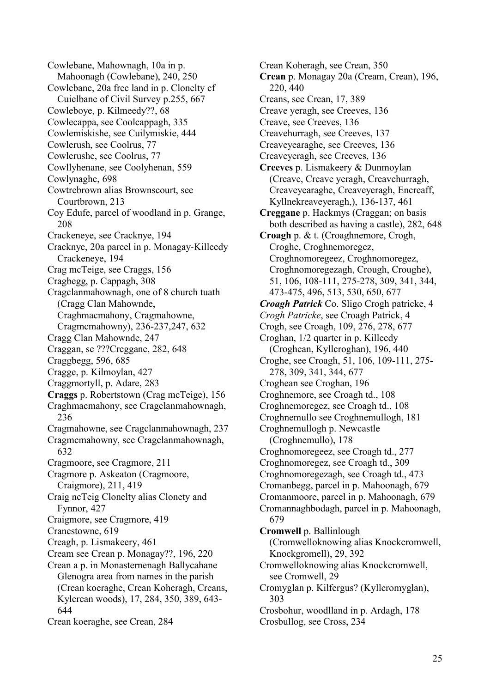Cowlebane, Mahownagh, 10a in p. Mahoonagh (Cowlebane), 240, 250 Cowlebane, 20a free land in p. Clonelty cf Cuielbane of Civil Survey p.255, 667 Cowleboye, p. Kilmeedy??, 68 Cowlecappa, see Coolcappagh, 335 Cowlemiskishe, see Cuilymiskie, 444 Cowlerush, see Coolrus, 77 Cowlerushe, see Coolrus, 77 Cowllyhenane, see Coolyhenan, 559 Cowlynaghe, 698 Cowtrebrown alias Brownscourt, see Courtbrown, 213 Coy Edufe, parcel of woodland in p. Grange, 208 Crackeneye, see Cracknye, 194 Cracknye, 20a parcel in p. Monagay-Killeedy Crackeneye, 194 Crag mcTeige, see Craggs, 156 Cragbegg, p. Cappagh, 308 Cragclanmahownagh, one of 8 church tuath (Cragg Clan Mahownde, Craghmacmahony, Cragmahowne, Cragmcmahowny), 236-237,247, 632 Cragg Clan Mahownde, 247 Craggan, se ???Creggane, 282, 648 Craggbegg, 596, 685 Cragge, p. Kilmoylan, 427 Craggmortyll, p. Adare, 283 **Craggs** p. Robertstown (Crag mcTeige), 156 Craghmacmahony, see Cragclanmahownagh, 236 Cragmahowne, see Cragclanmahownagh, 237 Cragmcmahowny, see Cragclanmahownagh, 632 Cragmoore, see Cragmore, 211 Cragmore p. Askeaton (Cragmoore, Craigmore), 211, 419 Craig ncTeig Clonelty alias Clonety and Fynnor, 427 Craigmore, see Cragmore, 419 Cranestowne, 619 Creagh, p. Lismakeery, 461 Cream see Crean p. Monagay??, 196, 220 Crean a p. in Monasternenagh Ballycahane Glenogra area from names in the parish (Crean koeraghe, Crean Koheragh, Creans, Kylcrean woods), 17, 284, 350, 389, 643- 644 Crean koeraghe, see Crean, 284

Crean Koheragh, see Crean, 350 **Crean** p. Monagay 20a (Cream, Crean), 196, 220, 440 Creans, see Crean, 17, 389 Creave yeragh, see Creeves, 136 Creave, see Creeves, 136 Creavehurragh, see Creeves, 137 Creaveyearaghe, see Creeves, 136 Creaveyeragh, see Creeves, 136 **Creeves** p. Lismakeery & Dunmoylan (Creave, Creave yeragh, Creavehurragh, Creaveyearaghe, Creaveyeragh, Encreaff, Kyllnekreaveyeragh,), 136-137, 461 **Creggane** p. Hackmys (Craggan; on basis both described as having a castle), 282, 648 **Croagh** p. & t. (Croaghnemore, Crogh, Croghe, Croghnemoregez, Croghnomoregeez, Croghnomoregez, Croghnomoregezagh, Crough, Croughe), 51, 106, 108-111, 275-278, 309, 341, 344, 473-475, 496, 513, 530, 650, 677 *Croagh Patrick* Co. Sligo Crogh patricke, 4 *Crogh Patricke*, see Croagh Patrick, 4 Crogh, see Croagh, 109, 276, 278, 677 Croghan, 1/2 quarter in p. Killeedy (Croghean, Kyllcroghan), 196, 440 Croghe, see Croagh, 51, 106, 109-111, 275- 278, 309, 341, 344, 677 Croghean see Croghan, 196 Croghnemore, see Croagh td., 108 Croghnemoregez, see Croagh td., 108 Croghnemullo see Croghnemullogh, 181 Croghnemullogh p. Newcastle (Croghnemullo), 178 Croghnomoregeez, see Croagh td., 277 Croghnomoregez, see Croagh td., 309 Croghnomoregezagh, see Croagh td., 473 Cromanbegg, parcel in p. Mahoonagh, 679 Cromanmoore, parcel in p. Mahoonagh, 679 Cromannaghbodagh, parcel in p. Mahoonagh, 679 **Cromwell** p. Ballinlough (Cromwelloknowing alias Knockcromwell, Knockgromell), 29, 392 Cromwelloknowing alias Knockcromwell, see Cromwell, 29 Cromyglan p. Kilfergus? (Kyllcromyglan), 303 Crosbohur, woodlland in p. Ardagh, 178 Crosbullog, see Cross, 234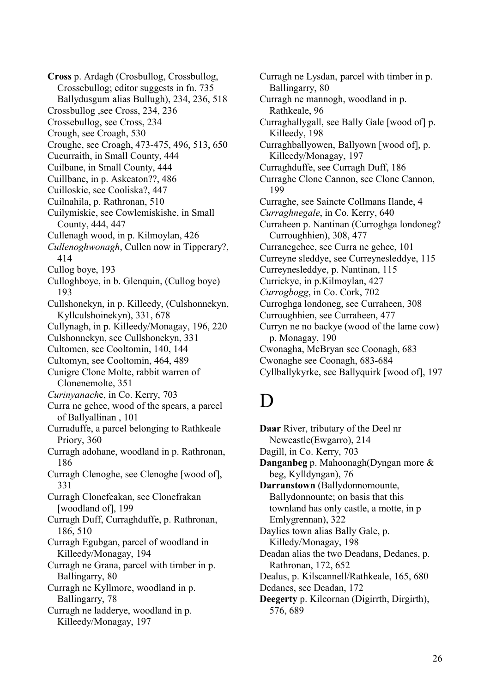**Cross** p. Ardagh (Crosbullog, Crossbullog, Crossebullog; editor suggests in fn. 735 Ballydusgum alias Bullugh), 234, 236, 518 Crossbullog ,see Cross, 234, 236 Crossebullog, see Cross, 234 Crough, see Croagh, 530 Croughe, see Croagh, 473-475, 496, 513, 650 Cucurraith, in Small County, 444 Cuilbane, in Small County, 444 Cuillbane, in p. Askeaton??, 486 Cuilloskie, see Cooliska?, 447 Cuilnahila, p. Rathronan, 510 Cuilymiskie, see Cowlemiskishe, in Small County, 444, 447 Cullenagh wood, in p. Kilmoylan, 426 *Cullenoghwonagh*, Cullen now in Tipperary?, 414 Cullog boye, 193 Culloghboye, in b. Glenquin, (Cullog boye) 193 Cullshonekyn, in p. Killeedy, (Culshonnekyn, Kyllculshoinekyn), 331, 678 Cullynagh, in p. Killeedy/Monagay, 196, 220 Culshonnekyn, see Cullshonekyn, 331 Cultomen, see Cooltomin, 140, 144 Cultomyn, see Cooltomin, 464, 489 Cunigre Clone Molte, rabbit warren of Clonenemolte, 351 *Curinyanach*e, in Co. Kerry, 703 Curra ne gehee, wood of the spears, a parcel of Ballyallinan , 101 Curraduffe, a parcel belonging to Rathkeale Priory, 360 Curragh adohane, woodland in p. Rathronan, 186 Curragh Clenoghe, see Clenoghe [wood of], 331 Curragh Clonefeakan, see Clonefrakan [woodland of], 199 Curragh Duff, Curraghduffe, p. Rathronan, 186, 510 Curragh Egubgan, parcel of woodland in Killeedy/Monagay, 194 Curragh ne Grana, parcel with timber in p. Ballingarry, 80

Curragh ne Kyllmore, woodland in p. Ballingarry, 78

Curragh ne ladderye, woodland in p. Killeedy/Monagay, 197

Curragh ne Lysdan, parcel with timber in p. Ballingarry, 80 Curragh ne mannogh, woodland in p. Rathkeale, 96 Curraghallygall, see Bally Gale [wood of] p. Killeedy, 198 Curraghballyowen, Ballyown [wood of], p. Killeedy/Monagay, 197 Curraghduffe, see Curragh Duff, 186 Curraghe Clone Cannon, see Clone Cannon, 199 Curraghe, see Saincte Collmans Ilande, 4 *Curraghnegale*, in Co. Kerry, 640 Curraheen p. Nantinan (Curroghga londoneg? Curroughhien), 308, 477 Curranegehee, see Curra ne gehee, 101 Curreyne sleddye, see Curreynesleddye, 115 Curreynesleddye, p. Nantinan, 115 Currickye, in p.Kilmoylan, 427 *Currogbogg*, in Co. Cork, 702 Curroghga londoneg, see Curraheen, 308 Curroughhien, see Curraheen, 477 Curryn ne no backye (wood of the lame cow) p. Monagay, 190 Cwonagha, McBryan see Coonagh, 683 Cwonaghe see Coonagh, 683-684 Cyllballykyrke, see Ballyquirk [wood of], 197

# D

**Daar** River, tributary of the Deel nr Newcastle(Ewgarro), 214 Dagill, in Co. Kerry, 703 **Danganbeg** p. Mahoonagh(Dyngan more & beg, Kylldyngan), 76 **Darranstown** (Ballydonnomounte, Ballydonnounte; on basis that this townland has only castle, a motte, in p Emlygrennan), 322 Daylies town alias Bally Gale, p. Killedy/Monagay, 198 Deadan alias the two Deadans, Dedanes, p. Rathronan, 172, 652 Dealus, p. Kilscannell/Rathkeale, 165, 680 Dedanes, see Deadan, 172 **Deegerty** p. Kilcornan (Digirrth, Dirgirth), 576, 689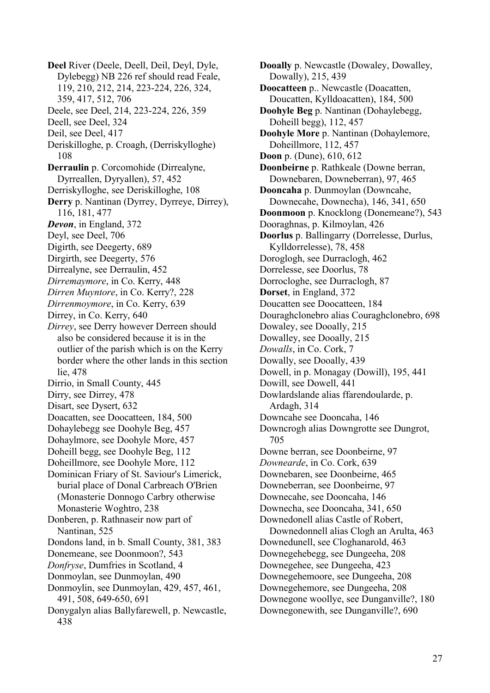**Deel** River (Deele, Deell, Deil, Deyl, Dyle, Dylebegg) NB 226 ref should read Feale, 119, 210, 212, 214, 223-224, 226, 324, 359, 417, 512, 706 Deele, see Deel, 214, 223-224, 226, 359 Deell, see Deel, 324 Deil, see Deel, 417 Deriskilloghe, p. Croagh, (Derriskylloghe) 108 **Derraulin** p. Corcomohide (Dirrealyne, Dyrreallen, Dyryallen), 57, 452 Derriskylloghe, see Deriskilloghe, 108 **Derry** p. Nantinan (Dyrrey, Dyrreye, Dirrey), 116, 181, 477 *Devon*, in England, 372 Deyl, see Deel, 706 Digirth, see Deegerty, 689 Dirgirth, see Deegerty, 576 Dirrealyne, see Derraulin, 452 *Dirremaymore*, in Co. Kerry, 448 *Dirren Muyntore*, in Co. Kerry?, 228 *Dirrenmoymore*, in Co. Kerry, 639 Dirrey, in Co. Kerry, 640 *Dirrey*, see Derry however Derreen should also be considered because it is in the outlier of the parish which is on the Kerry border where the other lands in this section lie, 478 Dirrio, in Small County, 445 Dirry, see Dirrey, 478 Disart, see Dysert, 632 Doacatten, see Doocatteen, 184, 500 Dohaylebegg see Doohyle Beg, 457 Dohaylmore, see Doohyle More, 457 Doheill begg, see Doohyle Beg, 112 Doheillmore, see Doohyle More, 112 Dominican Friary of St. Saviour's Limerick, burial place of Donal Carbreach O'Brien (Monasterie Donnogo Carbry otherwise Monasterie Woghtro, 238 Donberen, p. Rathnaseir now part of Nantinan, 525 Dondons land, in b. Small County, 381, 383 Donemeane, see Doonmoon?, 543 *Donfryse*, Dumfries in Scotland, 4 Donmoylan, see Dunmoylan, 490 Donmoylin, see Dunmoylan, 429, 457, 461, 491, 508, 649-650, 691 Donygalyn alias Ballyfarewell, p. Newcastle, 438

**Dooally** p. Newcastle (Dowaley, Dowalley, Dowally), 215, 439 **Doocatteen** p.. Newcastle (Doacatten, Doucatten, Kylldoacatten), 184, 500 **Doohyle Beg** p. Nantinan (Dohaylebegg, Doheill begg), 112, 457 **Doohyle More** p. Nantinan (Dohaylemore, Doheillmore, 112, 457 **Doon** p. (Dune), 610, 612 **Doonbeirne** p. Rathkeale (Downe berran, Downebaren, Downeberran), 97, 465 **Dooncaha** p. Dunmoylan (Downcahe, Downecahe, Downecha), 146, 341, 650 **Doonmoon** p. Knocklong (Donemeane?), 543 Dooraghnas, p. Kilmoylan, 426 **Doorlus** p. Ballingarry (Dorrelesse, Durlus, Kylldorrelesse), 78, 458 Doroglogh, see Durraclogh, 462 Dorrelesse, see Doorlus, 78 Dorrocloghe, see Durraclogh, 87 **Dorset**, in England, 372 Doucatten see Doocatteen, 184 Douraghclonebro alias Couraghclonebro, 698 Dowaley, see Dooally, 215 Dowalley, see Dooally, 215 *Dowalls*, in Co. Cork, 7 Dowally, see Dooally, 439 Dowell, in p. Monagay (Dowill), 195, 441 Dowill, see Dowell, 441 Dowlardslande alias ffarendoularde, p. Ardagh, 314 Downcahe see Dooncaha, 146 Downcrogh alias Downgrotte see Dungrot, 705 Downe berran, see Doonbeirne, 97 *Downearde*, in Co. Cork, 639 Downebaren, see Doonbeirne, 465 Downeberran, see Doonbeirne, 97 Downecahe, see Dooncaha, 146 Downecha, see Dooncaha, 341, 650 Downedonell alias Castle of Robert, Downedonnell alias Clogh an Arulta, 463 Downedunell, see Cloghanarold, 463 Downegehebegg, see Dungeeha, 208 Downegehee, see Dungeeha, 423 Downegehemoore, see Dungeeha, 208 Downegehemore, see Dungeeha, 208 Downegone woollye, see Dunganville?, 180 Downegonewith, see Dunganville?, 690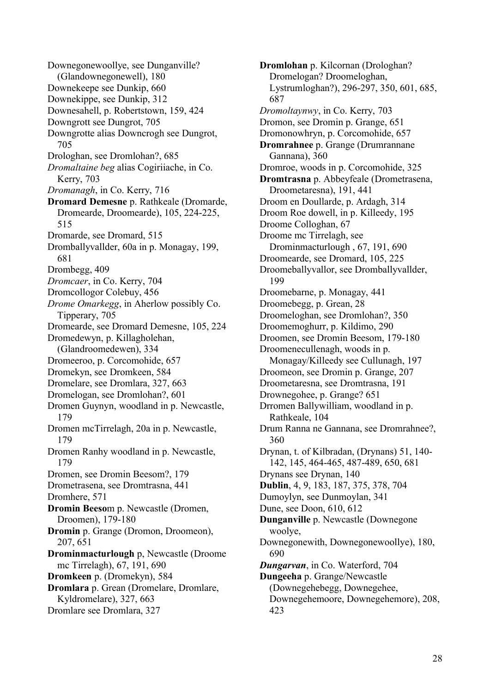Downegonewoollye, see Dunganville? (Glandownegonewell), 180 Downekeepe see Dunkip, 660 Downekippe, see Dunkip, 312 Downesahell, p. Robertstown, 159, 424 Downgrott see Dungrot, 705 Downgrotte alias Downcrogh see Dungrot, 705 Drologhan, see Dromlohan?, 685 *Dromaltaine beg* alias Cogiriiache, in Co. Kerry, 703 *Dromanagh*, in Co. Kerry, 716 **Dromard Demesne** p. Rathkeale (Dromarde, Dromearde, Droomearde), 105, 224-225, 515 Dromarde, see Dromard, 515 Dromballyvallder, 60a in p. Monagay, 199, 681 Drombegg, 409 *Dromcaer*, in Co. Kerry, 704 Dromcollogor Colebuy, 456 *Drome Omarkegg*, in Aherlow possibly Co. Tipperary, 705 Dromearde, see Dromard Demesne, 105, 224 Dromedewyn, p. Killagholehan, (Glandroomedewen), 334 Dromeeroo, p. Corcomohide, 657 Dromekyn, see Dromkeen, 584 Dromelare, see Dromlara, 327, 663 Dromelogan, see Dromlohan?, 601 Dromen Guynyn, woodland in p. Newcastle, 179 Dromen mcTirrelagh, 20a in p. Newcastle, 179 Dromen Ranhy woodland in p. Newcastle, 179 Dromen, see Dromin Beesom?, 179 Drometrasena, see Dromtrasna, 441 Dromhere, 571 **Dromin Beeso**m p. Newcastle (Dromen, Droomen), 179-180 **Dromin** p. Grange (Dromon, Droomeon), 207, 651 **Drominmacturlough** p, Newcastle (Droome mc Tirrelagh), 67, 191, 690 **Dromkeen** p. (Dromekyn), 584 **Dromlara** p. Grean (Dromelare, Dromlare, Kyldromelare), 327, 663 Dromlare see Dromlara, 327

**Dromlohan** p. Kilcornan (Drologhan? Dromelogan? Droomeloghan, Lystrumloghan?), 296-297, 350, 601, 685, 687 *Dromoltaynwy*, in Co. Kerry, 703 Dromon, see Dromin p. Grange, 651 Dromonowhryn, p. Corcomohide, 657 **Dromrahnee** p. Grange (Drumrannane Gannana), 360 Dromroe, woods in p. Corcomohide, 325 **Dromtrasna** p. Abbeyfeale (Drometrasena, Droometaresna), 191, 441 Droom en Doullarde, p. Ardagh, 314 Droom Roe dowell, in p. Killeedy, 195 Droome Colloghan, 67 Droome mc Tirrelagh, see Drominmacturlough , 67, 191, 690 Droomearde, see Dromard, 105, 225 Droomeballyvallor, see Dromballyvallder, 199 Droomebarne, p. Monagay, 441 Droomebegg, p. Grean, 28 Droomeloghan, see Dromlohan?, 350 Droomemoghurr, p. Kildimo, 290 Droomen, see Dromin Beesom, 179-180 Droomenecullenagh, woods in p. Monagay/Killeedy see Cullunagh, 197 Droomeon, see Dromin p. Grange, 207 Droometaresna, see Dromtrasna, 191 Drownegohee, p. Grange? 651 Drromen Ballywilliam, woodland in p. Rathkeale, 104 Drum Ranna ne Gannana, see Dromrahnee?, 360 Drynan, t. of Kilbradan, (Drynans) 51, 140- 142, 145, 464-465, 487-489, 650, 681 Drynans see Drynan, 140 **Dublin**, 4, 9, 183, 187, 375, 378, 704 Dumoylyn, see Dunmoylan, 341 Dune, see Doon, 610, 612 **Dunganville** p. Newcastle (Downegone woolye, Downegonewith, Downegonewoollye), 180, 690 *Dungarvan*, in Co. Waterford, 704 **Dungeeha** p. Grange/Newcastle (Downegehebegg, Downegehee, Downegehemoore, Downegehemore), 208, 423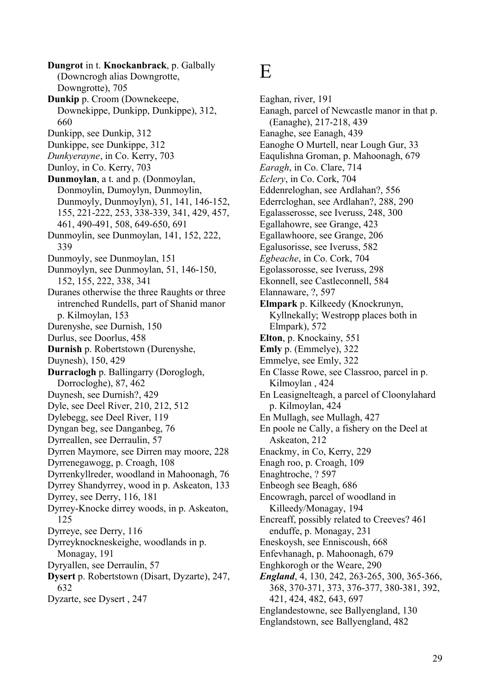**Dungrot** in t. **Knockanbrack**, p. Galbally (Downcrogh alias Downgrotte, Downgrotte), 705 **Dunkip** p. Croom (Downekeepe, Downekippe, Dunkipp, Dunkippe), 312, 660 Dunkipp, see Dunkip, 312 Dunkippe, see Dunkippe, 312 *Dunkyerayne*, in Co. Kerry, 703 Dunloy, in Co. Kerry, 703 **Dunmoylan**, a t. and p. (Donmoylan, Donmoylin, Dumoylyn, Dunmoylin, Dunmoyly, Dunmoylyn), 51, 141, 146-152, 155, 221-222, 253, 338-339, 341, 429, 457, 461, 490-491, 508, 649-650, 691 Dunmoylin, see Dunmoylan, 141, 152, 222, 339 Dunmoyly, see Dunmoylan, 151 Dunmoylyn, see Dunmoylan, 51, 146-150, 152, 155, 222, 338, 341 Duranes otherwise the three Raughts or three intrenched Rundells, part of Shanid manor p. Kilmoylan, 153 Durenyshe, see Durnish, 150 Durlus, see Doorlus, 458 **Durnish** p. Robertstown (Durenyshe, Duynesh), 150, 429 **Durraclogh** p. Ballingarry (Doroglogh, Dorrocloghe), 87, 462 Duynesh, see Durnish?, 429 Dyle, see Deel River, 210, 212, 512 Dylebegg, see Deel River, 119 Dyngan beg, see Danganbeg, 76 Dyrreallen, see Derraulin, 57 Dyrren Maymore, see Dirren may moore, 228 Dyrrenegawogg, p. Croagh, 108 Dyrrenkyllreder, woodland in Mahoonagh, 76 Dyrrey Shandyrrey, wood in p. Askeaton, 133 Dyrrey, see Derry, 116, 181 Dyrrey-Knocke dirrey woods, in p. Askeaton, 125 Dyrreye, see Derry, 116 Dyrreyknockneskeighe, woodlands in p. Monagay, 191 Dyryallen, see Derraulin, 57 **Dysert** p. Robertstown (Disart, Dyzarte), 247, 632 Dyzarte, see Dysert , 247

### E

Eaghan, river, 191 Eanagh, parcel of Newcastle manor in that p. (Eanaghe), 217-218, 439 Eanaghe, see Eanagh, 439 Eanoghe O Murtell, near Lough Gur, 33 Eaqulishna Groman, p. Mahoonagh, 679 *Earagh*, in Co. Clare, 714 *Eclery*, in Co. Cork, 704 Eddenreloghan, see Ardlahan?, 556 Ederrcloghan, see Ardlahan?, 288, 290 Egalasserosse, see Iveruss, 248, 300 Egallahowre, see Grange, 423 Egallawhoore, see Grange, 206 Egalusorisse, see Iveruss, 582 *Egbeache*, in Co. Cork, 704 Egolassorosse, see Iveruss, 298 Ekonnell, see Castleconnell, 584 Elannaware, ?, 597 **Elmpark** p. Kilkeedy (Knockrunyn, Kyllnekally; Westropp places both in Elmpark), 572 **Elton**, p. Knockainy, 551 **Emly** p. (Emmelye), 322 Emmelye, see Emly, 322 En Classe Rowe, see Classroo, parcel in p. Kilmoylan , 424 En Leasignelteagh, a parcel of Cloonylahard p. Kilmoylan, 424 En Mullagh, see Mullagh, 427 En poole ne Cally, a fishery on the Deel at Askeaton, 212 Enackmy, in Co, Kerry, 229 Enagh roo, p. Croagh, 109 Enaghtroche, ? 597 Enbeogh see Beagh, 686 Encowragh, parcel of woodland in Killeedy/Monagay, 194 Encreaff, possibly related to Creeves? 461 enduffe, p. Monagay, 231 Eneskoysh, see Enniscoush, 668 Enfevhanagh, p. Mahoonagh, 679 Enghkorogh or the Weare, 290 *England*, 4, 130, 242, 263-265, 300, 365-366, 368, 370-371, 373, 376-377, 380-381, 392, 421, 424, 482, 643, 697 Englandestowne, see Ballyengland, 130 Englandstown, see Ballyengland, 482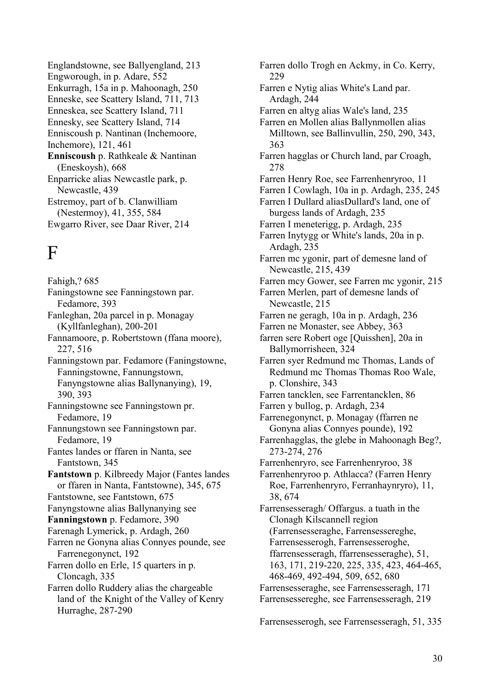Englandstowne, see Ballyengland, 213 Engworough, in p. Adare, 552 Enkurragh, 15a in p. Mahoonagh, 250 Enneske, see Scattery Island, 711, 713 Enneskea, see Scattery Island, 711 Ennesky, see Scattery Island, 714 Enniscoush p. Nantinan (Inchemoore, Inchemore), 121, 461 **Enniscoush** p. Rathkeale & Nantinan (Eneskoysh), 668 Enparricke alias Newcastle park, p. Newcastle, 439 Estremoy, part of b. Clanwilliam (Nestermoy), 41, 355, 584 Ewgarro River, see Daar River, 214

# F

Fahigh,? 685 Faningstowne see Fanningstown par. Fedamore, 393 Fanleghan, 20a parcel in p. Monagay (Kyllfanleghan), 200-201 Fannamoore, p. Robertstown (ffana moore), 227, 516 Fanningstown par. Fedamore (Faningstowne, Fanningstowne, Fannungstown, Fanyngstowne alias Ballynanying), 19, 390, 393 Fanningstowne see Fanningstown pr. Fedamore, 19 Fannungstown see Fanningstown par. Fedamore, 19 Fantes landes or ffaren in Nanta, see Fantstown, 345 **Fantstown** p. Kilbreedy Major (Fantes landes or ffaren in Nanta, Fantstowne), 345, 675 Fantstowne, see Fantstown, 675 Fanyngstowne alias Ballynanying see **Fanningstown** p. Fedamore, 390 Farenagh Lymerick, p. Ardagh, 260 Farren ne Gonyna alias Connyes pounde, see Farrenegonynct, 192 Farren dollo en Erle, 15 quarters in p. Cloncagh, 335 Farren dollo Ruddery alias the chargeable land of the Knight of the Valley of Kenry Hurraghe, 287-290

Farren dollo Trogh en Ackmy, in Co. Kerry, 229 Farren e Nytig alias White's Land par. Ardagh, 244 Farren en altyg alias Wale's land, 235 Farren en Mollen alias Ballynmollen alias Milltown, see Ballinvullin, 250, 290, 343, 363 Farren hagglas or Church land, par Croagh, 278 Farren Henry Roe, see Farrenhenryroo, 11 Farren I Cowlagh, 10a in p. Ardagh, 235, 245 Farren I Dullard aliasDullard's land, one of burgess lands of Ardagh, 235 Farren I meneterigg, p. Ardagh, 235 Farren Inytygg or White's lands, 20a in p. Ardagh, 235 Farren mc ygonir, part of demesne land of Newcastle, 215, 439 Farren mcy Gower, see Farren mc ygonir, 215 Farren Merlen, part of demesne lands of Newcastle, 215 Farren ne geragh, 10a in p. Ardagh, 236 Farren ne Monaster, see Abbey, 363 farren sere Robert oge [Quisshen], 20a in Ballymorrisheen, 324 Farren syer Redmund mc Thomas, Lands of Redmund mc Thomas Thomas Roo Wale, p. Clonshire, 343 Farren tancklen, see Farrentancklen, 86 Farren y bullog, p. Ardagh, 234 Farrenegonynct, p. Monagay (ffarren ne Gonyna alias Connyes pounde), 192 Farrenhagglas, the glebe in Mahoonagh Beg?, 273-274, 276 Farrenhenryro, see Farrenhenryroo, 38 Farrenhenryroo p. Athlacca? (Farren Henry Roe, Farrenhenryro, Ferranhaynryro), 11, 38, 674 Farrensesseragh/ Offargus. a tuath in the Clonagh Kilscannell region (Farrensesseraghe, Farrensessereghe, Farrensesserogh, Farrensesseroghe, ffarrensesseragh, ffarrensesseraghe), 51, 163, 171, 219-220, 225, 335, 423, 464-465, 468-469, 492-494, 509, 652, 680 Farrensesseraghe, see Farrensesseragh, 171 Farrensessereghe, see Farrensesseragh, 219

Farrensesserogh, see Farrensesseragh, 51, 335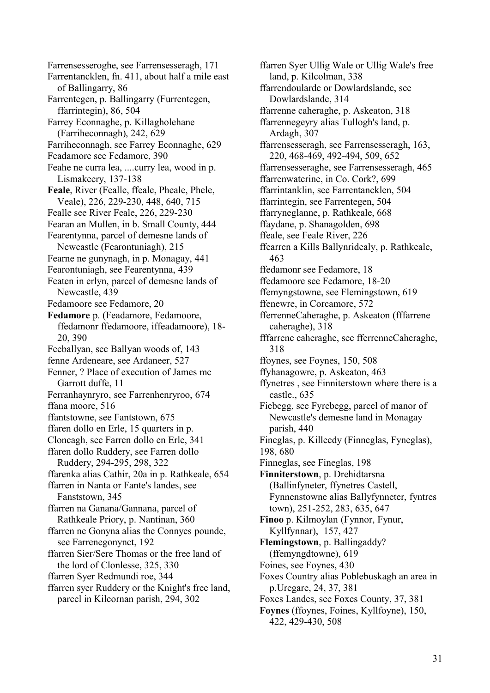Farrensesseroghe, see Farrensesseragh, 171 Farrentancklen, fn. 411, about half a mile east of Ballingarry, 86 Farrentegen, p. Ballingarry (Furrentegen, ffarrintegin), 86, 504 Farrey Econnaghe, p. Killagholehane (Farriheconnagh), 242, 629 Farriheconnagh, see Farrey Econnaghe, 629 Feadamore see Fedamore, 390 Feahe ne curra lea, ....curry lea, wood in p. Lismakeery, 137-138 **Feale**, River (Fealle, ffeale, Pheale, Phele, Veale), 226, 229-230, 448, 640, 715 Fealle see River Feale, 226, 229-230 Fearan an Mullen, in b. Small County, 444 Fearentynna, parcel of demesne lands of Newcastle (Fearontuniagh), 215 Fearne ne gunynagh, in p. Monagay, 441 Fearontuniagh, see Fearentynna, 439 Featen in erlyn, parcel of demesne lands of Newcastle, 439 Fedamoore see Fedamore, 20 **Fedamore** p. (Feadamore, Fedamoore, ffedamonr ffedamoore, iffeadamoore), 18- 20, 390 Feeballyan, see Ballyan woods of, 143 fenne Ardeneare, see Ardaneer, 527 Fenner, ? Place of execution of James mc Garrott duffe, 11 Ferranhaynryro, see Farrenhenryroo, 674 ffana moore, 516 ffantstowne, see Fantstown, 675 ffaren dollo en Erle, 15 quarters in p. Cloncagh, see Farren dollo en Erle, 341 ffaren dollo Ruddery, see Farren dollo Ruddery, 294-295, 298, 322 ffarenka alias Cathir, 20a in p. Rathkeale, 654 ffarren in Nanta or Fante's landes, see Fanststown, 345 ffarren na Ganana/Gannana, parcel of Rathkeale Priory, p. Nantinan, 360 ffarren ne Gonyna alias the Connyes pounde, see Farrenegonynct, 192 ffarren Sier/Sere Thomas or the free land of the lord of Clonlesse, 325, 330 ffarren Syer Redmundi roe, 344 ffarren syer Ruddery or the Knight's free land, parcel in Kilcornan parish, 294, 302

ffarren Syer Ullig Wale or Ullig Wale's free land, p. Kilcolman, 338 ffarrendoularde or Dowlardslande, see Dowlardslande, 314 ffarrenne caheraghe, p. Askeaton, 318 ffarrennegeyry alias Tullogh's land, p. Ardagh, 307 ffarrensesseragh, see Farrensesseragh, 163, 220, 468-469, 492-494, 509, 652 ffarrensesseraghe, see Farrensesseragh, 465 ffarrenwaterine, in Co. Cork?, 699 ffarrintanklin, see Farrentancklen, 504 ffarrintegin, see Farrentegen, 504 ffarryneglanne, p. Rathkeale, 668 ffaydane, p. Shanagolden, 698 ffeale, see Feale River, 226 ffearren a Kills Ballynridealy, p. Rathkeale, 463 ffedamonr see Fedamore, 18 ffedamoore see Fedamore, 18-20 ffemyngstowne, see Flemingstown, 619 ffenewre, in Corcamore, 572 fferrenneCaheraghe, p. Askeaton (fffarrene caheraghe), 318 fffarrene caheraghe, see fferrenneCaheraghe, 318 ffoynes, see Foynes, 150, 508 ffyhanagowre, p. Askeaton, 463 ffynetres , see Finniterstown where there is a castle., 635 Fiebegg, see Fyrebegg, parcel of manor of Newcastle's demesne land in Monagay parish, 440 Fineglas, p. Killeedy (Finneglas, Fyneglas), 198, 680 Finneglas, see Fineglas, 198 **Finniterstown**, p. Drehidtarsna (Ballinfyneter, ffynetres Castell, Fynnenstowne alias Ballyfynneter, fyntres town), 251-252, 283, 635, 647 **Finoo** p. Kilmoylan (Fynnor, Fynur, Kyllfynnar), 157, 427 **Flemingstown**, p. Ballingaddy? (ffemyngdtowne), 619 Foines, see Foynes, 430 Foxes Country alias Poblebuskagh an area in p.Uregare, 24, 37, 381 Foxes Landes, see Foxes County, 37, 381 **Foynes** (ffoynes, Foines, Kyllfoyne), 150, 422, 429-430, 508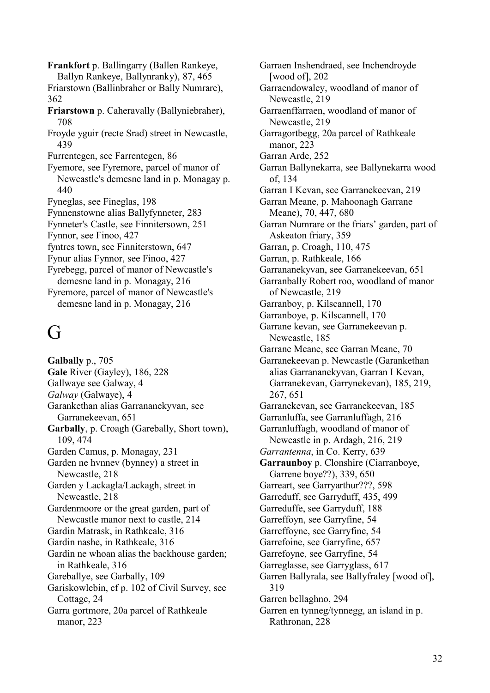**Frankfort** p. Ballingarry (Ballen Rankeye, Ballyn Rankeye, Ballynranky), 87, 465 Friarstown (Ballinbraher or Bally Numrare), 362 **Friarstown** p. Caheravally (Ballyniebraher), 708 Froyde yguir (recte Srad) street in Newcastle, 439 Furrentegen, see Farrentegen, 86 Fyemore, see Fyremore, parcel of manor of Newcastle's demesne land in p. Monagay p. 440 Fyneglas, see Fineglas, 198 Fynnenstowne alias Ballyfynneter, 283 Fynneter's Castle, see Finnitersown, 251 Fynnor, see Finoo, 427 fyntres town, see Finniterstown, 647 Fynur alias Fynnor, see Finoo, 427 Fyrebegg, parcel of manor of Newcastle's demesne land in p. Monagay, 216 Fyremore, parcel of manor of Newcastle's demesne land in p. Monagay, 216

# G

**Galbally** p., 705 **Gale** River (Gayley), 186, 228 Gallwaye see Galway, 4 *Galway* (Galwaye), 4 Garankethan alias Garrananekyvan, see Garranekeevan, 651 **Garbally**, p. Croagh (Garebally, Short town), 109, 474 Garden Camus, p. Monagay, 231 Garden ne hvnnev (bynney) a street in Newcastle, 218 Garden y Lackagla/Lackagh, street in Newcastle, 218 Gardenmoore or the great garden, part of Newcastle manor next to castle, 214 Gardin Matrask, in Rathkeale, 316 Gardin nashe, in Rathkeale, 316 Gardin ne whoan alias the backhouse garden; in Rathkeale, 316 Gareballye, see Garbally, 109 Gariskowlebin, cf p. 102 of Civil Survey, see Cottage, 24 Garra gortmore, 20a parcel of Rathkeale manor, 223

Garraen Inshendraed, see Inchendroyde [wood of], 202 Garraendowaley, woodland of manor of Newcastle, 219 Garraenffarraen, woodland of manor of Newcastle, 219 Garragortbegg, 20a parcel of Rathkeale manor, 223 Garran Arde, 252 Garran Ballynekarra, see Ballynekarra wood of, 134 Garran I Kevan, see Garranekeevan, 219 Garran Meane, p. Mahoonagh Garrane Meane), 70, 447, 680 Garran Numrare or the friars' garden, part of Askeaton friary, 359 Garran, p. Croagh, 110, 475 Garran, p. Rathkeale, 166 Garrananekyvan, see Garranekeevan, 651 Garranbally Robert roo, woodland of manor of Newcastle, 219 Garranboy, p. Kilscannell, 170 Garranboye, p. Kilscannell, 170 Garrane kevan, see Garranekeevan p. Newcastle, 185 Garrane Meane, see Garran Meane, 70 Garranekeevan p. Newcastle (Garankethan alias Garrananekyvan, Garran I Kevan, Garranekevan, Garrynekevan), 185, 219, 267, 651 Garranekevan, see Garranekeevan, 185 Garranluffa, see Garranluffagh, 216 Garranluffagh, woodland of manor of Newcastle in p. Ardagh, 216, 219 *Garrantenna*, in Co. Kerry, 639 **Garraunboy** p. Clonshire (Ciarranboye, Garrene boye??), 339, 650 Garreart, see Garryarthur???, 598 Garreduff, see Garryduff, 435, 499 Garreduffe, see Garryduff, 188 Garreffoyn, see Garryfine, 54 Garreffoyne, see Garryfine, 54 Garrefoine, see Garryfine, 657 Garrefoyne, see Garryfine, 54 Garreglasse, see Garryglass, 617 Garren Ballyrala, see Ballyfraley [wood of], 319 Garren bellaghno, 294 Garren en tynneg/tynnegg, an island in p. Rathronan, 228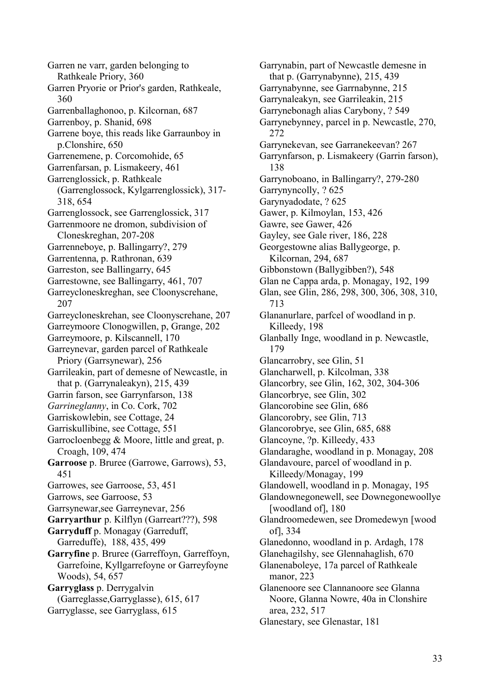Garren ne varr, garden belonging to Rathkeale Priory, 360 Garren Pryorie or Prior's garden, Rathkeale, 360 Garrenballaghonoo, p. Kilcornan, 687 Garrenboy, p. Shanid, 698 Garrene boye, this reads like Garraunboy in p.Clonshire, 650 Garrenemene, p. Corcomohide, 65 Garrenfarsan, p. Lismakeery, 461 Garrenglossick, p. Rathkeale (Garrenglossock, Kylgarrenglossick), 317- 318, 654 Garrenglossock, see Garrenglossick, 317 Garrenmoore ne dromon, subdivision of Cloneskreghan, 207-208 Garrenneboye, p. Ballingarry?, 279 Garrentenna, p. Rathronan, 639 Garreston, see Ballingarry, 645 Garrestowne, see Ballingarry, 461, 707 Garreycloneskreghan, see Cloonyscrehane, 207 Garreycloneskrehan, see Cloonyscrehane, 207 Garreymoore Clonogwillen, p, Grange, 202 Garreymoore, p. Kilscannell, 170 Garreynevar, garden parcel of Rathkeale Priory (Garrsynewar), 256 Garrileakin, part of demesne of Newcastle, in that p. (Garrynaleakyn), 215, 439 Garrin farson, see Garrynfarson, 138 *Garrineglanny*, in Co. Cork, 702 Garriskowlebin, see Cottage, 24 Garriskullibine, see Cottage, 551 Garrocloenbegg & Moore, little and great, p. Croagh, 109, 474 **Garroose** p. Bruree (Garrowe, Garrows), 53, 451 Garrowes, see Garroose, 53, 451 Garrows, see Garroose, 53 Garrsynewar,see Garreynevar, 256 **Garryarthur** p. Kilflyn (Garreart???), 598 **Garryduff** p. Monagay (Garreduff, Garreduffe), 188, 435, 499 **Garryfine** p. Bruree (Garreffoyn, Garreffoyn, Garrefoine, Kyllgarrefoyne or Garreyfoyne Woods), 54, 657 **Garryglass** p. Derrygalvin (Garreglasse,Garryglasse), 615, 617 Garryglasse, see Garryglass, 615

Garrynabin, part of Newcastle demesne in that p. (Garrynabynne), 215, 439 Garrynabynne, see Garrnabynne, 215 Garrynaleakyn, see Garrileakin, 215 Garrynebonagh alias Carybony, ? 549 Garrynebynney, parcel in p. Newcastle, 270, 272 Garrynekevan, see Garranekeevan? 267 Garrynfarson, p. Lismakeery (Garrin farson), 138 Garrynoboano, in Ballingarry?, 279-280 Garrynyncolly, ? 625 Garynyadodate, ? 625 Gawer, p. Kilmoylan, 153, 426 Gawre, see Gawer, 426 Gayley, see Gale river, 186, 228 Georgestowne alias Ballygeorge, p. Kilcornan, 294, 687 Gibbonstown (Ballygibben?), 548 Glan ne Cappa arda, p. Monagay, 192, 199 Glan, see Glin, 286, 298, 300, 306, 308, 310, 713 Glananurlare, parfcel of woodland in p. Killeedy, 198 Glanbally Inge, woodland in p. Newcastle, 179 Glancarrobry, see Glin, 51 Glancharwell, p. Kilcolman, 338 Glancorbry, see Glin, 162, 302, 304-306 Glancorbrye, see Glin, 302 Glancorobine see Glin, 686 Glancorobry, see Glin, 713 Glancorobrye, see Glin, 685, 688 Glancoyne, ?p. Killeedy, 433 Glandaraghe, woodland in p. Monagay, 208 Glandavoure, parcel of woodland in p. Killeedy/Monagay, 199 Glandowell, woodland in p. Monagay, 195 Glandownegonewell, see Downegonewoollye [woodland of], 180 Glandroomedewen, see Dromedewyn [wood of], 334 Glanedonno, woodland in p. Ardagh, 178 Glanehagilshy, see Glennahaglish, 670 Glanenaboleye, 17a parcel of Rathkeale manor, 223 Glanenoore see Clannanoore see Glanna Noore, Glanna Nowre, 40a in Clonshire area, 232, 517 Glanestary, see Glenastar, 181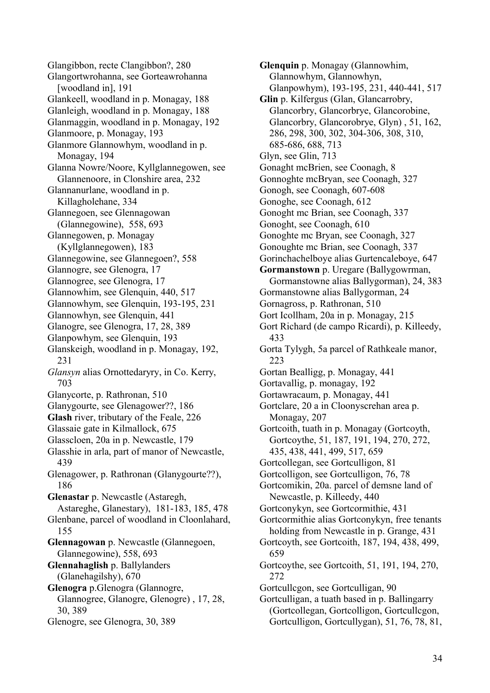Glangibbon, recte Clangibbon?, 280 Glangortwrohanna, see Gorteawrohanna [woodland in], 191 Glankeell, woodland in p. Monagay, 188 Glanleigh, woodland in p. Monagay, 188 Glanmaggin, woodland in p. Monagay, 192 Glanmoore, p. Monagay, 193 Glanmore Glannowhym, woodland in p. Monagay, 194 Glanna Nowre/Noore, Kyllglannegowen, see Glannenoore, in Clonshire area, 232 Glannanurlane, woodland in p. Killagholehane, 334 Glannegoen, see Glennagowan (Glannegowine), 558, 693 Glannegowen, p. Monagay (Kyllglannegowen), 183 Glannegowine, see Glannegoen?, 558 Glannogre, see Glenogra, 17 Glannogree, see Glenogra, 17 Glannowhim, see Glenquin, 440, 517 Glannowhym, see Glenquin, 193-195, 231 Glannowhyn, see Glenquin, 441 Glanogre, see Glenogra, 17, 28, 389 Glanpowhym, see Glenquin, 193 Glanskeigh, woodland in p. Monagay, 192, 231 *Glansyn* alias Ornottedaryry, in Co. Kerry, 703 Glanycorte, p. Rathronan, 510 Glanygourte, see Glenagower??, 186 **Glash** river, tributary of the Feale, 226 Glassaie gate in Kilmallock, 675 Glasscloen, 20a in p. Newcastle, 179 Glasshie in arla, part of manor of Newcastle, 439 Glenagower, p. Rathronan (Glanygourte??), 186 **Glenastar** p. Newcastle (Astaregh, Astareghe, Glanestary), 181-183, 185, 478 Glenbane, parcel of woodland in Cloonlahard, 155 **Glennagowan** p. Newcastle (Glannegoen, Glannegowine), 558, 693 **Glennahaglish** p. Ballylanders (Glanehagilshy), 670 **Glenogra** p.Glenogra (Glannogre, Glannogree, Glanogre, Glenogre) , 17, 28, 30, 389 Glenogre, see Glenogra, 30, 389

**Glenquin** p. Monagay (Glannowhim, Glannowhym, Glannowhyn, Glanpowhym), 193-195, 231, 440-441, 517 **Glin** p. Kilfergus (Glan, Glancarrobry, Glancorbry, Glancorbrye, Glancorobine, Glancorbry, Glancorobrye, Glyn) , 51, 162, 286, 298, 300, 302, 304-306, 308, 310, 685-686, 688, 713 Glyn, see Glin, 713 Gonaght mcBrien, see Coonagh, 8 Gonnoghte mcBryan, see Coonagh, 327 Gonogh, see Coonagh, 607-608 Gonoghe, see Coonagh, 612 Gonoght mc Brian, see Coonagh, 337 Gonoght, see Coonagh, 610 Gonoghte mc Bryan, see Coonagh, 327 Gonoughte mc Brian, see Coonagh, 337 Gorinchachelboye alias Gurtencaleboye, 647 **Gormanstown** p. Uregare (Ballygowrman, Gormanstowne alias Ballygorman), 24, 383 Gormanstowne alias Ballygorman, 24 Gornagross, p. Rathronan, 510 Gort Icollham, 20a in p. Monagay, 215 Gort Richard (de campo Ricardi), p. Killeedy, 433 Gorta Tylygh, 5a parcel of Rathkeale manor, 223 Gortan Bealligg, p. Monagay, 441 Gortavallig, p. monagay, 192 Gortawracaum, p. Monagay, 441 Gortclare, 20 a in Cloonyscrehan area p. Monagay, 207 Gortcoith, tuath in p. Monagay (Gortcoyth, Gortcoythe, 51, 187, 191, 194, 270, 272, 435, 438, 441, 499, 517, 659 Gortcollegan, see Gortculligon, 81 Gortcolligon, see Gortculligon, 76, 78 Gortcomikin, 20a. parcel of demsne land of Newcastle, p. Killeedy, 440 Gortconykyn, see Gortcormithie, 431 Gortcormithie alias Gortconykyn, free tenants holding from Newcastle in p. Grange, 431 Gortcoyth, see Gortcoith, 187, 194, 438, 499, 659 Gortcoythe, see Gortcoith, 51, 191, 194, 270, 272 Gortcullcgon, see Gortculligan, 90 Gortculligan, a tuath based in p. Ballingarry (Gortcollegan, Gortcolligon, Gortcullcgon, Gortculligon, Gortcullygan), 51, 76, 78, 81,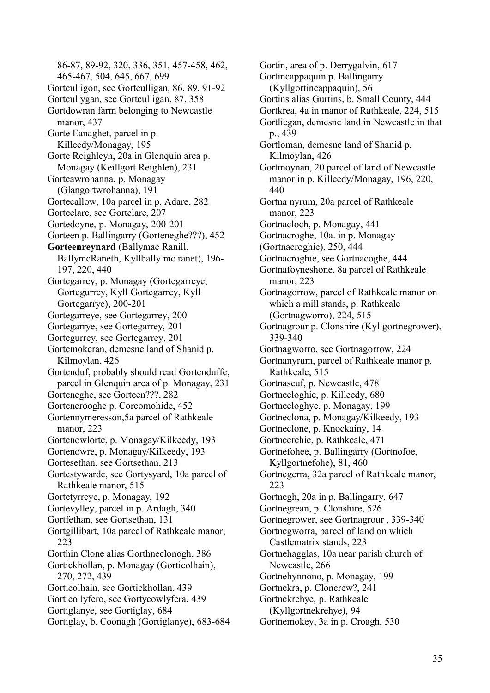86-87, 89-92, 320, 336, 351, 457-458, 462, 465-467, 504, 645, 667, 699 Gortculligon, see Gortculligan, 86, 89, 91-92 Gortcullygan, see Gortculligan, 87, 358 Gortdowran farm belonging to Newcastle manor, 437 Gorte Eanaghet, parcel in p. Killeedy/Monagay, 195 Gorte Reighleyn, 20a in Glenquin area p. Monagay (Keillgort Reighlen), 231 Gorteawrohanna, p. Monagay (Glangortwrohanna), 191 Gortecallow, 10a parcel in p. Adare, 282 Gorteclare, see Gortclare, 207 Gortedoyne, p. Monagay, 200-201 Gorteen p. Ballingarry (Gorteneghe???), 452 **Gorteenreynard** (Ballymac Ranill, BallymcRaneth, Kyllbally mc ranet), 196- 197, 220, 440 Gortegarrey, p. Monagay (Gortegarreye, Gortegurrey, Kyll Gortegarrey, Kyll Gortegarrye), 200-201 Gortegarreye, see Gortegarrey, 200 Gortegarrye, see Gortegarrey, 201 Gortegurrey, see Gortegarrey, 201 Gortemokeran, demesne land of Shanid p. Kilmoylan, 426 Gortenduf, probably should read Gortenduffe, parcel in Glenquin area of p. Monagay, 231 Gorteneghe, see Gorteen???, 282 Gortenerooghe p. Corcomohide, 452 Gortennymeresson,5a parcel of Rathkeale manor, 223 Gortenowlorte, p. Monagay/Kilkeedy, 193 Gortenowre, p. Monagay/Kilkeedy, 193 Gortesethan, see Gortsethan, 213 Gortestywarde, see Gortysyard, 10a parcel of Rathkeale manor, 515 Gortetyrreye, p. Monagay, 192 Gortevylley, parcel in p. Ardagh, 340 Gortfethan, see Gortsethan, 131 Gortgillibart, 10a parcel of Rathkeale manor, 223 Gorthin Clone alias Gorthneclonogh, 386 Gortickhollan, p. Monagay (Gorticolhain), 270, 272, 439 Gorticolhain, see Gortickhollan, 439 Gorticollyfero, see Gortycowlyfera, 439 Gortiglanye, see Gortiglay, 684 Gortiglay, b. Coonagh (Gortiglanye), 683-684 Gortin, area of p. Derrygalvin, 617 Gortincappaquin p. Ballingarry (Kyllgortincappaquin), 56 Gortins alias Gurtins, b. Small County, 444 Gortkrea, 4a in manor of Rathkeale, 224, 515 Gortliegan, demesne land in Newcastle in that p., 439 Gortloman, demesne land of Shanid p. Kilmoylan, 426 Gortmoynan, 20 parcel of land of Newcastle manor in p. Killeedy/Monagay, 196, 220, 440 Gortna nyrum, 20a parcel of Rathkeale manor, 223 Gortnacloch, p. Monagay, 441 Gortnacroghe, 10a. in p. Monagay (Gortnacroghie), 250, 444 Gortnacroghie, see Gortnacoghe, 444 Gortnafoyneshone, 8a parcel of Rathkeale manor, 223 Gortnagorrow, parcel of Rathkeale manor on which a mill stands, p. Rathkeale (Gortnagworro), 224, 515 Gortnagrour p. Clonshire (Kyllgortnegrower), 339-340 Gortnagworro, see Gortnagorrow, 224 Gortnanyrum, parcel of Rathkeale manor p. Rathkeale, 515 Gortnaseuf, p. Newcastle, 478 Gortnecloghie, p. Killeedy, 680 Gortnecloghye, p. Monagay, 199 Gortneclona, p. Monagay/Kilkeedy, 193 Gortneclone, p. Knockainy, 14 Gortnecrehie, p. Rathkeale, 471 Gortnefohee, p. Ballingarry (Gortnofoe, Kyllgortnefohe), 81, 460 Gortnegerra, 32a parcel of Rathkeale manor, 223 Gortnegh, 20a in p. Ballingarry, 647 Gortnegrean, p. Clonshire, 526 Gortnegrower, see Gortnagrour , 339-340 Gortnegworra, parcel of land on which Castlematrix stands, 223 Gortnehagglas, 10a near parish church of Newcastle, 266 Gortnehynnono, p. Monagay, 199 Gortnekra, p. Cloncrew?, 241 Gortnekrehye, p. Rathkeale (Kyllgortnekrehye), 94 Gortnemokey, 3a in p. Croagh, 530

35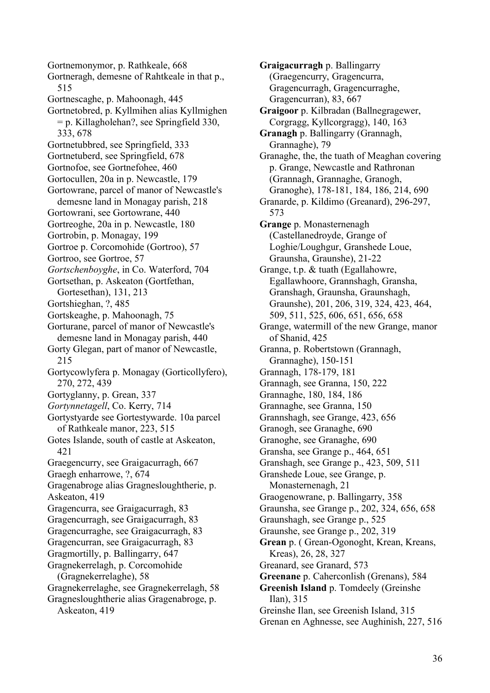Gortnemonymor, p. Rathkeale, 668 Gortneragh, demesne of Rahtkeale in that p., 515 Gortnescaghe, p. Mahoonagh, 445 Gortnetobred, p. Kyllmihen alias Kyllmighen = p. Killagholehan?, see Springfield 330, 333, 678 Gortnetubbred, see Springfield, 333 Gortnetuberd, see Springfield, 678 Gortnofoe, see Gortnefohee, 460 Gortocullen, 20a in p. Newcastle, 179 Gortowrane, parcel of manor of Newcastle's demesne land in Monagay parish, 218 Gortowrani, see Gortowrane, 440 Gortreoghe, 20a in p. Newcastle, 180 Gortrobin, p. Monagay, 199 Gortroe p. Corcomohide (Gortroo), 57 Gortroo, see Gortroe, 57 *Gortschenboyghe*, in Co. Waterford, 704 Gortsethan, p. Askeaton (Gortfethan, Gortesethan), 131, 213 Gortshieghan, ?, 485 Gortskeaghe, p. Mahoonagh, 75 Gorturane, parcel of manor of Newcastle's demesne land in Monagay parish, 440 Gorty Glegan, part of manor of Newcastle, 215 Gortycowlyfera p. Monagay (Gorticollyfero), 270, 272, 439 Gortyglanny, p. Grean, 337 *Gortynnetagell*, Co. Kerry, 714 Gortystyarde see Gortestywarde. 10a parcel of Rathkeale manor, 223, 515 Gotes Islande, south of castle at Askeaton, 421 Graegencurry, see Graigacurragh, 667 Graegh enharrowe, ?, 674 Gragenabroge alias Gragnesloughtherie, p. Askeaton, 419 Gragencurra, see Graigacurragh, 83 Gragencurragh, see Graigacurragh, 83 Gragencurraghe, see Graigacurragh, 83 Gragencurran, see Graigacurragh, 83 Gragmortilly, p. Ballingarry, 647 Gragnekerrelagh, p. Corcomohide (Gragnekerrelaghe), 58 Gragnekerrelaghe, see Gragnekerrelagh, 58 Gragnesloughtherie alias Gragenabroge, p. Askeaton, 419

**Graigacurragh** p. Ballingarry (Graegencurry, Gragencurra, Gragencurragh, Gragencurraghe, Gragencurran), 83, 667 **Graigoor** p. Kilbradan (Ballnegragewer, Corgragg, Kyllcorgragg), 140, 163 **Granagh** p. Ballingarry (Grannagh, Grannaghe), 79 Granaghe, the, the tuath of Meaghan covering p. Grange, Newcastle and Rathronan (Grannagh, Grannaghe, Granogh, Granoghe), 178-181, 184, 186, 214, 690 Granarde, p. Kildimo (Greanard), 296-297, 573 **Grange** p. Monasternenagh (Castellanedroyde, Grange of Loghie/Loughgur, Granshede Loue, Graunsha, Graunshe), 21-22 Grange, t.p. & tuath (Egallahowre, Egallawhoore, Grannshagh, Gransha, Granshagh, Graunsha, Graunshagh, Graunshe), 201, 206, 319, 324, 423, 464, 509, 511, 525, 606, 651, 656, 658 Grange, watermill of the new Grange, manor of Shanid, 425 Granna, p. Robertstown (Grannagh, Grannaghe), 150-151 Grannagh, 178-179, 181 Grannagh, see Granna, 150, 222 Grannaghe, 180, 184, 186 Grannaghe, see Granna, 150 Grannshagh, see Grange, 423, 656 Granogh, see Granaghe, 690 Granoghe, see Granaghe, 690 Gransha, see Grange p., 464, 651 Granshagh, see Grange p., 423, 509, 511 Granshede Loue, see Grange, p. Monasternenagh, 21 Graogenowrane, p. Ballingarry, 358 Graunsha, see Grange p., 202, 324, 656, 658 Graunshagh, see Grange p., 525 Graunshe, see Grange p., 202, 319 **Grean** p. ( Grean-Ogonoght, Krean, Kreans, Kreas), 26, 28, 327 Greanard, see Granard, 573 **Greenane** p. Caherconlish (Grenans), 584 **Greenish Island** p. Tomdeely (Greinshe Ilan), 315 Greinshe Ilan, see Greenish Island, 315 Grenan en Aghnesse, see Aughinish, 227, 516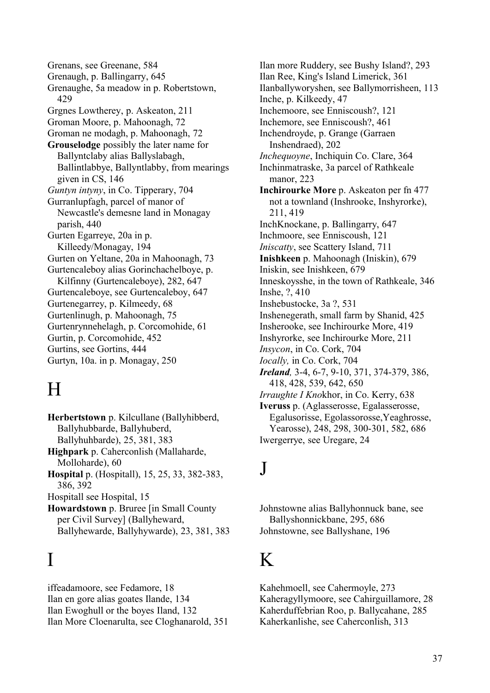Grenans, see Greenane, 584 Grenaugh, p. Ballingarry, 645 Grenaughe, 5a meadow in p. Robertstown, 429 Grgnes Lowtherey, p. Askeaton, 211 Groman Moore, p. Mahoonagh, 72 Groman ne modagh, p. Mahoonagh, 72 **Grouselodge** possibly the later name for Ballyntclaby alias Ballyslabagh, Ballintlabbye, Ballyntlabby, from mearings given in CS, 146 *Guntyn intyny*, in Co. Tipperary, 704 Gurranlupfagh, parcel of manor of Newcastle's demesne land in Monagay parish, 440 Gurten Egarreye, 20a in p. Killeedy/Monagay, 194 Gurten on Yeltane, 20a in Mahoonagh, 73 Gurtencaleboy alias Gorinchachelboye, p. Kilfinny (Gurtencaleboye), 282, 647 Gurtencaleboye, see Gurtencaleboy, 647 Gurtenegarrey, p. Kilmeedy, 68 Gurtenlinugh, p. Mahoonagh, 75 Gurtenrynnehelagh, p. Corcomohide, 61 Gurtin, p. Corcomohide, 452 Gurtins, see Gortins, 444 Gurtyn, 10a. in p. Monagay, 250

# H

**Herbertstown** p. Kilcullane (Ballyhibberd, Ballyhubbarde, Ballyhuberd, Ballyhuhbarde), 25, 381, 383 **Highpark** p. Caherconlish (Mallaharde, Molloharde), 60 **Hospital** p. (Hospitall), 15, 25, 33, 382-383, 386, 392 Hospitall see Hospital, 15 **Howardstown** p. Bruree [in Small County per Civil Survey] (Ballyheward, Ballyhewarde, Ballyhywarde), 23, 381, 383

# I

iffeadamoore, see Fedamore, 18 Ilan en gore alias goates Ilande, 134 Ilan Ewoghull or the boyes Iland, 132 Ilan More Cloenarulta, see Cloghanarold, 351

Ilan more Ruddery, see Bushy Island?, 293 Ilan Ree, King's Island Limerick, 361 Ilanballyworyshen, see Ballymorrisheen, 113 Inche, p. Kilkeedy, 47 Inchemoore, see Enniscoush?, 121 Inchemore, see Enniscoush?, 461 Inchendroyde, p. Grange (Garraen Inshendraed), 202 *Inchequoyne*, Inchiquin Co. Clare, 364 Inchinmatraske, 3a parcel of Rathkeale manor, 223 **Inchirourke More** p. Askeaton per fn 477 not a townland (Inshrooke, Inshyrorke), 211, 419 InchKnockane, p. Ballingarry, 647 Inchmoore, see Enniscoush, 121 *Iniscatty*, see Scattery Island, 711 **Inishkeen** p. Mahoonagh (Iniskin), 679 Iniskin, see Inishkeen, 679 Inneskoysshe, in the town of Rathkeale, 346 Inshe, ?, 410 Inshebustocke, 3a ?, 531 Inshenegerath, small farm by Shanid, 425 Insherooke, see Inchirourke More, 419 Inshyrorke, see Inchirourke More, 211 *Insycon*, in Co. Cork, 704 *Iocally,* in Co. Cork, 704 *Ireland,* 3-4, 6-7, 9-10, 371, 374-379, 386, 418, 428, 539, 642, 650 *Irraughte I Kno*khor, in Co. Kerry, 638 **Iveruss** p. (Aglasserosse, Egalasserosse, Egalusorisse, Egolassorosse,Yeaghrosse, Yearosse), 248, 298, 300-301, 582, 686 Iwergerrye, see Uregare, 24

#### J

Johnstowne alias Ballyhonnuck bane, see Ballyshonnickbane, 295, 686 Johnstowne, see Ballyshane, 196

# K

Kahehmoell, see Cahermoyle, 273 Kaheragyllymoore, see Cahirguillamore, 28 Kaherduffebrian Roo, p. Ballycahane, 285 Kaherkanlishe, see Caherconlish, 313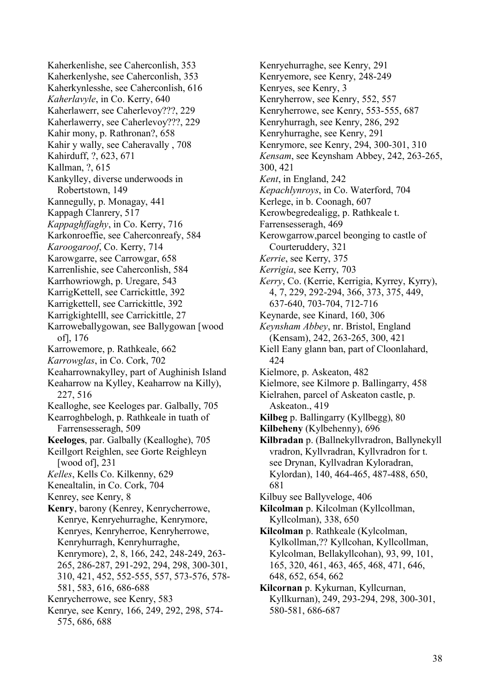Kaherkenlishe, see Caherconlish, 353 Kaherkenlyshe, see Caherconlish, 353 Kaherkynlesshe, see Caherconlish, 616 *Kaherlavyle*, in Co. Kerry, 640 Kaherlawerr, see Caherlevoy???, 229 Kaherlawerry, see Caherlevoy???, 229 Kahir mony, p. Rathronan?, 658 Kahir y wally, see Caheravally , 708 Kahirduff, ?, 623, 671 Kallman, ?, 615 Kankylley, diverse underwoods in Robertstown, 149 Kannegully, p. Monagay, 441 Kappagh Clanrery, 517 *Kappaghffaghy*, in Co. Kerry, 716 Karkonroeffie, see Caherconreafy, 584 *Karoogaroof*, Co. Kerry, 714 Karowgarre, see Carrowgar, 658 Karrenlishie, see Caherconlish, 584 Karrhowriowgh, p. Uregare, 543 KarrigKettell, see Carrickittle, 392 Karrigkettell, see Carrickittle, 392 Karrigkightelll, see Carrickittle, 27 Karroweballygowan, see Ballygowan [wood of], 176 Karrowemore, p. Rathkeale, 662 *Karrowglas*, in Co. Cork, 702 Keaharrownakylley, part of Aughinish Island Keaharrow na Kylley, Keaharrow na Killy), 227, 516 Kealloghe, see Keeloges par. Galbally, 705 Kearroghbelogh, p. Rathkeale in tuath of Farrensesseragh, 509 **Keeloges**, par. Galbally (Kealloghe), 705 Keillgort Reighlen, see Gorte Reighleyn [wood of], 231 *Kelles*, Kells Co. Kilkenny, 629 Kenealtalin, in Co. Cork, 704 Kenrey, see Kenry, 8 **Kenry**, barony (Kenrey, Kenrycherrowe, Kenrye, Kenryehurraghe, Kenrymore, Kenryes, Kenryherroe, Kenryherrowe, Kenryhurragh, Kenryhurraghe, Kenrymore), 2, 8, 166, 242, 248-249, 263- 265, 286-287, 291-292, 294, 298, 300-301, 310, 421, 452, 552-555, 557, 573-576, 578- 581, 583, 616, 686-688 Kenrycherrowe, see Kenry, 583 Kenrye, see Kenry, 166, 249, 292, 298, 574- 575, 686, 688

Kenryemore, see Kenry, 248-249 Kenryes, see Kenry, 3 Kenryherrow, see Kenry, 552, 557 Kenryherrowe, see Kenry, 553-555, 687 Kenryhurragh, see Kenry, 286, 292 Kenryhurraghe, see Kenry, 291 Kenrymore, see Kenry, 294, 300-301, 310 *Kensam*, see Keynsham Abbey, 242, 263-265, 300, 421 *Kent*, in England, 242 *Kepachlynroys*, in Co. Waterford, 704 Kerlege, in b. Coonagh, 607 Kerowbegredealigg, p. Rathkeale t. Farrensesseragh, 469 Kerowgarrow,parcel beonging to castle of Courteruddery, 321 *Kerrie*, see Kerry, 375 *Kerrigia*, see Kerry, 703 *Kerry*, Co. (Kerrie, Kerrigia, Kyrrey, Kyrry), 4, 7, 229, 292-294, 366, 373, 375, 449, 637-640, 703-704, 712-716 Keynarde, see Kinard, 160, 306 *Keynsham Abbey*, nr. Bristol, England (Kensam), 242, 263-265, 300, 421 Kiell Eany glann ban, part of Cloonlahard, 424 Kielmore, p. Askeaton, 482 Kielmore, see Kilmore p. Ballingarry, 458 Kielrahen, parcel of Askeaton castle, p. Askeaton., 419 **Kilbeg** p. Ballingarry (Kyllbegg), 80 **Kilbeheny** (Kylbehenny), 696 **Kilbradan** p. (Ballnekyllvradron, Ballynekyll vradron, Kyllvradran, Kyllvradron for t. see Drynan, Kyllvadran Kyloradran, Kylordan), 140, 464-465, 487-488, 650, 681 Kilbuy see Ballyveloge, 406 **Kilcolman** p. Kilcolman (Kyllcollman, Kyllcolman), 338, 650 **Kilcolman** p. Rathkeale (Kylcolman, Kylkollman,?? Kyllcohan, Kyllcollman, Kylcolman, Bellakyllcohan), 93, 99, 101, 165, 320, 461, 463, 465, 468, 471, 646, 648, 652, 654, 662 **Kilcornan** p. Kykurnan, Kyllcurnan, Kyllkurnan), 249, 293-294, 298, 300-301, 580-581, 686-687

Kenryehurraghe, see Kenry, 291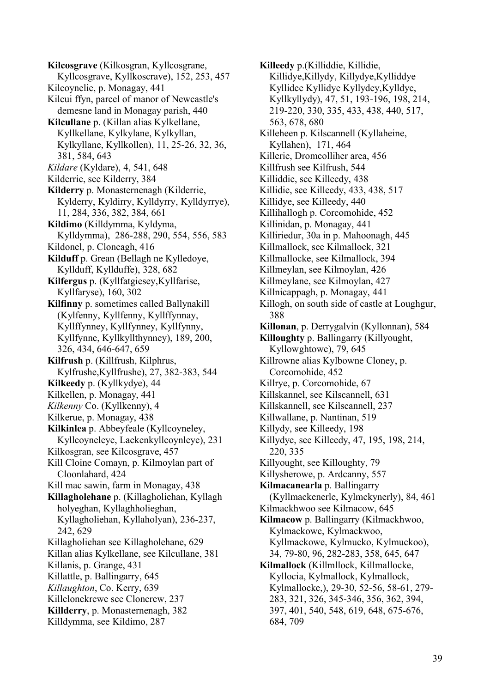**Kilcosgrave** (Kilkosgran, Kyllcosgrane, Kyllcosgrave, Kyllkoscrave), 152, 253, 457 Kilcoynelie, p. Monagay, 441 Kilcui ffyn, parcel of manor of Newcastle's demesne land in Monagay parish, 440 **Kilcullane** p. (Killan alias Kylkellane, Kyllkellane, Kylkylane, Kylkyllan, Kylkyllane, Kyllkollen), 11, 25-26, 32, 36, 381, 584, 643 *Kildare* (Kyldare), 4, 541, 648 Kilderrie, see Kilderry, 384 **Kilderry** p. Monasternenagh (Kilderrie, Kylderry, Kyldirry, Kylldyrry, Kylldyrrye), 11, 284, 336, 382, 384, 661 **Kildimo** (Killdymma, Kyldyma, Kylldymma), 286-288, 290, 554, 556, 583 Kildonel, p. Cloncagh, 416 **Kilduff** p. Grean (Bellagh ne Kylledoye, Kyllduff, Kyllduffe), 328, 682 **Kilfergus** p. (Kyllfatgiesey,Kyllfarise, Kyllfaryse), 160, 302 **Kilfinny** p. sometimes called Ballynakill (Kylfenny, Kyllfenny, Kyllffynnay, Kyllffynney, Kyllfynney, Kyllfynny, Kyllfynne, Kyllkyllthynney), 189, 200, 326, 434, 646-647, 659 **Kilfrush** p. (Killfrush, Kilphrus, Kylfrushe,Kyllfrushe), 27, 382-383, 544 **Kilkeedy** p. (Kyllkydye), 44 Kilkellen, p. Monagay, 441 *Kilkenny* Co. (Kyllkenny), 4 Kilkerue, p. Monagay, 438 **Kilkinlea** p. Abbeyfeale (Kyllcoyneley, Kyllcoyneleye, Lackenkyllcoynleye), 231 Kilkosgran, see Kilcosgrave, 457 Kill Cloine Comayn, p. Kilmoylan part of Cloonlahard, 424 Kill mac sawin, farm in Monagay, 438 **Killagholehane** p. (Killagholiehan, Kyllagh holyeghan, Kyllaghholieghan, Kyllagholiehan, Kyllaholyan), 236-237, 242, 629 Killagholiehan see Killagholehane, 629 Killan alias Kylkellane, see Kilcullane, 381 Killanis, p. Grange, 431 Killattle, p. Ballingarry, 645 *Killaughton*, Co. Kerry, 639 Killclonekrewe see Cloncrew, 237 **Killderry**, p. Monasternenagh, 382 Killdymma, see Kildimo, 287

**Killeedy** p.(Killiddie, Killidie, Killidye,Killydy, Killydye,Kylliddye Kyllidee Kyllidye Kyllydey,Kylldye, Kyllkyllydy), 47, 51, 193-196, 198, 214, 219-220, 330, 335, 433, 438, 440, 517, 563, 678, 680 Killeheen p. Kilscannell (Kyllaheine, Kyllahen), 171, 464 Killerie, Dromcolliher area, 456 Killfrush see Kilfrush, 544 Killiddie, see Killeedy, 438 Killidie, see Killeedy, 433, 438, 517 Killidye, see Killeedy, 440 Killihallogh p. Corcomohide, 452 Killinidan, p. Monagay, 441 Killiriedur, 30a in p. Mahoonagh, 445 Killmallock, see Kilmallock, 321 Killmallocke, see Kilmallock, 394 Killmeylan, see Kilmoylan, 426 Killmeylane, see Kilmoylan, 427 Killnicappagh, p. Monagay, 441 Killogh, on south side of castle at Loughgur, 388 **Killonan**, p. Derrygalvin (Kyllonnan), 584 **Killoughty** p. Ballingarry (Killyought, Kyllowghtowe), 79, 645 Killrowne alias Kylbowne Cloney, p. Corcomohide, 452 Killrye, p. Corcomohide, 67 Killskannel, see Kilscannell, 631 Killskannell, see Kilscannell, 237 Killwallane, p. Nantinan, 519 Killydy, see Killeedy, 198 Killydye, see Killeedy, 47, 195, 198, 214, 220, 335 Killyought, see Killoughty, 79 Killysherowe, p. Ardcanny, 557 **Kilmacanearla** p. Ballingarry (Kyllmackenerle, Kylmckynerly), 84, 461 Kilmackhwoo see Kilmacow, 645 **Kilmacow** p. Ballingarry (Kilmackhwoo, Kylmackowe, Kylmackwoo, Kyllmackowe, Kylmucko, Kylmuckoo), 34, 79-80, 96, 282-283, 358, 645, 647 **Kilmallock** (Killmllock, Killmallocke, Kyllocia, Kylmallock, Kylmallock, Kylmallocke,), 29-30, 52-56, 58-61, 279- 283, 321, 326, 345-346, 356, 362, 394, 397, 401, 540, 548, 619, 648, 675-676, 684, 709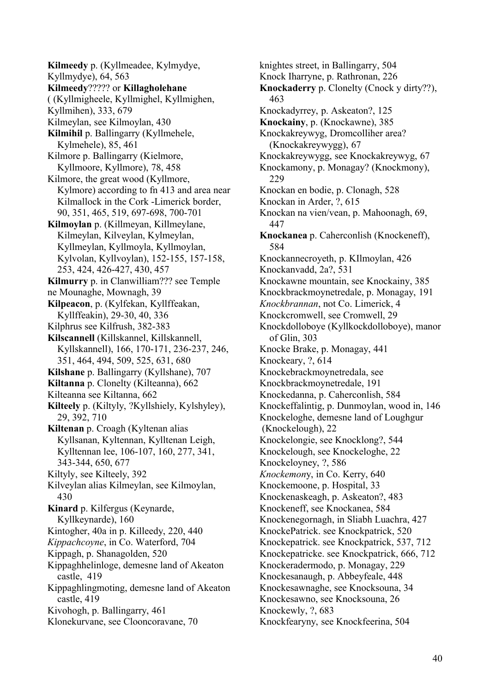**Kilmeedy** p. (Kyllmeadee, Kylmydye, Kyllmydye), 64, 563 **Kilmeedy**????? or **Killagholehane** ( (Kyllmigheele, Kyllmighel, Kyllmighen, Kyllmihen), 333, 679 Kilmeylan, see Kilmoylan, 430 **Kilmihil** p. Ballingarry (Kyllmehele, Kylmehele), 85, 461 Kilmore p. Ballingarry (Kielmore, Kyllmoore, Kyllmore), 78, 458 Kilmore, the great wood (Kyllmore, Kylmore) according to fn 413 and area near Kilmallock in the Cork -Limerick border, 90, 351, 465, 519, 697-698, 700-701 **Kilmoylan** p. (Killmeyan, Killmeylane, Kilmeylan, Kilveylan, Kylmeylan, Kyllmeylan, Kyllmoyla, Kyllmoylan, Kylvolan, Kyllvoylan), 152-155, 157-158, 253, 424, 426-427, 430, 457 **Kilmurry** p. in Clanwilliam??? see Temple ne Mounaghe, Mownagh, 39 **Kilpeacon**, p. (Kylfekan, Kyllffeakan, Kyllffeakin), 29-30, 40, 336 Kilphrus see Kilfrush, 382-383 **Kilscannell** (Killskannel, Killskannell, Kyllskannell), 166, 170-171, 236-237, 246, 351, 464, 494, 509, 525, 631, 680 **Kilshane** p. Ballingarry (Kyllshane), 707 **Kiltanna** p. Clonelty (Kilteanna), 662 Kilteanna see Kiltanna, 662 **Kilteely** p. (Kiltyly, ?Kyllshiely, Kylshyley), 29, 392, 710 **Kiltenan** p. Croagh (Kyltenan alias Kyllsanan, Kyltennan, Kylltenan Leigh, Kylltennan lee, 106-107, 160, 277, 341, 343-344, 650, 677 Kiltyly, see Kilteely, 392 Kilveylan alias Kilmeylan, see Kilmoylan, 430 **Kinard** p. Kilfergus (Keynarde, Kyllkeynarde), 160 Kintogher, 40a in p. Killeedy, 220, 440 *Kippachcoyne*, in Co. Waterford, 704 Kippagh, p. Shanagolden, 520 Kippaghhelinloge, demesne land of Akeaton castle, 419 Kippaghlingmoting, demesne land of Akeaton castle, 419 Kivohogh, p. Ballingarry, 461 Klonekurvane, see Clooncoravane, 70

knightes street, in Ballingarry, 504 Knock Iharryne, p. Rathronan, 226 **Knockaderry** p. Clonelty (Cnock y dirty??), 463 Knockadyrrey, p. Askeaton?, 125 **Knockainy**, p. (Knockawne), 385 Knockakreywyg, Dromcolliher area? (Knockakreywygg), 67 Knockakreywygg, see Knockakreywyg, 67 Knockamony, p. Monagay? (Knockmony), 229 Knockan en bodie, p. Clonagh, 528 Knockan in Arder, ?, 615 Knockan na vien/vean, p. Mahoonagh, 69, 447 **Knockanea** p. Caherconlish (Knockeneff), 584 Knockannecroyeth, p. KIlmoylan, 426 Knockanvadd, 2a?, 531 Knockawne mountain, see Knockainy, 385 Knockbrackmoynetredale, p. Monagay, 191 *Knockbrannan*, not Co. Limerick, 4 Knockcromwell, see Cromwell, 29 Knockdolloboye (Kyllkockdolloboye), manor of Glin, 303 Knocke Brake, p. Monagay, 441 Knockeary, ?, 614 Knockebrackmoynetredala, see Knockbrackmoynetredale, 191 Knockedanna, p. Caherconlish, 584 Knockeffalintig, p. Dunmoylan, wood in, 146 Knockeloghe, demesne land of Loughgur (Knockelough), 22 Knockelongie, see Knocklong?, 544 Knockelough, see Knockeloghe, 22 Knockeloyney, ?, 586 *Knockemon*y, in Co. Kerry, 640 Knockemoone, p. Hospital, 33 Knockenaskeagh, p. Askeaton?, 483 Knockeneff, see Knockanea, 584 Knockenegornagh, in Sliabh Luachra, 427 KnockePatrick. see Knockpatrick, 520 Knockepatrick. see Knockpatrick, 537, 712 Knockepatricke. see Knockpatrick, 666, 712 Knockeradermodo, p. Monagay, 229 Knockesanaugh, p. Abbeyfeale, 448 Knockesawnaghe, see Knocksouna, 34 Knockesawno, see Knocksouna, 26 Knockewly, ?, 683 Knockfearyny, see Knockfeerina, 504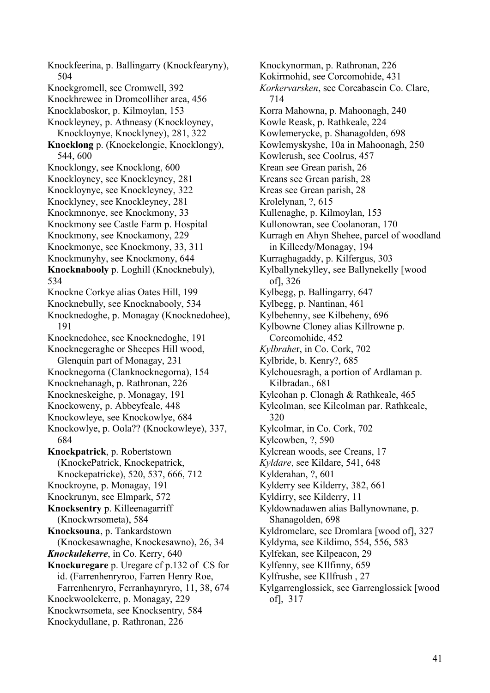Knockfeerina, p. Ballingarry (Knockfearyny), 504 Knockgromell, see Cromwell, 392 Knockhrewee in Dromcolliher area, 456 Knocklaboskor, p. Kilmoylan, 153 Knockleyney, p. Athneasy (Knockloyney, Knockloynye, Knocklyney), 281, 322 **Knocklong** p. (Knockelongie, Knocklongy), 544, 600 Knocklongy, see Knocklong, 600 Knockloyney, see Knockleyney, 281 Knockloynye, see Knockleyney, 322 Knocklyney, see Knockleyney, 281 Knockmnonye, see Knockmony, 33 Knockmony see Castle Farm p. Hospital Knockmony, see Knockamony, 229 Knockmonye, see Knockmony, 33, 311 Knockmunyhy, see Knockmony, 644 **Knocknabooly** p. Loghill (Knocknebuly), 534 Knockne Corkye alias Oates Hill, 199 Knocknebully, see Knocknabooly, 534 Knocknedoghe, p. Monagay (Knocknedohee), 191 Knocknedohee, see Knocknedoghe, 191 Knocknegeraghe or Sheepes Hill wood, Glenquin part of Monagay, 231 Knocknegorna (Clanknocknegorna), 154 Knocknehanagh, p. Rathronan, 226 Knockneskeighe, p. Monagay, 191 Knockoweny, p. Abbeyfeale, 448 Knockowleye, see Knockowlye, 684 Knockowlye, p. Oola?? (Knockowleye), 337, 684 **Knockpatrick**, p. Robertstown (KnockePatrick, Knockepatrick, Knockepatricke), 520, 537, 666, 712 Knockroyne, p. Monagay, 191 Knockrunyn, see Elmpark, 572 **Knocksentry** p. Killeenagarriff (Knockwrsometa), 584 **Knocksouna**, p. Tankardstown (Knockesawnaghe, Knockesawno), 26, 34 *Knockulekerre*, in Co. Kerry, 640 **Knockuregare** p. Uregare cf p.132 of CS for id. (Farrenhenryroo, Farren Henry Roe, Farrenhenryro, Ferranhaynryro, 11, 38, 674 Knockwoolekerre, p. Monagay, 229 Knockwrsometa, see Knocksentry, 584 Knockydullane, p. Rathronan, 226

Knockynorman, p. Rathronan, 226 Kokirmohid, see Corcomohide, 431 *Korkervarsken*, see Corcabascin Co. Clare, 714 Korra Mahowna, p. Mahoonagh, 240 Kowle Reask, p. Rathkeale, 224 Kowlemerycke, p. Shanagolden, 698 Kowlemyskyshe, 10a in Mahoonagh, 250 Kowlerush, see Coolrus, 457 Krean see Grean parish, 26 Kreans see Grean parish, 28 Kreas see Grean parish, 28 Krolelynan, ?, 615 Kullenaghe, p. Kilmoylan, 153 Kullonowran, see Coolanoran, 170 Kurragh en Ahyn Shehee, parcel of woodland in Killeedy/Monagay, 194 Kurraghagaddy, p. Kilfergus, 303 Kylballynekylley, see Ballynekelly [wood of], 326 Kylbegg, p. Ballingarry, 647 Kylbegg, p. Nantinan, 461 Kylbehenny, see Kilbeheny, 696 Kylbowne Cloney alias Killrowne p. Corcomohide, 452 *Kylbrahe*r, in Co. Cork, 702 Kylbride, b. Kenry?, 685 Kylchouesragh, a portion of Ardlaman p. Kilbradan., 681 Kylcohan p. Clonagh & Rathkeale, 465 Kylcolman, see Kilcolman par. Rathkeale, 320 Kylcolmar, in Co. Cork, 702 Kylcowben, ?, 590 Kylcrean woods, see Creans, 17 *Kyldare*, see Kildare, 541, 648 Kylderahan, ?, 601 Kylderry see Kilderry, 382, 661 Kyldirry, see Kilderry, 11 Kyldownadawen alias Ballynownane, p. Shanagolden, 698 Kyldromelare, see Dromlara [wood of], 327 Kyldyma, see Kildimo, 554, 556, 583 Kylfekan, see Kilpeacon, 29 Kylfenny, see KIlfinny, 659 Kylfrushe, see KIlfrush , 27 Kylgarrenglossick, see Garrenglossick [wood of], 317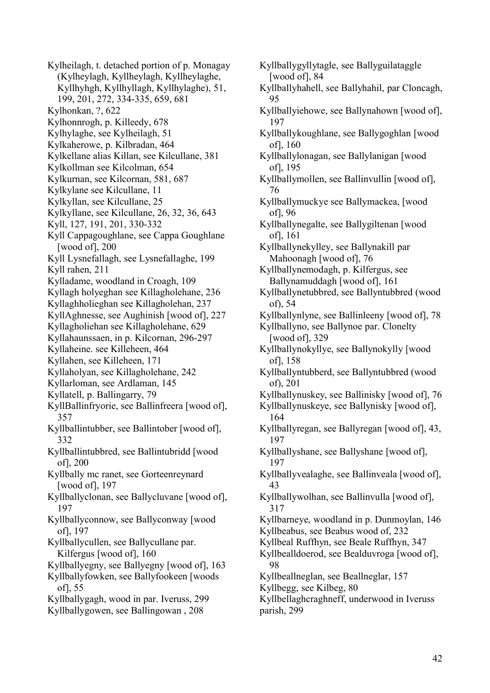Kylheilagh, t. detached portion of p. Monagay (Kylheylagh, Kyllheylagh, Kyllheylaghe, Kyllhyhgh, Kyllhyllagh, Kyllhylaghe), 51, 199, 201, 272, 334-335, 659, 681 Kylhonkan, ?, 622 Kylhonnrogh, p. Killeedy, 678 Kylhylaghe, see Kylheilagh, 51 Kylkaherowe, p. Kilbradan, 464 Kylkellane alias Killan, see Kilcullane, 381 Kylkollman see Kilcolman, 654 Kylkurnan, see Kilcornan, 581, 687 Kylkylane see Kilcullane, 11 Kylkyllan, see Kilcullane, 25 Kylkyllane, see Kilcullane, 26, 32, 36, 643 Kyll, 127, 191, 201, 330-332 Kyll Cappagoughlane, see Cappa Goughlane [wood of], 200 Kyll Lysnefallagh, see Lysnefallaghe, 199 Kyll rahen, 211 Kylladame, woodland in Croagh, 109 Kyllagh holyeghan see Killagholehane, 236 Kyllaghholieghan see Killagholehan, 237 KyllAghnesse, see Aughinish [wood of], 227 Kyllagholiehan see Killagholehane, 629 Kyllahaunssaen, in p. Kilcornan, 296-297 Kyllaheine. see Killeheen, 464 Kyllahen, see Killeheen, 171 Kyllaholyan, see Killagholehane, 242 Kyllarloman, see Ardlaman, 145 Kyllatell, p. Ballingarry, 79 KyllBallinfryorie, see Ballinfreera [wood of], 357 Kyllballintubber, see Ballintober [wood of], 332 Kyllballintubbred, see Ballintubridd [wood of], 200 Kyllbally mc ranet, see Gorteenreynard [wood of], 197 Kyllballyclonan, see Ballycluvane [wood of], 197 Kyllballyconnow, see Ballyconway [wood of], 197 Kyllballycullen, see Ballycullane par. Kilfergus [wood of], 160 Kyllballyegny, see Ballyegny [wood of], 163 Kyllballyfowken, see Ballyfookeen [woods of], 55 Kyllballygagh, wood in par. Iveruss, 299 Kyllballygowen, see Ballingowan , 208

Kyllballygyllytagle, see Ballyguilataggle [wood of], 84 Kyllballyhahell, see Ballyhahil, par Cloncagh, 95 Kyllballyiehowe, see Ballynahown [wood of], 197 Kyllballykoughlane, see Ballygoghlan [wood of], 160 Kyllballylonagan, see Ballylanigan [wood of], 195 Kyllballymollen, see Ballinvullin [wood of], 76 Kyllballymuckye see Ballymackea, [wood of], 96 Kyllballynegalte, see Ballygiltenan [wood of], 161 Kyllballynekylley, see Ballynakill par Mahoonagh [wood of], 76 Kyllballynemodagh, p. Kilfergus, see Ballynamuddagh [wood of], 161 Kyllballynetubbred, see Ballyntubbred (wood of), 54 Kyllballynlyne, see Ballinleeny [wood of], 78 Kyllballyno, see Ballynoe par. Clonelty [wood of], 329 Kyllballynokyllye, see Ballynokylly [wood of], 158 Kyllballyntubberd, see Ballyntubbred (wood of), 201 Kyllballynuskey, see Ballinisky [wood of], 76 Kyllballynuskeye, see Ballynisky [wood of], 164 Kyllballyregan, see Ballyregan [wood of], 43, 197 Kyllballyshane, see Ballyshane [wood of], 197 Kyllballyvealaghe, see Ballinveala [wood of], 43 Kyllballywolhan, see Ballinvulla [wood of], 317 Kyllbarneye, woodland in p. Dunmoylan, 146 Kyllbeabus, see Beabus wood of, 232 Kyllbeal Ruffhyn, see Beale Ruffhyn, 347 Kyllbealldoerod, see Bealduvroga [wood of], 98 Kyllbeallneglan, see Beallneglar, 157 Kyllbegg, see Kilbeg, 80 Kyllbellaghcraghneff, underwood in Iveruss parish, 299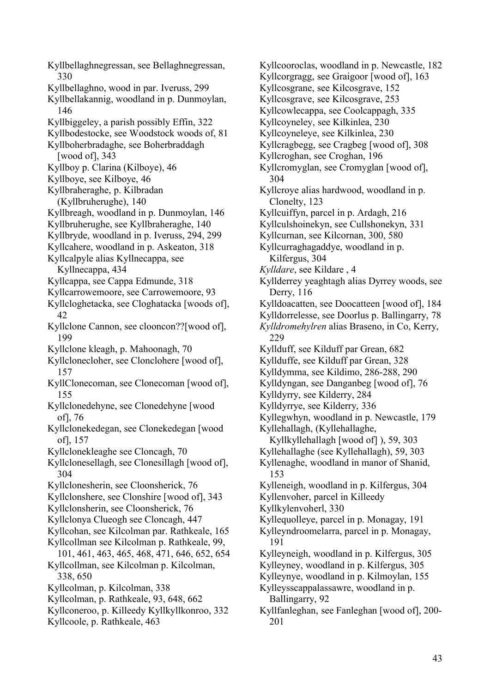Kyllbellaghnegressan, see Bellaghnegressan, 330 Kyllbellaghno, wood in par. Iveruss, 299 Kyllbellakannig, woodland in p. Dunmoylan, 146 Kyllbiggeley, a parish possibly Effin, 322 Kyllbodestocke, see Woodstock woods of, 81 Kyllboherbradaghe, see Boherbraddagh [wood of], 343 Kyllboy p. Clarina (Kilboye), 46 Kyllboye, see Kilboye, 46 Kyllbraheraghe, p. Kilbradan (Kyllbruherughe), 140 Kyllbreagh, woodland in p. Dunmoylan, 146 Kyllbruherughe, see Kyllbraheraghe, 140 Kyllbryde, woodland in p. Iveruss, 294, 299 Kyllcahere, woodland in p. Askeaton, 318 Kyllcalpyle alias Kyllnecappa, see Kyllnecappa, 434 Kyllcappa, see Cappa Edmunde, 318 Kyllcarrowemoore, see Carrowemoore, 93 Kyllcloghetacka, see Cloghatacka [woods of], 42 Kyllclone Cannon, see clooncon??[wood of], 199 Kyllclone kleagh, p. Mahoonagh, 70 Kyllclonecloher, see Clonclohere [wood of], 157 KyllClonecoman, see Clonecoman [wood of], 155 Kyllclonedehyne, see Clonedehyne [wood of], 76 Kyllclonekedegan, see Clonekedegan [wood of], 157 Kyllclonekleaghe see Cloncagh, 70 Kyllclonesellagh, see Clonesillagh [wood of], 304 Kyllclonesherin, see Cloonsherick, 76 Kyllclonshere, see Clonshire [wood of], 343 Kyllclonsherin, see Cloonsherick, 76 Kyllclonya Clueogh see Cloncagh, 447 Kyllcohan, see Kilcolman par. Rathkeale, 165 Kyllcollman see Kilcolman p. Rathkeale, 99, 101, 461, 463, 465, 468, 471, 646, 652, 654 Kyllcollman, see Kilcolman p. Kilcolman, 338, 650 Kyllcolman, p. Kilcolman, 338 Kyllcolman, p. Rathkeale, 93, 648, 662 Kyllconeroo, p. Killeedy Kyllkyllkonroo, 332 Kyllcoole, p. Rathkeale, 463

Kyllcooroclas, woodland in p. Newcastle, 182 Kyllcorgragg, see Graigoor [wood of], 163 Kyllcosgrane, see Kilcosgrave, 152 Kyllcosgrave, see Kilcosgrave, 253 Kyllcowlecappa, see Coolcappagh, 335 Kyllcoyneley, see Kilkinlea, 230 Kyllcoyneleye, see Kilkinlea, 230 Kyllcragbegg, see Cragbeg [wood of], 308 Kyllcroghan, see Croghan, 196 Kyllcromyglan, see Cromyglan [wood of], 304 Kyllcroye alias hardwood, woodland in p. Clonelty, 123 Kyllcuiffyn, parcel in p. Ardagh, 216 Kyllculshoinekyn, see Cullshonekyn, 331 Kyllcurnan, see Kilcornan, 300, 580 Kyllcurraghagaddye, woodland in p. Kilfergus, 304 *Kylldare*, see Kildare , 4 Kyllderrey yeaghtagh alias Dyrrey woods, see Derry, 116 Kylldoacatten, see Doocatteen [wood of], 184 Kylldorrelesse, see Doorlus p. Ballingarry, 78 *Kylldromehylren* alias Braseno, in Co, Kerry, 229 Kyllduff, see Kilduff par Grean, 682 Kyllduffe, see Kilduff par Grean, 328 Kylldymma, see Kildimo, 286-288, 290 Kylldyngan, see Danganbeg [wood of], 76 Kylldyrry, see Kilderry, 284 Kylldyrrye, see Kilderry, 336 Kyllegwhyn, woodland in p. Newcastle, 179 Kyllehallagh, (Kyllehallaghe, Kyllkyllehallagh [wood of] ), 59, 303 Kyllehallaghe (see Kyllehallagh), 59, 303 Kyllenaghe, woodland in manor of Shanid, 153 Kylleneigh, woodland in p. Kilfergus, 304 Kyllenvoher, parcel in Killeedy Kyllkylenvoherl, 330 Kyllequolleye, parcel in p. Monagay, 191 Kylleyndroomelarra, parcel in p. Monagay, 191 Kylleyneigh, woodland in p. Kilfergus, 305 Kylleyney, woodland in p. Kilfergus, 305 Kylleynye, woodland in p. Kilmoylan, 155 Kylleysscappalassawre, woodland in p. Ballingarry, 92 Kyllfanleghan, see Fanleghan [wood of], 200- 201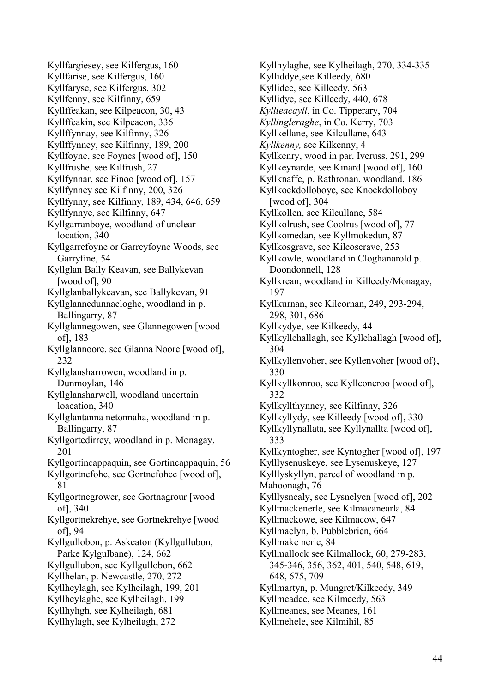Kyllfargiesey, see Kilfergus, 160 Kyllfarise, see Kilfergus, 160 Kyllfaryse, see Kilfergus, 302 Kyllfenny, see Kilfinny, 659 Kyllffeakan, see Kilpeacon, 30, 43 Kyllffeakin, see Kilpeacon, 336 Kyllffynnay, see Kilfinny, 326 Kyllffynney, see Kilfinny, 189, 200 Kyllfoyne, see Foynes [wood of], 150 Kyllfrushe, see Kilfrush, 27 Kyllfynnar, see Finoo [wood of], 157 Kyllfynney see Kilfinny, 200, 326 Kyllfynny, see Kilfinny, 189, 434, 646, 659 Kyllfynnye, see Kilfinny, 647 Kyllgarranboye, woodland of unclear location, 340 Kyllgarrefoyne or Garreyfoyne Woods, see Garryfine, 54 Kyllglan Bally Keavan, see Ballykevan [wood of], 90 Kyllglanballykeavan, see Ballykevan, 91 Kyllglannedunnacloghe, woodland in p. Ballingarry, 87 Kyllglannegowen, see Glannegowen [wood of], 183 Kyllglannoore, see Glanna Noore [wood of], 232 Kyllglansharrowen, woodland in p. Dunmoylan, 146 Kyllglansharwell, woodland uncertain loacation, 340 Kyllglantanna netonnaha, woodland in p. Ballingarry, 87 Kyllgortedirrey, woodland in p. Monagay, 201 Kyllgortincappaquin, see Gortincappaquin, 56 Kyllgortnefohe, see Gortnefohee [wood of], 81 Kyllgortnegrower, see Gortnagrour [wood of], 340 Kyllgortnekrehye, see Gortnekrehye [wood of], 94 Kyllgullobon, p. Askeaton (Kyllgullubon, Parke Kylgulbane), 124, 662 Kyllgullubon, see Kyllgullobon, 662 Kyllhelan, p. Newcastle, 270, 272 Kyllheylagh, see Kylheilagh, 199, 201 Kyllheylaghe, see Kylheilagh, 199 Kyllhyhgh, see Kylheilagh, 681 Kyllhylagh, see Kylheilagh, 272

Kyllhylaghe, see Kylheilagh, 270, 334-335 Kylliddye,see Killeedy, 680 Kyllidee, see Killeedy, 563 Kyllidye, see Killeedy, 440, 678 *Kyllieacayll*, in Co. Tipperary, 704 *Kyllingleraghe*, in Co. Kerry, 703 Kyllkellane, see Kilcullane, 643 *Kyllkenny,* see Kilkenny, 4 Kyllkenry, wood in par. Iveruss, 291, 299 Kyllkeynarde, see Kinard [wood of], 160 Kyllknaffe, p. Rathronan, woodland, 186 Kyllkockdolloboye, see Knockdolloboy [wood of], 304 Kyllkollen, see Kilcullane, 584 Kyllkolrush, see Coolrus [wood of], 77 Kyllkomedan, see Kyllmokedun, 87 Kyllkosgrave, see Kilcoscrave, 253 Kyllkowle, woodland in Cloghanarold p. Doondonnell, 128 Kyllkrean, woodland in Killeedy/Monagay, 197 Kyllkurnan, see Kilcornan, 249, 293-294, 298, 301, 686 Kyllkydye, see Kilkeedy, 44 Kyllkyllehallagh, see Kyllehallagh [wood of], 304 Kyllkyllenvoher, see Kyllenvoher [wood of}, 330 Kyllkyllkonroo, see Kyllconeroo [wood of], 332 Kyllkyllthynney, see Kilfinny, 326 Kyllkyllydy, see Killeedy [wood of], 330 Kyllkyllynallata, see Kyllynallta [wood of], 333 Kyllkyntogher, see Kyntogher [wood of], 197 Kylllysenuskeye, see Lysenuskeye, 127 Kylllyskyllyn, parcel of woodland in p. Mahoonagh, 76 Kylllysnealy, see Lysnelyen [wood of], 202 Kyllmackenerle, see Kilmacanearla, 84 Kyllmackowe, see Kilmacow, 647 Kyllmaclyn, b. Pubblebrien, 664 Kyllmake nerle, 84 Kyllmallock see Kilmallock, 60, 279-283, 345-346, 356, 362, 401, 540, 548, 619, 648, 675, 709 Kyllmartyn, p. Mungret/Kilkeedy, 349 Kyllmeadee, see Kilmeedy, 563 Kyllmeanes, see Meanes, 161 Kyllmehele, see Kilmihil, 85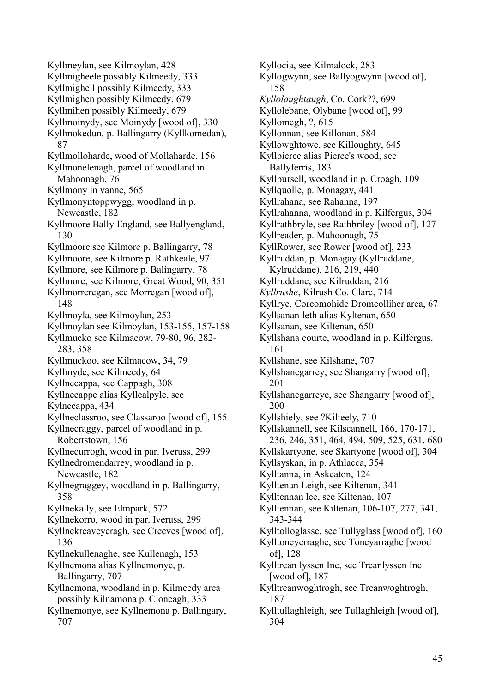Kyllmeylan, see Kilmoylan, 428 Kyllmigheele possibly Kilmeedy, 333 Kyllmighell possibly Kilmeedy, 333 Kyllmighen possibly Kilmeedy, 679 Kyllmihen possibly Kilmeedy, 679 Kyllmoinydy, see Moinydy [wood of], 330 Kyllmokedun, p. Ballingarry (Kyllkomedan), 87 Kyllmolloharde, wood of Mollaharde, 156 Kyllmonelenagh, parcel of woodland in Mahoonagh, 76 Kyllmony in vanne, 565 Kyllmonyntoppwygg, woodland in p. Newcastle, 182 Kyllmoore Bally England, see Ballyengland, 130 Kyllmoore see Kilmore p. Ballingarry, 78 Kyllmoore, see Kilmore p. Rathkeale, 97 Kyllmore, see Kilmore p. Balingarry, 78 Kyllmore, see Kilmore, Great Wood, 90, 351 Kyllmorreregan, see Morregan [wood of], 148 Kyllmoyla, see Kilmoylan, 253 Kyllmoylan see Kilmoylan, 153-155, 157-158 Kyllmucko see Kilmacow, 79-80, 96, 282- 283, 358 Kyllmuckoo, see Kilmacow, 34, 79 Kyllmyde, see Kilmeedy, 64 Kyllnecappa, see Cappagh, 308 Kyllnecappe alias Kyllcalpyle, see Kylnecappa, 434 Kyllneclassroo, see Classaroo [wood of], 155 Kyllnecraggy, parcel of woodland in p. Robertstown, 156 Kyllnecurrogh, wood in par. Iveruss, 299 Kyllnedromendarrey, woodland in p. Newcastle, 182 Kyllnegraggey, woodland in p. Ballingarry, 358 Kyllnekally, see Elmpark, 572 Kyllnekorro, wood in par. Iveruss, 299 Kyllnekreaveyeragh, see Creeves [wood of], 136 Kyllnekullenaghe, see Kullenagh, 153 Kyllnemona alias Kyllnemonye, p. Ballingarry, 707 Kyllnemona, woodland in p. Kilmeedy area possibly Kilnamona p. Cloncagh, 333 Kyllnemonye, see Kyllnemona p. Ballingary, 707

Kyllocia, see Kilmalock, 283 Kyllogwynn, see Ballyogwynn [wood of], 158 *Kyllolaughtaugh*, Co. Cork??, 699 Kyllolebane, Olybane [wood of], 99 Kyllomegh, ?, 615 Kyllonnan, see Killonan, 584 Kyllowghtowe, see Killoughty, 645 Kyllpierce alias Pierce's wood, see Ballyferris, 183 Kyllpursell, woodland in p. Croagh, 109 Kyllquolle, p. Monagay, 441 Kyllrahana, see Rahanna, 197 Kyllrahanna, woodland in p. Kilfergus, 304 Kyllrathbryle, see Rathbriley [wood of], 127 Kyllreader, p. Mahoonagh, 75 KyllRower, see Rower [wood of], 233 Kyllruddan, p. Monagay (Kyllruddane, Kylruddane), 216, 219, 440 Kyllruddane, see Kilruddan, 216 *Kyllrushe*, Kilrush Co. Clare, 714 Kyllrye, Corcomohide Dromcolliher area, 67 Kyllsanan leth alias Kyltenan, 650 Kyllsanan, see Kiltenan, 650 Kyllshana courte, woodland in p. Kilfergus, 161 Kyllshane, see Kilshane, 707 Kyllshanegarrey, see Shangarry [wood of], 201 Kyllshanegarreye, see Shangarry [wood of], 200 Kyllshiely, see ?Kilteely, 710 Kyllskannell, see Kilscannell, 166, 170-171, 236, 246, 351, 464, 494, 509, 525, 631, 680 Kyllskartyone, see Skartyone [wood of], 304 Kyllsyskan, in p. Athlacca, 354 Kylltanna, in Askeaton, 124 Kylltenan Leigh, see Kiltenan, 341 Kylltennan lee, see Kiltenan, 107 Kylltennan, see Kiltenan, 106-107, 277, 341, 343-344 Kylltolloglasse, see Tullyglass [wood of], 160 Kylltoneyerraghe, see Toneyarraghe [wood of], 128 Kylltrean lyssen Ine, see Treanlyssen Ine [wood of], 187 Kylltreanwoghtrogh, see Treanwoghtrogh, 187 Kylltullaghleigh, see Tullaghleigh [wood of], 304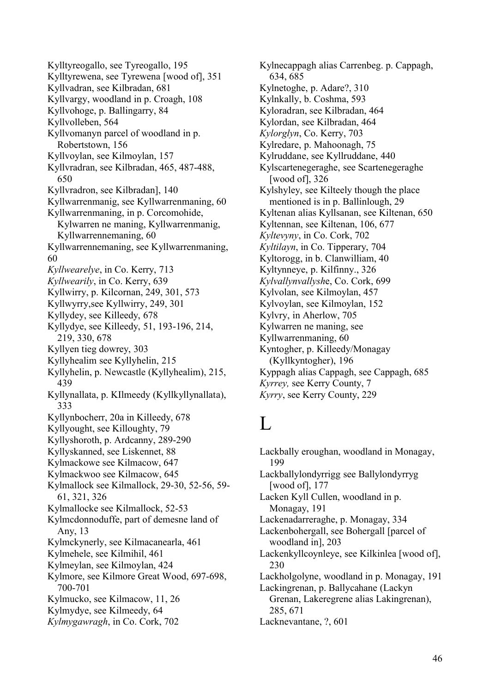Kylltyreogallo, see Tyreogallo, 195 Kylltyrewena, see Tyrewena [wood of], 351 Kyllvadran, see Kilbradan, 681 Kyllvargy, woodland in p. Croagh, 108 Kyllvohoge, p. Ballingarry, 84 Kyllvolleben, 564 Kyllvomanyn parcel of woodland in p. Robertstown, 156 Kyllvoylan, see Kilmoylan, 157 Kyllvradran, see Kilbradan, 465, 487-488, 650 Kyllvradron, see Kilbradan], 140 Kyllwarrenmanig, see Kyllwarrenmaning, 60 Kyllwarrenmaning, in p. Corcomohide, Kylwarren ne maning, Kyllwarrenmanig, Kyllwarrennemaning, 60 Kyllwarrennemaning, see Kyllwarrenmaning, 60 *Kyllwearelye*, in Co. Kerry, 713 *Kyllwearily*, in Co. Kerry, 639 Kyllwirry, p. Kilcornan, 249, 301, 573 Kyllwyrry,see Kyllwirry, 249, 301 Kyllydey, see Killeedy, 678 Kyllydye, see Killeedy, 51, 193-196, 214, 219, 330, 678 Kyllyen tieg dowrey, 303 Kyllyhealim see Kyllyhelin, 215 Kyllyhelin, p. Newcastle (Kyllyhealim), 215, 439 Kyllynallata, p. KIlmeedy (Kyllkyllynallata), 333 Kyllynbocherr, 20a in Killeedy, 678 Kyllyought, see Killoughty, 79 Kyllyshoroth, p. Ardcanny, 289-290 Kyllyskanned, see Liskennet, 88 Kylmackowe see Kilmacow, 647 Kylmackwoo see Kilmacow, 645 Kylmallock see Kilmallock, 29-30, 52-56, 59- 61, 321, 326 Kylmallocke see Kilmallock, 52-53 Kylmcdonnoduffe, part of demesne land of Any, 13 Kylmckynerly, see Kilmacanearla, 461 Kylmehele, see Kilmihil, 461 Kylmeylan, see Kilmoylan, 424 Kylmore, see Kilmore Great Wood, 697-698, 700-701 Kylmucko, see Kilmacow, 11, 26 Kylmydye, see Kilmeedy, 64 *Kylmygawragh*, in Co. Cork, 702

Kylnecappagh alias Carrenbeg. p. Cappagh, 634, 685 Kylnetoghe, p. Adare?, 310 Kylnkally, b. Coshma, 593 Kyloradran, see Kilbradan, 464 Kylordan, see Kilbradan, 464 *Kylorglyn*, Co. Kerry, 703 Kylredare, p. Mahoonagh, 75 Kylruddane, see Kyllruddane, 440 Kylscartenegeraghe, see Scartenegeraghe [wood of], 326 Kylshyley, see Kilteely though the place mentioned is in p. Ballinlough, 29 Kyltenan alias Kyllsanan, see Kiltenan, 650 Kyltennan, see Kiltenan, 106, 677 *Kyltevyny*, in Co. Cork, 702 *Kyltilayn*, in Co. Tipperary, 704 Kyltorogg, in b. Clanwilliam, 40 Kyltynneye, p. Kilfinny., 326 *Kylvallynvallysh*e, Co. Cork, 699 Kylvolan, see Kilmoylan, 457 Kylvoylan, see Kilmoylan, 152 Kylvry, in Aherlow, 705 Kylwarren ne maning, see Kyllwarrenmaning, 60 Kyntogher, p. Killeedy/Monagay (Kyllkyntogher), 196 Kyppagh alias Cappagh, see Cappagh, 685 *Kyrrey,* see Kerry County, 7 *Kyrry*, see Kerry County, 229

# L

Lackbally eroughan, woodland in Monagay, 199 Lackballylondyrrigg see Ballylondyrryg [wood of], 177 Lacken Kyll Cullen, woodland in p. Monagay, 191 Lackenadarreraghe, p. Monagay, 334 Lackenbohergall, see Bohergall [parcel of woodland in], 203 Lackenkyllcoynleye, see Kilkinlea [wood of], 230 Lackholgolyne, woodland in p. Monagay, 191 Lackingrenan, p. Ballycahane (Lackyn Grenan, Lakeregrene alias Lakingrenan), 285, 671 Lacknevantane, ?, 601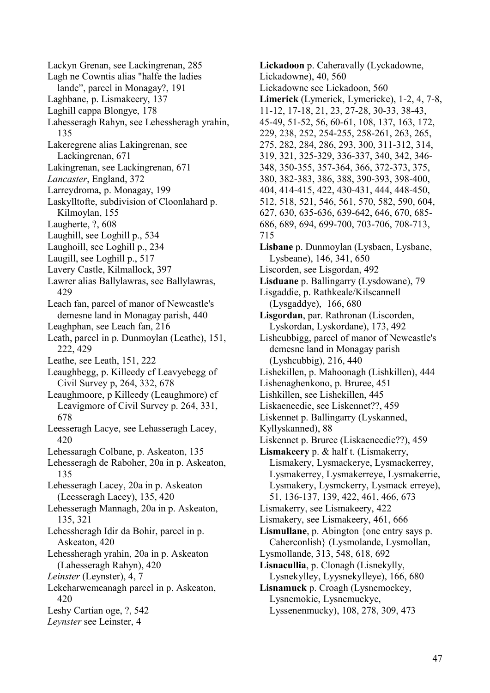Lackyn Grenan, see Lackingrenan, 285 Lagh ne Cowntis alias "halfe the ladies lande", parcel in Monagay?, 191 Laghbane, p. Lismakeery, 137 Laghill cappa Blongye, 178 Lahesseragh Rahyn, see Lehessheragh yrahin, 135 Lakeregrene alias Lakingrenan, see Lackingrenan, 671 Lakingrenan, see Lackingrenan, 671 *Lancaster*, England, 372 Larreydroma, p. Monagay, 199 Laskylltofte, subdivision of Cloonlahard p. Kilmoylan, 155 Laugherte, ?, 608 Laughill, see Loghill p., 534 Laughoill, see Loghill p., 234 Laugill, see Loghill p., 517 Lavery Castle, Kilmallock, 397 Lawrer alias Ballylawras, see Ballylawras, 429 Leach fan, parcel of manor of Newcastle's demesne land in Monagay parish, 440 Leaghphan, see Leach fan, 216 Leath, parcel in p. Dunmoylan (Leathe), 151, 222, 429 Leathe, see Leath, 151, 222 Leaughbegg, p. Killeedy cf Leavyebegg of Civil Survey p, 264, 332, 678 Leaughmoore, p Killeedy (Leaughmore) cf Leavigmore of Civil Survey p. 264, 331, 678 Leesseragh Lacye, see Lehasseragh Lacey, 420 Lehessaragh Colbane, p. Askeaton, 135 Lehesseragh de Raboher, 20a in p. Askeaton, 135 Lehesseragh Lacey, 20a in p. Askeaton (Leesseragh Lacey), 135, 420 Lehesseragh Mannagh, 20a in p. Askeaton, 135, 321 Lehessheragh Idir da Bohir, parcel in p. Askeaton, 420 Lehessheragh yrahin, 20a in p. Askeaton (Lahesseragh Rahyn), 420 *Leinster* (Leynster), 4, 7 Lekeharwemeanagh parcel in p. Askeaton, 420 Leshy Cartian oge, ?, 542 *Leynster* see Leinster, 4

**Lickadoon** p. Caheravally (Lyckadowne, Lickadowne), 40, 560 Lickadowne see Lickadoon, 560 **Limerick** (Lymerick, Lymericke), 1-2, 4, 7-8, 11-12, 17-18, 21, 23, 27-28, 30-33, 38-43, 45-49, 51-52, 56, 60-61, 108, 137, 163, 172, 229, 238, 252, 254-255, 258-261, 263, 265, 275, 282, 284, 286, 293, 300, 311-312, 314, 319, 321, 325-329, 336-337, 340, 342, 346- 348, 350-355, 357-364, 366, 372-373, 375, 380, 382-383, 386, 388, 390-393, 398-400, 404, 414-415, 422, 430-431, 444, 448-450, 512, 518, 521, 546, 561, 570, 582, 590, 604, 627, 630, 635-636, 639-642, 646, 670, 685- 686, 689, 694, 699-700, 703-706, 708-713, 715 **Lisbane** p. Dunmoylan (Lysbaen, Lysbane, Lysbeane), 146, 341, 650 Liscorden, see Lisgordan, 492 **Lisduane** p. Ballingarry (Lysdowane), 79 Lisgaddie, p. Rathkeale/Kilscannell (Lysgaddye), 166, 680 **Lisgordan**, par. Rathronan (Liscorden, Lyskordan, Lyskordane), 173, 492 Lishcubbigg, parcel of manor of Newcastle's demesne land in Monagay parish (Lyshcubbig), 216, 440 Lishekillen, p. Mahoonagh (Lishkillen), 444 Lishenaghenkono, p. Bruree, 451 Lishkillen, see Lishekillen, 445 Liskaeneedie, see Liskennet??, 459 Liskennet p. Ballingarry (Lyskanned, Kyllyskanned), 88 Liskennet p. Bruree (Liskaeneedie??), 459 **Lismakeery** p. & half t. (Lismakerry, Lismakery, Lysmackerye, Lysmackerrey, Lysmakerrey, Lysmakerreye, Lysmakerrie, Lysmakery, Lysmckerry, Lysmack erreye), 51, 136-137, 139, 422, 461, 466, 673 Lismakerry, see Lismakeery, 422 Lismakery, see Lismakeery, 461, 666 **Lismullane**, p. Abington {one entry says p. Caherconlish} (Lysmolande, Lysmollan, Lysmollande, 313, 548, 618, 692 **Lisnacullia**, p. Clonagh (Lisnekylly, Lysnekylley, Lyysnekylleye), 166, 680 **Lisnamuck** p. Croagh (Lysnemockey, Lysnemokie, Lysnemuckye, Lyssenenmucky), 108, 278, 309, 473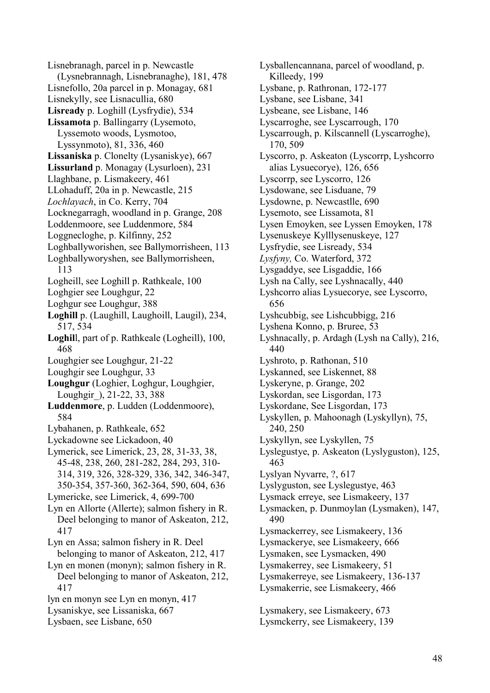Lisnebranagh, parcel in p. Newcastle (Lysnebrannagh, Lisnebranaghe), 181, 478 Lisnefollo, 20a parcel in p. Monagay, 681 Lisnekylly, see Lisnacullia, 680 **Lisready** p. Loghill (Lysfrydie), 534 **Lissamota** p. Ballingarry (Lysemoto, Lyssemoto woods, Lysmotoo, Lyssynmoto), 81, 336, 460 **Lissaniska** p. Clonelty (Lysaniskye), 667 **Lissurland** p. Monagay (Lysurloen), 231 Llaghbane, p. Lismakeery, 461 LLohaduff, 20a in p. Newcastle, 215 *Lochlayach*, in Co. Kerry, 704 Locknegarragh, woodland in p. Grange, 208 Loddenmoore, see Luddenmore, 584 Loggnecloghe, p. Kilfinny, 252 Loghballyworishen, see Ballymorrisheen, 113 Loghballyworyshen, see Ballymorrisheen, 113 Logheill, see Loghill p. Rathkeale, 100 Loghgier see Loughgur, 22 Loghgur see Loughgur, 388 **Loghill** p. (Laughill, Laughoill, Laugil), 234, 517, 534 **Loghil**l, part of p. Rathkeale (Logheill), 100, 468 Loughgier see Loughgur, 21-22 Loughgir see Loughgur, 33 **Loughgur** (Loghier, Loghgur, Loughgier, Loughgir\_), 21-22, 33, 388 **Luddenmore**, p. Ludden (Loddenmoore), 584 Lybahanen, p. Rathkeale, 652 Lyckadowne see Lickadoon, 40 Lymerick, see Limerick, 23, 28, 31-33, 38, 45-48, 238, 260, 281-282, 284, 293, 310- 314, 319, 326, 328-329, 336, 342, 346-347, 350-354, 357-360, 362-364, 590, 604, 636 Lymericke, see Limerick, 4, 699-700 Lyn en Allorte (Allerte); salmon fishery in R. Deel belonging to manor of Askeaton, 212, 417 Lyn en Assa; salmon fishery in R. Deel belonging to manor of Askeaton, 212, 417 Lyn en monen (monyn); salmon fishery in R. Deel belonging to manor of Askeaton, 212, 417 lyn en monyn see Lyn en monyn, 417 Lysaniskye, see Lissaniska, 667 Lysbaen, see Lisbane, 650

Lysballencannana, parcel of woodland, p. Killeedy, 199 Lysbane, p. Rathronan, 172-177 Lysbane, see Lisbane, 341 Lysbeane, see Lisbane, 146 Lyscarroghe, see Lyscarrough, 170 Lyscarrough, p. Kilscannell (Lyscarroghe), 170, 509 Lyscorro, p. Askeaton (Lyscorrp, Lyshcorro alias Lysuecorye), 126, 656 Lyscorrp, see Lyscorro, 126 Lysdowane, see Lisduane, 79 Lysdowne, p. Newcastlle, 690 Lysemoto, see Lissamota, 81 Lysen Emoyken, see Lyssen Emoyken, 178 Lysenuskeye Kylllysenuskeye, 127 Lysfrydie, see Lisready, 534 *Lysfyny,* Co. Waterford, 372 Lysgaddye, see Lisgaddie, 166 Lysh na Cally, see Lyshnacally, 440 Lyshcorro alias Lysuecorye, see Lyscorro, 656 Lyshcubbig, see Lishcubbigg, 216 Lyshena Konno, p. Bruree, 53 Lyshnacally, p. Ardagh (Lysh na Cally), 216, 440 Lyshroto, p. Rathonan, 510 Lyskanned, see Liskennet, 88 Lyskeryne, p. Grange, 202 Lyskordan, see Lisgordan, 173 Lyskordane, See Lisgordan, 173 Lyskyllen, p. Mahoonagh (Lyskyllyn), 75, 240, 250 Lyskyllyn, see Lyskyllen, 75 Lyslegustye, p. Askeaton (Lyslyguston), 125, 463 Lyslyan Nyvarre, ?, 617 Lyslyguston, see Lyslegustye, 463 Lysmack erreye, see Lismakeery, 137 Lysmacken, p. Dunmoylan (Lysmaken), 147, 490 Lysmackerrey, see Lismakeery, 136 Lysmackerye, see Lismakeery, 666 Lysmaken, see Lysmacken, 490 Lysmakerrey, see Lismakeery, 51 Lysmakerreye, see Lismakeery, 136-137 Lysmakerrie, see Lismakeery, 466 Lysmakery, see Lismakeery, 673

Lysmckerry, see Lismakeery, 139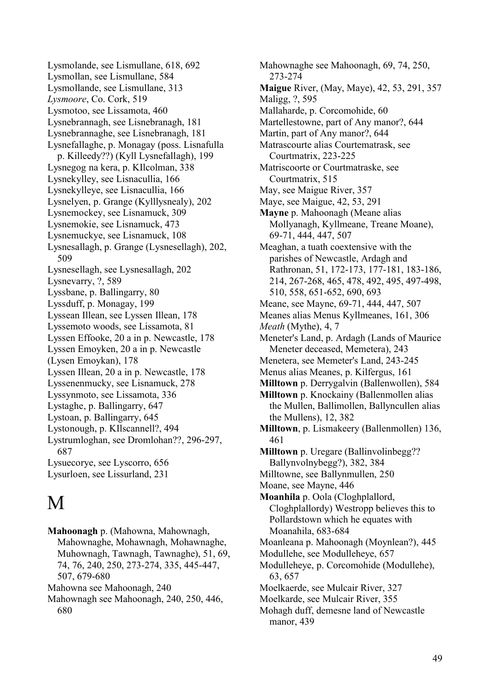Lysmolande, see Lismullane, 618, 692 Lysmollan, see Lismullane, 584 Lysmollande, see Lismullane, 313 *Lysmoore*, Co. Cork, 519 Lysmotoo, see Lissamota, 460 Lysnebrannagh, see Lisnebranagh, 181 Lysnebrannaghe, see Lisnebranagh, 181 Lysnefallaghe, p. Monagay (poss. Lisnafulla p. Killeedy??) (Kyll Lysnefallagh), 199 Lysnegog na kera, p. KIlcolman, 338 Lysnekylley, see Lisnacullia, 166 Lysnekylleye, see Lisnacullia, 166 Lysnelyen, p. Grange (Kylllysnealy), 202 Lysnemockey, see Lisnamuck, 309 Lysnemokie, see Lisnamuck, 473 Lysnemuckye, see Lisnamuck, 108 Lysnesallagh, p. Grange (Lysnesellagh), 202, 509 Lysnesellagh, see Lysnesallagh, 202 Lysnevarry, ?, 589 Lyssbane, p. Ballingarry, 80 Lyssduff, p. Monagay, 199 Lyssean Illean, see Lyssen Illean, 178 Lyssemoto woods, see Lissamota, 81 Lyssen Effooke, 20 a in p. Newcastle, 178 Lyssen Emoyken, 20 a in p. Newcastle (Lysen Emoykan), 178 Lyssen Illean, 20 a in p. Newcastle, 178 Lyssenenmucky, see Lisnamuck, 278 Lyssynmoto, see Lissamota, 336 Lystaghe, p. Ballingarry, 647 Lystoan, p. Ballingarry, 645 Lystonough, p. KIlscannell?, 494 Lystrumloghan, see Dromlohan??, 296-297, 687 Lysuecorye, see Lyscorro, 656 Lysurloen, see Lissurland, 231

# M

**Mahoonagh** p. (Mahowna, Mahownagh, Mahownaghe, Mohawnagh, Mohawnaghe, Muhownagh, Tawnagh, Tawnaghe), 51, 69, 74, 76, 240, 250, 273-274, 335, 445-447, 507, 679-680 Mahowna see Mahoonagh, 240

Mahownagh see Mahoonagh, 240, 250, 446, 680

Mahownaghe see Mahoonagh, 69, 74, 250, 273-274 **Maigue** River, (May, Maye), 42, 53, 291, 357 Maligg, ?, 595 Mallaharde, p. Corcomohide, 60 Martellestowne, part of Any manor?, 644 Martin, part of Any manor?, 644 Matrascourte alias Courtematrask, see Courtmatrix, 223-225 Matriscoorte or Courtmatraske, see Courtmatrix, 515 May, see Maigue River, 357 Maye, see Maigue, 42, 53, 291 **Mayne** p. Mahoonagh (Meane alias Mollyanagh, Kyllmeane, Treane Moane), 69-71, 444, 447, 507 Meaghan, a tuath coextensive with the parishes of Newcastle, Ardagh and Rathronan, 51, 172-173, 177-181, 183-186, 214, 267-268, 465, 478, 492, 495, 497-498, 510, 558, 651-652, 690, 693 Meane, see Mayne, 69-71, 444, 447, 507 Meanes alias Menus Kyllmeanes, 161, 306 *Meath* (Mythe), 4, 7 Meneter's Land, p. Ardagh (Lands of Maurice Meneter deceased, Memetera), 243 Menetera, see Memeter's Land, 243-245 Menus alias Meanes, p. Kilfergus, 161 **Milltown** p. Derrygalvin (Ballenwollen), 584 **Milltown** p. Knockainy (Ballenmollen alias the Mullen, Ballimollen, Ballyncullen alias the Mullens), 12, 382 **Milltown**, p. Lismakeery (Ballenmollen) 136, 461 **Milltown** p. Uregare (Ballinvolinbegg?? Ballynvolnybegg?), 382, 384 Milltowne, see Ballynmullen, 250 Moane, see Mayne, 446 **Moanhila** p. Oola (Cloghplallord, Cloghplallordy) Westropp believes this to Pollardstown which he equates with Moanahila, 683-684 Moanleana p. Mahoonagh (Moynlean?), 445 Modullehe, see Modulleheye, 657 Modulleheye, p. Corcomohide (Modullehe), 63, 657 Moelkaerde, see Mulcair River, 327 Moelkarde, see Mulcair River, 355 Mohagh duff, demesne land of Newcastle manor, 439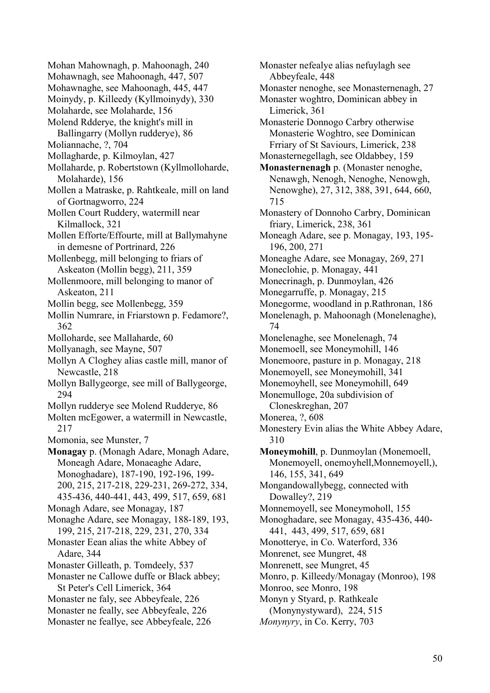Mohan Mahownagh, p. Mahoonagh, 240 Mohawnagh, see Mahoonagh, 447, 507 Mohawnaghe, see Mahoonagh, 445, 447 Moinydy, p. Killeedy (Kyllmoinydy), 330 Molaharde, see Molaharde, 156 Molend Rdderye, the knight's mill in Ballingarry (Mollyn rudderye), 86 Moliannache, ?, 704 Mollagharde, p. Kilmoylan, 427 Mollaharde, p. Robertstown (Kyllmolloharde, Molaharde), 156 Mollen a Matraske, p. Rahtkeale, mill on land of Gortnagworro, 224 Mollen Court Ruddery, watermill near Kilmallock, 321 Mollen Efforte/Effourte, mill at Ballymahyne in demesne of Portrinard, 226 Mollenbegg, mill belonging to friars of Askeaton (Mollin begg), 211, 359 Mollenmoore, mill belonging to manor of Askeaton, 211 Mollin begg, see Mollenbegg, 359 Mollin Numrare, in Friarstown p. Fedamore?, 362 Molloharde, see Mallaharde, 60 Mollyanagh, see Mayne, 507 Mollyn A Cloghey alias castle mill, manor of Newcastle, 218 Mollyn Ballygeorge, see mill of Ballygeorge, 294 Mollyn rudderye see Molend Rudderye, 86 Molten mcEgower, a watermill in Newcastle, 217 Momonia, see Munster, 7 **Monagay** p. (Monagh Adare, Monagh Adare, Moneagh Adare, Monaeaghe Adare, Monoghadare), 187-190, 192-196, 199- 200, 215, 217-218, 229-231, 269-272, 334, 435-436, 440-441, 443, 499, 517, 659, 681 Monagh Adare, see Monagay, 187 Monaghe Adare, see Monagay, 188-189, 193, 199, 215, 217-218, 229, 231, 270, 334 Monaster Eean alias the white Abbey of Adare, 344 Monaster Gilleath, p. Tomdeely, 537 Monaster ne Callowe duffe or Black abbey; St Peter's Cell Limerick, 364 Monaster ne faly, see Abbeyfeale, 226 Monaster ne feally, see Abbeyfeale, 226 Monaster ne feallye, see Abbeyfeale, 226

Monaster nefealye alias nefuylagh see Abbeyfeale, 448 Monaster nenoghe, see Monasternenagh, 27 Monaster woghtro, Dominican abbey in Limerick, 361 Monasterie Donnogo Carbry otherwise Monasterie Woghtro, see Dominican Frriary of St Saviours, Limerick, 238 Monasternegellagh, see Oldabbey, 159 **Monasternenagh** p. (Monaster nenoghe, Nenawgh, Nenogh, Nenoghe, Nenowgh, Nenowghe), 27, 312, 388, 391, 644, 660, 715 Monastery of Donnoho Carbry, Dominican friary, Limerick, 238, 361 Moneagh Adare, see p. Monagay, 193, 195- 196, 200, 271 Moneaghe Adare, see Monagay, 269, 271 Moneclohie, p. Monagay, 441 Monecrinagh, p. Dunmoylan, 426 Monegarruffe, p. Monagay, 215 Monegorme, woodland in p.Rathronan, 186 Monelenagh, p. Mahoonagh (Monelenaghe), 74 Monelenaghe, see Monelenagh, 74 Monemoell, see Moneymohill, 146 Monemoore, pasture in p. Monagay, 218 Monemoyell, see Moneymohill, 341 Monemoyhell, see Moneymohill, 649 Monemulloge, 20a subdivision of Cloneskreghan, 207 Monerea, ?, 608 Monestery Evin alias the White Abbey Adare, 310 **Moneymohill**, p. Dunmoylan (Monemoell, Monemoyell, onemoyhell,Monnemoyell,), 146, 155, 341, 649 Mongandowallybegg, connected with Dowalley?, 219 Monnemoyell, see Moneymoholl, 155 Monoghadare, see Monagay, 435-436, 440- 441, 443, 499, 517, 659, 681 Monotterye, in Co. Waterford, 336 Monrenet, see Mungret, 48 Monrenett, see Mungret, 45 Monro, p. Killeedy/Monagay (Monroo), 198 Monroo, see Monro, 198 Monyn y Styard, p. Rathkeale (Monynystyward), 224, 515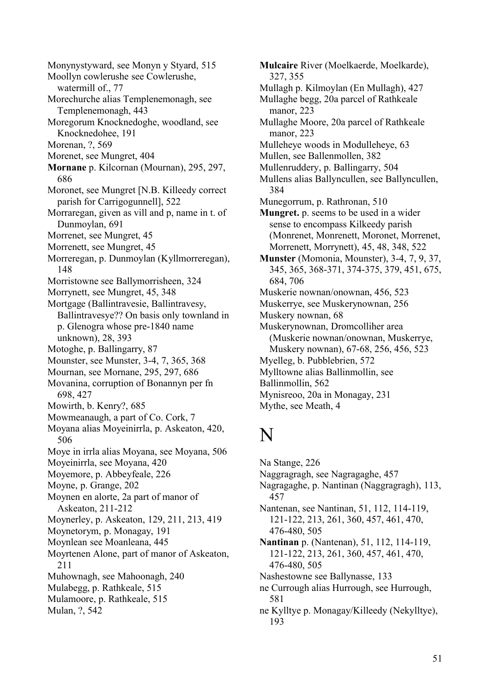Monynystyward, see Monyn y Styard, 515 Moollyn cowlerushe see Cowlerushe, watermill of., 77 Morechurche alias Templenemonagh, see Templenemonagh, 443 Moregorum Knocknedoghe, woodland, see Knocknedohee, 191 Morenan, ?, 569 Morenet, see Mungret, 404 **Mornane** p. Kilcornan (Mournan), 295, 297, 686 Moronet, see Mungret [N.B. Killeedy correct parish for Carrigogunnell], 522 Morraregan, given as vill and p, name in t. of Dunmoylan, 691 Morrenet, see Mungret, 45 Morrenett, see Mungret, 45 Morreregan, p. Dunmoylan (Kyllmorreregan), 148 Morristowne see Ballymorrisheen, 324 Morrynett, see Mungret, 45, 348 Mortgage (Ballintravesie, Ballintravesy, Ballintravesye?? On basis only townland in p. Glenogra whose pre-1840 name unknown), 28, 393 Motoghe, p. Ballingarry, 87 Mounster, see Munster, 3-4, 7, 365, 368 Mournan, see Mornane, 295, 297, 686 Movanina, corruption of Bonannyn per fn 698, 427 Mowirth, b. Kenry?, 685 Mowmeanaugh, a part of Co. Cork, 7 Moyana alias Moyeinirrla, p. Askeaton, 420, 506 Moye in irrla alias Moyana, see Moyana, 506 Moyeinirrla, see Moyana, 420 Moyemore, p. Abbeyfeale, 226 Moyne, p. Grange, 202 Moynen en alorte, 2a part of manor of Askeaton, 211-212 Moynerley, p. Askeaton, 129, 211, 213, 419 Moynetorym, p. Monagay, 191 Moynlean see Moanleana, 445 Moyrtenen Alone, part of manor of Askeaton, 211 Muhownagh, see Mahoonagh, 240 Mulabegg, p. Rathkeale, 515 Mulamoore, p. Rathkeale, 515 Mulan, ?, 542

**Mulcaire** River (Moelkaerde, Moelkarde), 327, 355 Mullagh p. Kilmoylan (En Mullagh), 427 Mullaghe begg, 20a parcel of Rathkeale manor, 223 Mullaghe Moore, 20a parcel of Rathkeale manor, 223 Mulleheye woods in Modulleheye, 63 Mullen, see Ballenmollen, 382 Mullenruddery, p. Ballingarry, 504 Mullens alias Ballyncullen, see Ballyncullen, 384 Munegorrum, p. Rathronan, 510 **Mungret.** p. seems to be used in a wider sense to encompass Kilkeedy parish (Monrenet, Monrenett, Moronet, Morrenet, Morrenett, Morrynett), 45, 48, 348, 522 **Munster** (Momonia, Mounster), 3-4, 7, 9, 37, 345, 365, 368-371, 374-375, 379, 451, 675, 684, 706 Muskerie nownan/onownan, 456, 523 Muskerrye, see Muskerynownan, 256 Muskery nownan, 68 Muskerynownan, Dromcolliher area (Muskerie nownan/onownan, Muskerrye, Muskery nownan), 67-68, 256, 456, 523 Myelleg, b. Pubblebrien, 572 Mylltowne alias Ballinmollin, see Ballinmollin, 562 Mynisreoo, 20a in Monagay, 231 Mythe, see Meath, 4

# N

Na Stange, 226 Naggragragh, see Nagragaghe, 457 Nagragaghe, p. Nantinan (Naggragragh), 113, 457 Nantenan, see Nantinan, 51, 112, 114-119, 121-122, 213, 261, 360, 457, 461, 470, 476-480, 505 **Nantinan** p. (Nantenan), 51, 112, 114-119, 121-122, 213, 261, 360, 457, 461, 470, 476-480, 505 Nashestowne see Ballynasse, 133 ne Currough alias Hurrough, see Hurrough, 581 ne Kylltye p. Monagay/Killeedy (Nekylltye), 193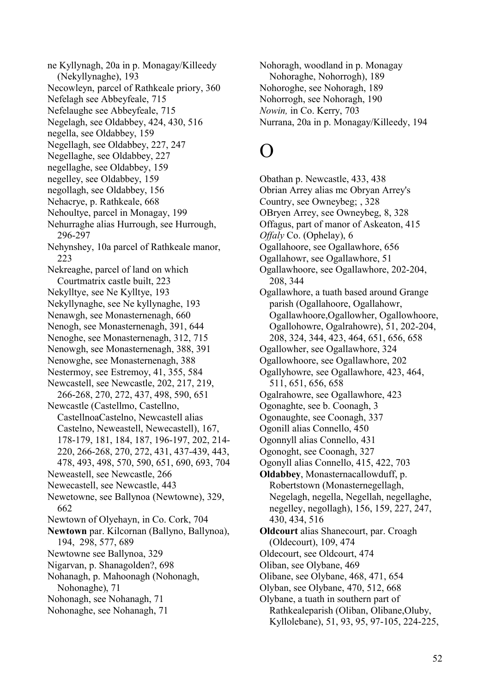ne Kyllynagh, 20a in p. Monagay/Killeedy (Nekyllynaghe), 193 Necowleyn, parcel of Rathkeale priory, 360 Nefelagh see Abbeyfeale, 715 Nefelaughe see Abbeyfeale, 715 Negelagh, see Oldabbey, 424, 430, 516 negella, see Oldabbey, 159 Negellagh, see Oldabbey, 227, 247 Negellaghe, see Oldabbey, 227 negellaghe, see Oldabbey, 159 negelley, see Oldabbey, 159 negollagh, see Oldabbey, 156 Nehacrye, p. Rathkeale, 668 Nehoultye, parcel in Monagay, 199 Nehurraghe alias Hurrough, see Hurrough, 296-297 Nehynshey, 10a parcel of Rathkeale manor, 223 Nekreaghe, parcel of land on which Courtmatrix castle built, 223 Nekylltye, see Ne Kylltye, 193 Nekyllynaghe, see Ne kyllynaghe, 193 Nenawgh, see Monasternenagh, 660 Nenogh, see Monasternenagh, 391, 644 Nenoghe, see Monasternenagh, 312, 715 Nenowgh, see Monasternenagh, 388, 391 Nenowghe, see Monasternenagh, 388 Nestermoy, see Estremoy, 41, 355, 584 Newcastell, see Newcastle, 202, 217, 219, 266-268, 270, 272, 437, 498, 590, 651 Newcastle (Castellmo, Castellno, CastellnoaCastelno, Newcastell alias Castelno, Neweastell, Newecastell), 167, 178-179, 181, 184, 187, 196-197, 202, 214- 220, 266-268, 270, 272, 431, 437-439, 443, 478, 493, 498, 570, 590, 651, 690, 693, 704 Neweastell, see Newcastle, 266 Newecastell, see Newcastle, 443 Newetowne, see Ballynoa (Newtowne), 329, 662 Newtown of Olyehayn, in Co. Cork, 704 **Newtown** par. Kilcornan (Ballyno, Ballynoa), 194, 298, 577, 689 Newtowne see Ballynoa, 329 Nigarvan, p. Shanagolden?, 698 Nohanagh, p. Mahoonagh (Nohonagh, Nohonaghe), 71 Nohonagh, see Nohanagh, 71 Nohonaghe, see Nohanagh, 71

Nohoragh, woodland in p. Monagay Nohoraghe, Nohorrogh), 189 Nohoroghe, see Nohoragh, 189 Nohorrogh, see Nohoragh, 190 *Nowin,* in Co. Kerry, 703 Nurrana, 20a in p. Monagay/Killeedy, 194

# O

Obathan p. Newcastle, 433, 438 Obrian Arrey alias mc Obryan Arrey's Country, see Owneybeg; , 328 OBryen Arrey, see Owneybeg, 8, 328 Offagus, part of manor of Askeaton, 415 *Offaly* Co. (Ophelay), 6 Ogallahoore, see Ogallawhore, 656 Ogallahowr, see Ogallawhore, 51 Ogallawhoore, see Ogallawhore, 202-204, 208, 344 Ogallawhore, a tuath based around Grange parish (Ogallahoore, Ogallahowr, Ogallawhoore,Ogallowher, Ogallowhoore, Ogallohowre, Ogalrahowre), 51, 202-204, 208, 324, 344, 423, 464, 651, 656, 658 Ogallowher, see Ogallawhore, 324 Ogallowhoore, see Ogallawhore, 202 Ogallyhowre, see Ogallawhore, 423, 464, 511, 651, 656, 658 Ogalrahowre, see Ogallawhore, 423 Ogonaghte, see b. Coonagh, 3 Ogonaughte, see Coonagh, 337 Ogonill alias Connello, 450 Ogonnyll alias Connello, 431 Ogonoght, see Coonagh, 327 Ogonyll alias Connello, 415, 422, 703 **Oldabbey**, Monasternacallowduff, p. Robertstown (Monasternegellagh, Negelagh, negella, Negellah, negellaghe, negelley, negollagh), 156, 159, 227, 247, 430, 434, 516 **Oldcourt** alias Shanecourt, par. Croagh (Oldecourt), 109, 474 Oldecourt, see Oldcourt, 474 Oliban, see Olybane, 469 Olibane, see Olybane, 468, 471, 654 Olyban, see Olybane, 470, 512, 668 Olybane, a tuath in southern part of Rathkealeparish (Oliban, Olibane,Oluby, Kyllolebane), 51, 93, 95, 97-105, 224-225,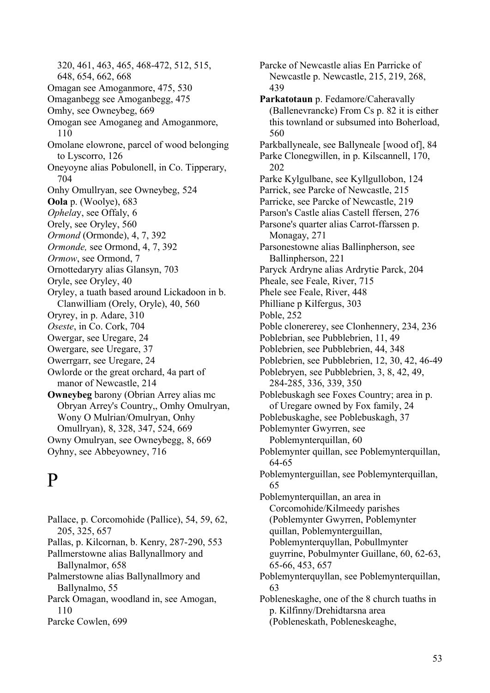320, 461, 463, 465, 468-472, 512, 515, 648, 654, 662, 668 Omagan see Amoganmore, 475, 530 Omaganbegg see Amoganbegg, 475 Omhy, see Owneybeg, 669 Omogan see Amoganeg and Amoganmore, 110 Omolane elowrone, parcel of wood belonging to Lyscorro, 126 Oneyoyne alias Pobulonell, in Co. Tipperary, 704 Onhy Omullryan, see Owneybeg, 524 **Oola** p. (Woolye), 683 *Ophela*y, see Offaly, 6 Orely, see Oryley, 560 *Ormond* (Ormonde), 4, 7, 392 *Ormonde,* see Ormond, 4, 7, 392 *Ormow*, see Ormond, 7 Ornottedaryry alias Glansyn, 703 Oryle, see Oryley, 40 Oryley, a tuath based around Lickadoon in b. Clanwilliam (Orely, Oryle), 40, 560 Oryrey, in p. Adare, 310 *Oseste*, in Co. Cork, 704 Owergar, see Uregare, 24 Owergare, see Uregare, 37 Owerrgarr, see Uregare, 24 Owlorde or the great orchard, 4a part of manor of Newcastle, 214 **Owneybeg** barony (Obrian Arrey alias mc Obryan Arrey's Country,, Omhy Omulryan, Wony O Mulrian/Omulryan, Onhy Omullryan), 8, 328, 347, 524, 669 Owny Omulryan, see Owneybegg, 8, 669 Oyhny, see Abbeyowney, 716

# P

Pallace, p. Corcomohide (Pallice), 54, 59, 62, 205, 325, 657 Pallas, p. Kilcornan, b. Kenry, 287-290, 553 Pallmerstowne alias Ballynallmory and Ballynalmor, 658 Palmerstowne alias Ballynallmory and Ballynalmo, 55 Parck Omagan, woodland in, see Amogan, 110 Parcke Cowlen, 699

Parcke of Newcastle alias En Parricke of Newcastle p. Newcastle, 215, 219, 268, 439 **Parkatotaun** p. Fedamore/Caheravally (Ballenevrancke) From Cs p. 82 it is either this townland or subsumed into Boherload, 560 Parkballyneale, see Ballyneale [wood of], 84 Parke Clonegwillen, in p. Kilscannell, 170, 202 Parke Kylgulbane, see Kyllgullobon, 124 Parrick, see Parcke of Newcastle, 215 Parricke, see Parcke of Newcastle, 219 Parson's Castle alias Castell ffersen, 276 Parsone's quarter alias Carrot-ffarssen p. Monagay, 271 Parsonestowne alias Ballinpherson, see Ballinpherson, 221 Paryck Ardryne alias Ardrytie Parck, 204 Pheale, see Feale, River, 715 Phele see Feale, River, 448 Philliane p Kilfergus, 303 Poble, 252 Poble clonererey, see Clonhennery, 234, 236 Poblebrian, see Pubblebrien, 11, 49 Poblebrien, see Pubblebrien, 44, 348 Poblebrien, see Pubblebrien, 12, 30, 42, 46-49 Poblebryen, see Pubblebrien, 3, 8, 42, 49, 284-285, 336, 339, 350 Poblebuskagh see Foxes Country; area in p. of Uregare owned by Fox family, 24 Poblebuskaghe, see Poblebuskagh, 37 Poblemynter Gwyrren, see Poblemynterquillan, 60 Poblemynter quillan, see Poblemynterquillan, 64-65 Poblemynterguillan, see Poblemynterquillan, 65 Poblemynterquillan, an area in Corcomohide/Kilmeedy parishes (Poblemynter Gwyrren, Poblemynter quillan, Poblemynterguillan, Poblemynterquyllan, Pobullmynter guyrrine, Pobulmynter Guillane, 60, 62-63, 65-66, 453, 657 Poblemynterquyllan, see Poblemynterquillan, 63 Pobleneskaghe, one of the 8 church tuaths in p. Kilfinny/Drehidtarsna area (Pobleneskath, Pobleneskeaghe,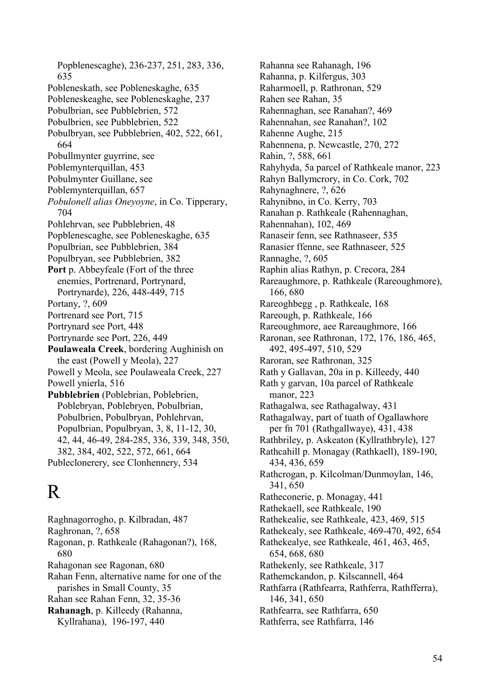Popblenescaghe), 236-237, 251, 283, 336, 635 Pobleneskath, see Pobleneskaghe, 635 Pobleneskeaghe, see Pobleneskaghe, 237 Pobulbrian, see Pubblebrien, 572 Pobulbrien, see Pubblebrien, 522 Pobulbryan, see Pubblebrien, 402, 522, 661, 664 Pobullmynter guyrrine, see Poblemynterquillan, 453 Pobulmynter Guillane, see Poblemynterquillan, 657 *Pobulonell alias Oneyoyne*, in Co. Tipperary, 704 Pohlehrvan, see Pubblebrien, 48 Popblenescaghe, see Pobleneskaghe, 635 Populbrian, see Pubblebrien, 384 Populbryan, see Pubblebrien, 382 **Port** p. Abbeyfeale (Fort of the three enemies, Portrenard, Portrynard, Portrynarde), 226, 448-449, 715 Portany, ?, 609 Portrenard see Port, 715 Portrynard see Port, 448 Portrynarde see Port, 226, 449 **Poulaweala Creek**, bordering Aughinish on the east (Powell y Meola), 227 Powell y Meola, see Poulaweala Creek, 227 Powell ynierla, 516 **Pubblebrien** (Poblebrian, Poblebrien, Poblebryan, Poblebryen, Pobulbrian, Pobulbrien, Pobulbryan, Pohlehrvan, Populbrian, Populbryan, 3, 8, 11-12, 30, 42, 44, 46-49, 284-285, 336, 339, 348, 350, 382, 384, 402, 522, 572, 661, 664 Publeclonerery, see Clonhennery, 534

# R

Raghnagorrogho, p. Kilbradan, 487 Raghronan, ?, 658 Ragonan, p. Rathkeale (Rahagonan?), 168, 680 Rahagonan see Ragonan, 680 Rahan Fenn, alternative name for one of the parishes in Small County, 35 Rahan see Rahan Fenn, 32, 35-36 **Rahanagh**, p. Killeedy (Rahanna, Kyllrahana), 196-197, 440

Rahanna see Rahanagh, 196 Rahanna, p. Kilfergus, 303 Raharmoell, p. Rathronan, 529 Rahen see Rahan, 35 Rahennaghan, see Ranahan?, 469 Rahennahan, see Ranahan?, 102 Rahenne Aughe, 215 Rahennena, p. Newcastle, 270, 272 Rahin, ?, 588, 661 Rahyhyda, 5a parcel of Rathkeale manor, 223 Rahyn Ballymcrory, in Co. Cork, 702 Rahynaghnere, ?, 626 Rahynibno, in Co. Kerry, 703 Ranahan p. Rathkeale (Rahennaghan, Rahennahan), 102, 469 Ranaseir fenn, see Rathnaseer, 535 Ranasier ffenne, see Rathnaseer, 525 Rannaghe, ?, 605 Raphin alias Rathyn, p. Crecora, 284 Rareaughmore, p. Rathkeale (Rareoughmore), 166, 680 Rareoghbegg , p. Rathkeale, 168 Rareough, p. Rathkeale, 166 Rareoughmore, aee Rareaughmore, 166 Raronan, see Rathronan, 172, 176, 186, 465, 492, 495-497, 510, 529 Raroran, see Rathronan, 325 Rath y Gallavan, 20a in p. Killeedy, 440 Rath y garvan, 10a parcel of Rathkeale manor, 223 Rathagalwa, see Rathagalway, 431 Rathagalway, part of tuath of Ogallawhore per fn 701 (Rathgallwaye), 431, 438 Rathbriley, p. Askeaton (Kyllrathbryle), 127 Rathcahill p. Monagay (Rathkaell), 189-190, 434, 436, 659 Rathcrogan, p. Kilcolman/Dunmoylan, 146, 341, 650 Ratheconerie, p. Monagay, 441 Rathekaell, see Rathkeale, 190 Rathekealie, see Rathkeale, 423, 469, 515 Rathekealy, see Rathkeale, 469-470, 492, 654 Rathekealye, see Rathkeale, 461, 463, 465, 654, 668, 680 Rathekenly, see Rathkeale, 317 Rathemckandon, p. Kilscannell, 464 Rathfarra (Rathfearra, Rathferra, Rathfferra), 146, 341, 650 Rathfearra, see Rathfarra, 650 Rathferra, see Rathfarra, 146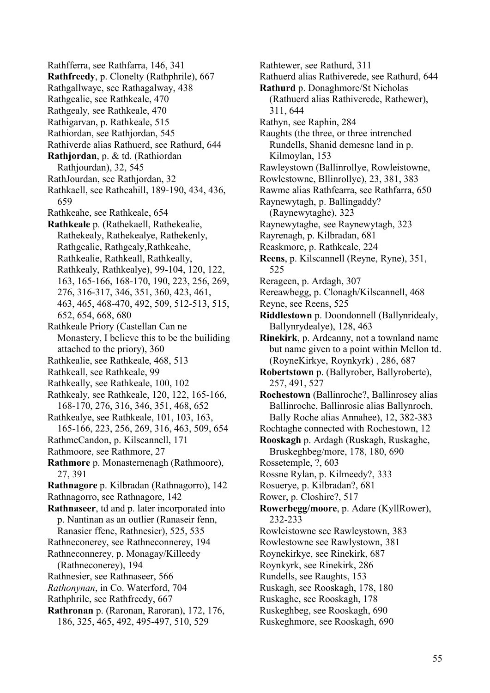Rathfferra, see Rathfarra, 146, 341 **Rathfreedy**, p. Clonelty (Rathphrile), 667 Rathgallwaye, see Rathagalway, 438 Rathgealie, see Rathkeale, 470 Rathgealy, see Rathkeale, 470 Rathigarvan, p. Rathkeale, 515 Rathiordan, see Rathjordan, 545 Rathiverde alias Rathuerd, see Rathurd, 644 **Rathjordan**, p. & td. (Rathiordan Rathjourdan), 32, 545 RathJourdan, see Rathjordan, 32 Rathkaell, see Rathcahill, 189-190, 434, 436, 659 Rathkeahe, see Rathkeale, 654 **Rathkeale** p. (Rathekaell, Rathekealie, Rathekealy, Rathekealye, Rathekenly, Rathgealie, Rathgealy,Rathkeahe, Rathkealie, Rathkeall, Rathkeally, Rathkealy, Rathkealye), 99-104, 120, 122, 163, 165-166, 168-170, 190, 223, 256, 269, 276, 316-317, 346, 351, 360, 423, 461, 463, 465, 468-470, 492, 509, 512-513, 515, 652, 654, 668, 680 Rathkeale Priory (Castellan Can ne Monastery, I believe this to be the builiding attached to the priory), 360 Rathkealie, see Rathkeale, 468, 513 Rathkeall, see Rathkeale, 99 Rathkeally, see Rathkeale, 100, 102 Rathkealy, see Rathkeale, 120, 122, 165-166, 168-170, 276, 316, 346, 351, 468, 652 Rathkealye, see Rathkeale, 101, 103, 163, 165-166, 223, 256, 269, 316, 463, 509, 654 RathmcCandon, p. Kilscannell, 171 Rathmoore, see Rathmore, 27 **Rathmore** p. Monasternenagh (Rathmoore), 27, 391 **Rathnagore** p. Kilbradan (Rathnagorro), 142 Rathnagorro, see Rathnagore, 142 **Rathnaseer**, td and p. later incorporated into p. Nantinan as an outlier (Ranaseir fenn, Ranasier ffene, Rathnesier), 525, 535 Rathneconerey, see Rathneconnerey, 194 Rathneconnerey, p. Monagay/Killeedy (Rathneconerey), 194 Rathnesier, see Rathnaseer, 566 *Rathonynan*, in Co. Waterford, 704 Rathphrile, see Rathfreedy, 667 **Rathronan** p. (Raronan, Raroran), 172, 176, 186, 325, 465, 492, 495-497, 510, 529

Rathtewer, see Rathurd, 311 Rathuerd alias Rathiverede, see Rathurd, 644 **Rathurd** p. Donaghmore/St Nicholas (Rathuerd alias Rathiverede, Rathewer), 311, 644 Rathyn, see Raphin, 284 Raughts (the three, or three intrenched Rundells, Shanid demesne land in p. Kilmoylan, 153 Rawleystown (Ballinrollye, Rowleistowne, Rowlestowne, Bllinrollye), 23, 381, 383 Rawme alias Rathfearra, see Rathfarra, 650 Raynewytagh, p. Ballingaddy? (Raynewytaghe), 323 Raynewytaghe, see Raynewytagh, 323 Rayrenagh, p. Kilbradan, 681 Reaskmore, p. Rathkeale, 224 **Reens**, p. Kilscannell (Reyne, Ryne), 351, 525 Rerageen, p. Ardagh, 307 Rereawbegg, p. Clonagh/Kilscannell, 468 Reyne, see Reens, 525 **Riddlestown** p. Doondonnell (Ballynridealy, Ballynrydealye), 128, 463 **Rinekirk**, p. Ardcanny, not a townland name but name given to a point within Mellon td. (RoyneKirkye, Roynkyrk) , 286, 687 **Robertstown** p. (Ballyrober, Ballyroberte), 257, 491, 527 **Rochestown** (Ballinroche?, Ballinrosey alias Ballinroche, Ballinrosie alias Ballynroch, Bally Roche alias Annahee), 12, 382-383 Rochtaghe connected with Rochestown, 12 **Rooskagh** p. Ardagh (Ruskagh, Ruskaghe, Bruskeghbeg/more, 178, 180, 690 Rossetemple, ?, 603 Rossne Rylan, p. Kilmeedy?, 333 Rosuerye, p. Kilbradan?, 681 Rower, p. Closhire?, 517 **Rowerbegg/moore**, p. Adare (KyllRower), 232-233 Rowleistowne see Rawleystown, 383 Rowlestowne see Rawlystown, 381 Roynekirkye, see Rinekirk, 687 Roynkyrk, see Rinekirk, 286 Rundells, see Raughts, 153 Ruskagh, see Rooskagh, 178, 180 Ruskaghe, see Rooskagh, 178 Ruskeghbeg, see Rooskagh, 690 Ruskeghmore, see Rooskagh, 690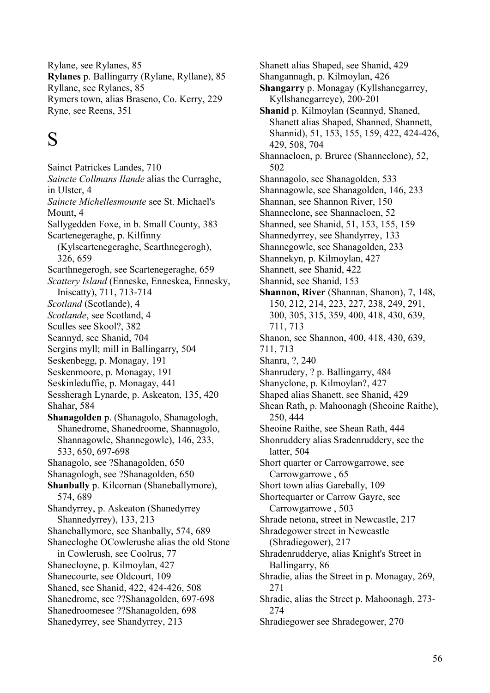Rylane, see Rylanes, 85 **Rylanes** p. Ballingarry (Rylane, Ryllane), 85 Ryllane, see Rylanes, 85 Rymers town, alias Braseno, Co. Kerry, 229 Ryne, see Reens, 351

# S

Sainct Patrickes Landes, 710 *Saincte Collmans Ilande* alias the Curraghe, in Ulster, 4 *Saincte Michellesmounte* see St. Michael's Mount, 4 Sallygedden Foxe, in b. Small County, 383 Scartenegeraghe, p. Kilfinny (Kylscartenegeraghe, Scarthnegerogh), 326, 659 Scarthnegerogh, see Scartenegeraghe, 659 *Scattery Island* (Enneske, Enneskea, Ennesky, Iniscatty), 711, 713-714 *Scotland* (Scotlande), 4 *Scotlande*, see Scotland, 4 Sculles see Skool?, 382 Seannyd, see Shanid, 704 Sergins myll; mill in Ballingarry, 504 Seskenbegg, p. Monagay, 191 Seskenmoore, p. Monagay, 191 Seskinleduffie, p. Monagay, 441 Sessheragh Lynarde, p. Askeaton, 135, 420 Shahar, 584 **Shanagolden** p. (Shanagolo, Shanagologh, Shanedrome, Shanedroome, Shannagolo, Shannagowle, Shannegowle), 146, 233, 533, 650, 697-698 Shanagolo, see ?Shanagolden, 650 Shanagologh, see ?Shanagolden, 650 **Shanbally** p. Kilcornan (Shaneballymore), 574, 689 Shandyrrey, p. Askeaton (Shanedyrrey Shannedyrrey), 133, 213 Shaneballymore, see Shanbally, 574, 689 Shanecloghe OCowlerushe alias the old Stone in Cowlerush, see Coolrus, 77 Shanecloyne, p. Kilmoylan, 427 Shanecourte, see Oldcourt, 109 Shaned, see Shanid, 422, 424-426, 508 Shanedrome, see ??Shanagolden, 697-698 Shanedroomesee ??Shanagolden, 698 Shanedyrrey, see Shandyrrey, 213

Shanett alias Shaped, see Shanid, 429 Shangannagh, p. Kilmoylan, 426 **Shangarry** p. Monagay (Kyllshanegarrey, Kyllshanegarreye), 200-201 **Shanid** p. Kilmoylan (Seannyd, Shaned, Shanett alias Shaped, Shanned, Shannett, Shannid), 51, 153, 155, 159, 422, 424-426, 429, 508, 704 Shannacloen, p. Bruree (Shanneclone), 52, 502 Shannagolo, see Shanagolden, 533 Shannagowle, see Shanagolden, 146, 233 Shannan, see Shannon River, 150 Shanneclone, see Shannacloen, 52 Shanned, see Shanid, 51, 153, 155, 159 Shannedyrrey, see Shandyrrey, 133 Shannegowle, see Shanagolden, 233 Shannekyn, p. Kilmoylan, 427 Shannett, see Shanid, 422 Shannid, see Shanid, 153 **Shannon, River** (Shannan, Shanon), 7, 148, 150, 212, 214, 223, 227, 238, 249, 291, 300, 305, 315, 359, 400, 418, 430, 639, 711, 713 Shanon, see Shannon, 400, 418, 430, 639, 711, 713 Shanra, ?, 240 Shanrudery, ? p. Ballingarry, 484 Shanyclone, p. Kilmoylan?, 427 Shaped alias Shanett, see Shanid, 429 Shean Rath, p. Mahoonagh (Sheoine Raithe), 250, 444 Sheoine Raithe, see Shean Rath, 444 Shonruddery alias Sradenruddery, see the latter, 504 Short quarter or Carrowgarrowe, see Carrowgarrowe , 65 Short town alias Garebally, 109 Shortequarter or Carrow Gayre, see Carrowgarrowe , 503 Shrade netona, street in Newcastle, 217 Shradegower street in Newcastle (Shradiegower), 217 Shradenrudderye, alias Knight's Street in Ballingarry, 86 Shradie, alias the Street in p. Monagay, 269, 271 Shradie, alias the Street p. Mahoonagh, 273- 274 Shradiegower see Shradegower, 270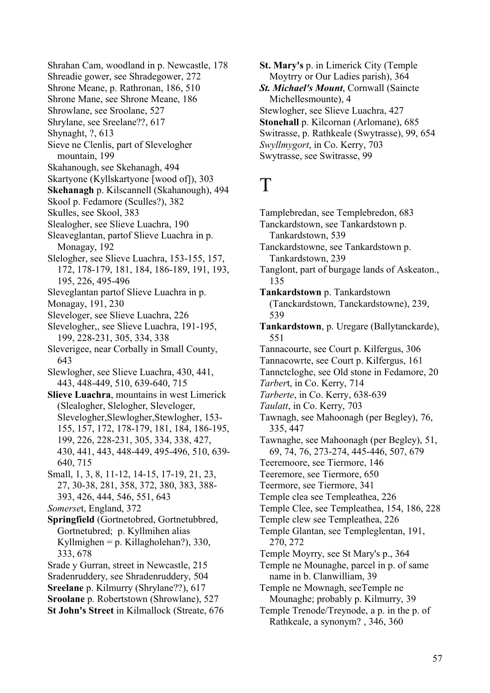Shrahan Cam, woodland in p. Newcastle, 178 Shreadie gower, see Shradegower, 272 Shrone Meane, p. Rathronan, 186, 510 Shrone Mane, see Shrone Meane, 186 Shrowlane, see Sroolane, 527 Shrylane, see Sreelane??, 617 Shynaght, ?, 613 Sieve ne Clenlis, part of Slevelogher mountain, 199 Skahanough, see Skehanagh, 494 Skartyone (Kyllskartyone [wood of]), 303 **Skehanagh** p. Kilscannell (Skahanough), 494 Skool p. Fedamore (Sculles?), 382 Skulles, see Skool, 383 Slealogher, see Slieve Luachra, 190 Sleaveglantan, partof Slieve Luachra in p. Monagay, 192 Slelogher, see Slieve Luachra, 153-155, 157, 172, 178-179, 181, 184, 186-189, 191, 193, 195, 226, 495-496 Sleveglantan partof Slieve Luachra in p. Monagay, 191, 230 Sleveloger, see Slieve Luachra, 226 Slevelogher,, see Slieve Luachra, 191-195, 199, 228-231, 305, 334, 338 Sleverigee, near Corbally in Small County, 643 Slewlogher, see Slieve Luachra, 430, 441, 443, 448-449, 510, 639-640, 715 **Slieve Luachra**, mountains in west Limerick (Slealogher, Slelogher, Sleveloger, Slevelogher, Slewlogher, Stewlogher, 153-155, 157, 172, 178-179, 181, 184, 186-195, 199, 226, 228-231, 305, 334, 338, 427, 430, 441, 443, 448-449, 495-496, 510, 639- 640, 715 Small, 1, 3, 8, 11-12, 14-15, 17-19, 21, 23, 27, 30-38, 281, 358, 372, 380, 383, 388- 393, 426, 444, 546, 551, 643 *Somerse*t, England, 372 **Springfield** (Gortnetobred, Gortnetubbred, Gortnetubred; p. Kyllmihen alias Kyllmighen = p. Killagholehan?), 330, 333, 678 Srade y Gurran, street in Newcastle, 215 Sradenruddery, see Shradenruddery, 504 **Sreelane** p. Kilmurry (Shrylane??), 617 **Sroolane** p. Robertstown (Shrowlane), 527 **St John's Street** in Kilmallock (Streate, 676

**St. Mary's** p. in Limerick City (Temple Moytrry or Our Ladies parish), 364 *St. Michael's Mount*, Cornwall (Saincte Michellesmounte), 4 Stewlogher, see Slieve Luachra, 427 **Stonehall** p. Kilcornan (Arlomane), 685 Switrasse, p. Rathkeale (Swytrasse), 99, 654 *Swyllmygort*, in Co. Kerry, 703 Swytrasse, see Switrasse, 99

### T

Tamplebredan, see Templebredon, 683 Tanckardstown, see Tankardstown p. Tankardstown, 539 Tanckardstowne, see Tankardstown p. Tankardstown, 239 Tanglont, part of burgage lands of Askeaton., 135 **Tankardstown** p. Tankardstown (Tanckardstown, Tanckardstowne), 239, 539 **Tankardstown**, p. Uregare (Ballytanckarde), 551 Tannacourte, see Court p. Kilfergus, 306 Tannacowrte, see Court p. Kilfergus, 161 Tannctcloghe, see Old stone in Fedamore, 20 *Tarber*t, in Co. Kerry, 714 *Tarberte*, in Co. Kerry, 638-639 *Taulatt*, in Co. Kerry, 703 Tawnagh, see Mahoonagh (per Begley), 76, 335, 447 Tawnaghe, see Mahoonagh (per Begley), 51, 69, 74, 76, 273-274, 445-446, 507, 679 Teeremoore, see Tiermore, 146 Teeremore, see Tiermore, 650 Teermore, see Tiermore, 341 Temple clea see Templeathea, 226 Temple Clee, see Templeathea, 154, 186, 228 Temple clew see Templeathea, 226 Temple Glantan, see Templeglentan, 191, 270, 272 Temple Moyrry, see St Mary's p., 364 Temple ne Mounaghe, parcel in p. of same name in b. Clanwilliam, 39 Temple ne Mownagh, seeTemple ne Mounaghe; probably p. Kilmurry, 39 Temple Trenode/Treynode, a p. in the p. of Rathkeale, a synonym? , 346, 360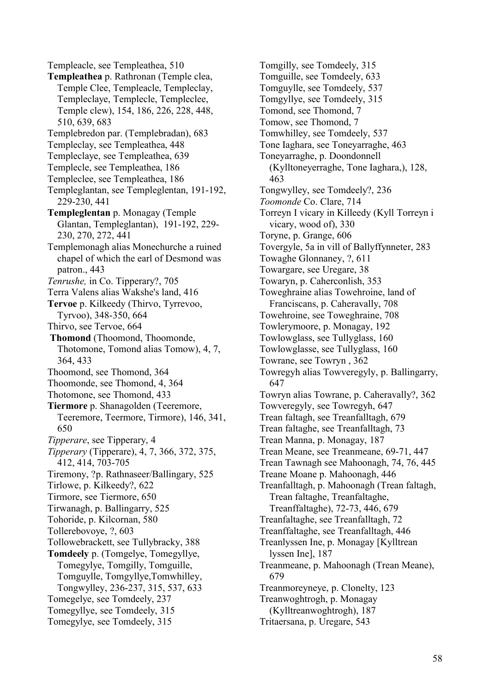Templeacle, see Templeathea, 510 **Templeathea** p. Rathronan (Temple clea, Temple Clee, Templeacle, Templeclay, Templeclaye, Templecle, Templeclee, Temple clew), 154, 186, 226, 228, 448, 510, 639, 683 Templebredon par. (Templebradan), 683 Templeclay, see Templeathea, 448 Templeclaye, see Templeathea, 639 Templecle, see Templeathea, 186 Templeclee, see Templeathea, 186 Templeglantan, see Templeglentan, 191-192, 229-230, 441 **Templeglentan** p. Monagay (Temple Glantan, Templeglantan), 191-192, 229- 230, 270, 272, 441 Templemonagh alias Monechurche a ruined chapel of which the earl of Desmond was patron., 443 *Tenrushe,* in Co. Tipperary?, 705 Terra Valens alias Wakshe's land, 416 **Tervoe** p. Kilkeedy (Thirvo, Tyrrevoo, Tyrvoo), 348-350, 664 Thirvo, see Tervoe, 664 **Thomond** (Thoomond, Thoomonde, Thotomone, Tomond alias Tomow), 4, 7, 364, 433 Thoomond, see Thomond, 364 Thoomonde, see Thomond, 4, 364 Thotomone, see Thomond, 433 **Tiermore** p. Shanagolden (Teeremore, Teeremore, Teermore, Tirmore), 146, 341, 650 *Tipperare*, see Tipperary, 4 *Tipperary* (Tipperare), 4, 7, 366, 372, 375, 412, 414, 703-705 Tiremony, ?p. Rathnaseer/Ballingary, 525 Tirlowe, p. Kilkeedy?, 622 Tirmore, see Tiermore, 650 Tirwanagh, p. Ballingarry, 525 Tohoride, p. Kilcornan, 580 Tollerebovoye, ?, 603 Tollowebrackett, see Tullybracky, 388 **Tomdeely** p. (Tomgelye, Tomegyllye, Tomegylye, Tomgilly, Tomguille, Tomguylle, Tomgyllye,Tomwhilley, Tongwylley, 236-237, 315, 537, 633 Tomegelye, see Tomdeely, 237 Tomegyllye, see Tomdeely, 315 Tomegylye, see Tomdeely, 315

Tomgilly, see Tomdeely, 315 Tomguille, see Tomdeely, 633 Tomguylle, see Tomdeely, 537 Tomgyllye, see Tomdeely, 315 Tomond, see Thomond, 7 Tomow, see Thomond, 7 Tomwhilley, see Tomdeely, 537 Tone Iaghara, see Toneyarraghe, 463 Toneyarraghe, p. Doondonnell (Kylltoneyerraghe, Tone Iaghara,), 128, 463 Tongwylley, see Tomdeely?, 236 *Toomonde* Co. Clare, 714 Torreyn I vicary in Killeedy (Kyll Torreyn i vicary, wood of), 330 Toryne, p. Grange, 606 Tovergyle, 5a in vill of Ballyffynneter, 283 Towaghe Glonnaney, ?, 611 Towargare, see Uregare, 38 Towaryn, p. Caherconlish, 353 Toweghraine alias Towehroine, land of Franciscans, p. Caheravally, 708 Towehroine, see Toweghraine, 708 Towlerymoore, p. Monagay, 192 Towlowglass, see Tullyglass, 160 Towlowglasse, see Tullyglass, 160 Towrane, see Towryn , 362 Towregyh alias Towveregyly, p. Ballingarry, 647 Towryn alias Towrane, p. Caheravally?, 362 Towveregyly, see Towregyh, 647 Trean faltagh, see Treanfalltagh, 679 Trean faltaghe, see Treanfalltagh, 73 Trean Manna, p. Monagay, 187 Trean Meane, see Treanmeane, 69-71, 447 Trean Tawnagh see Mahoonagh, 74, 76, 445 Treane Moane p. Mahoonagh, 446 Treanfalltagh, p. Mahoonagh (Trean faltagh, Trean faltaghe, Treanfaltaghe, Treanffaltaghe), 72-73, 446, 679 Treanfaltaghe, see Treanfalltagh, 72 Treanffaltaghe, see Treanfalltagh, 446 Treanlyssen Ine, p. Monagay [Kylltrean lyssen Ine], 187 Treanmeane, p. Mahoonagh (Trean Meane), 679 Treanmoreyneye, p. Clonelty, 123 Treanwoghtrogh, p. Monagay (Kylltreanwoghtrogh), 187 Tritaersana, p. Uregare, 543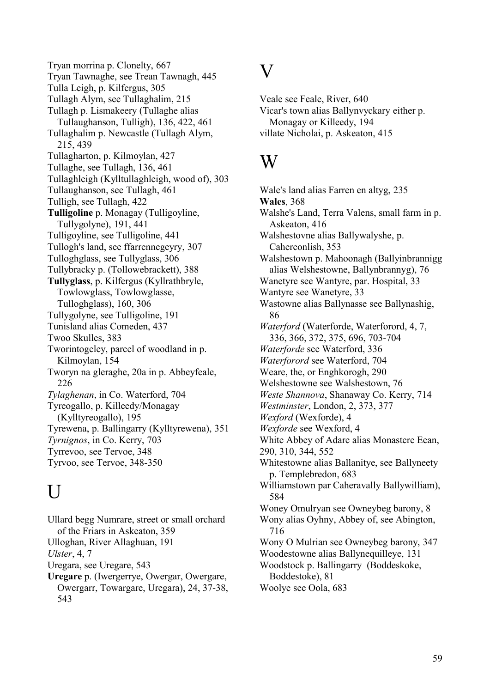Tryan morrina p. Clonelty, 667 Tryan Tawnaghe, see Trean Tawnagh, 445 Tulla Leigh, p. Kilfergus, 305 Tullagh Alym, see Tullaghalim, 215 Tullagh p. Lismakeery (Tullaghe alias Tullaughanson, Tulligh), 136, 422, 461 Tullaghalim p. Newcastle (Tullagh Alym, 215, 439 Tullagharton, p. Kilmoylan, 427 Tullaghe, see Tullagh, 136, 461 Tullaghleigh (Kylltullaghleigh, wood of), 303 Tullaughanson, see Tullagh, 461 Tulligh, see Tullagh, 422 **Tulligoline** p. Monagay (Tulligoyline, Tullygolyne), 191, 441 Tulligoyline, see Tulligoline, 441 Tullogh's land, see ffarrennegeyry, 307 Tulloghglass, see Tullyglass, 306 Tullybracky p. (Tollowebrackett), 388 **Tullyglass**, p. Kilfergus (Kyllrathbryle, Towlowglass, Towlowglasse, Tulloghglass), 160, 306 Tullygolyne, see Tulligoline, 191 Tunisland alias Comeden, 437 Twoo Skulles, 383 Tworintogeley, parcel of woodland in p. Kilmoylan, 154 Tworyn na gleraghe, 20a in p. Abbeyfeale, 226 *Tylaghenan*, in Co. Waterford, 704 Tyreogallo, p. Killeedy/Monagay (Kylltyreogallo), 195 Tyrewena, p. Ballingarry (Kylltyrewena), 351 *Tyrnignos*, in Co. Kerry, 703 Tyrrevoo, see Tervoe, 348 Tyrvoo, see Tervoe, 348-350

# $\overline{U}$

Ullard begg Numrare, street or small orchard of the Friars in Askeaton, 359 Ulloghan, River Allaghuan, 191 *Ulster*, 4, 7 Uregara, see Uregare, 543 **Uregare** p. (Iwergerrye, Owergar, Owergare, Owergarr, Towargare, Uregara), 24, 37-38, 543

#### $\overline{\text{V}}$

Veale see Feale, River, 640 Vicar's town alias Ballynvyckary either p. Monagay or Killeedy, 194 villate Nicholai, p. Askeaton, 415

### W

Wale's land alias Farren en altyg, 235 **Wales**, 368 Walshe's Land, Terra Valens, small farm in p. Askeaton, 416 Walshestovne alias Ballywalyshe, p. Caherconlish, 353 Walshestown p. Mahoonagh (Ballyinbrannigg alias Welshestowne, Ballynbrannyg), 76 Wanetyre see Wantyre, par. Hospital, 33 Wantyre see Wanetyre, 33 Wastowne alias Ballynasse see Ballynashig, 86 *Waterford* (Waterforde, Waterforord, 4, 7, 336, 366, 372, 375, 696, 703-704 *Waterforde* see Waterford, 336 *Waterforord* see Waterford, 704 Weare, the, or Enghkorogh, 290 Welshestowne see Walshestown, 76 *Weste Shannova*, Shanaway Co. Kerry, 714 *Westminster*, London, 2, 373, 377 *Wexford* (Wexforde), 4 *Wexforde* see Wexford, 4 White Abbey of Adare alias Monastere Eean, 290, 310, 344, 552 Whitestowne alias Ballanitye, see Ballyneety p. Templebredon, 683 Williamstown par Caheravally Ballywilliam), 584 Woney Omulryan see Owneybeg barony, 8 Wony alias Oyhny, Abbey of, see Abington, 716 Wony O Mulrian see Owneybeg barony, 347 Woodestowne alias Ballynequilleye, 131 Woodstock p. Ballingarry (Boddeskoke, Boddestoke), 81 Woolye see Oola, 683